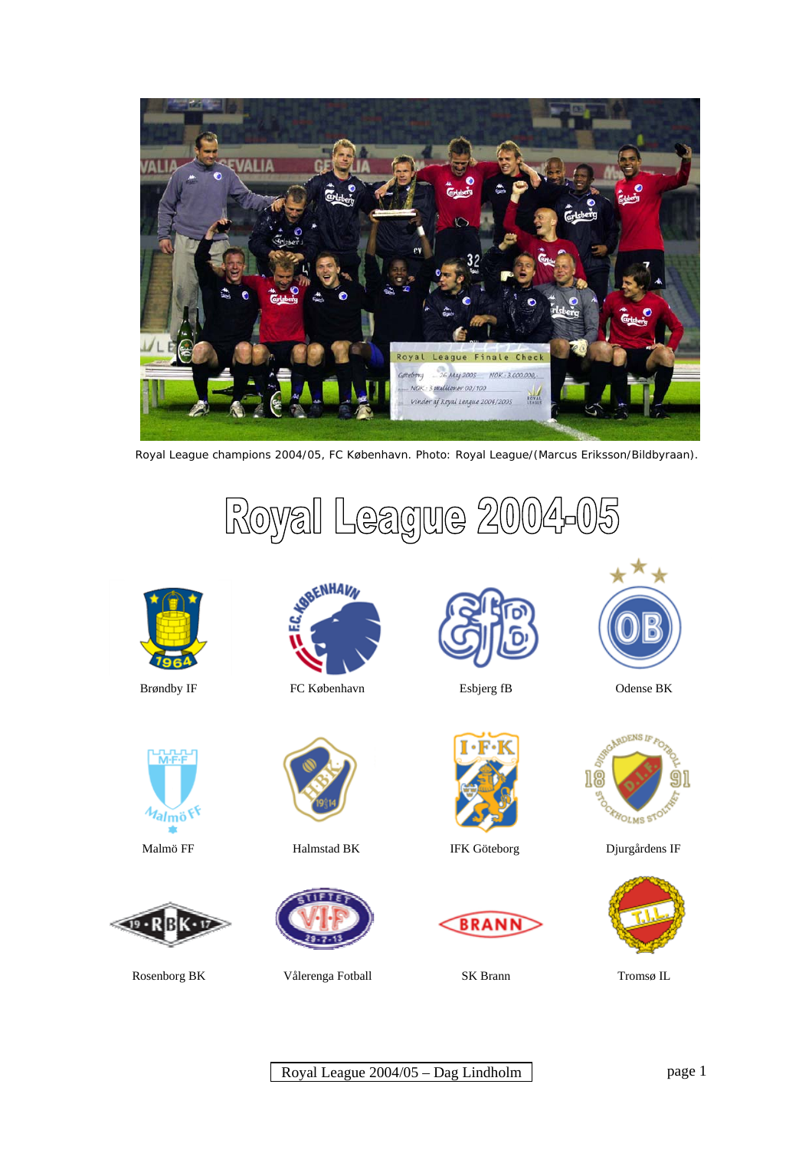

Royal League champions 2004/05, FC København. Photo: Royal League/(Marcus Eriksson/Bildbyraan).

Royal League 2004-0









Brøndby IF FC København Esbjerg fB Odense BK





Rosenborg BK Vålerenga Fotball SK Brann Tromsø IL











Malmö FF Halmstad BK IFK Göteborg Djurgårdens IF

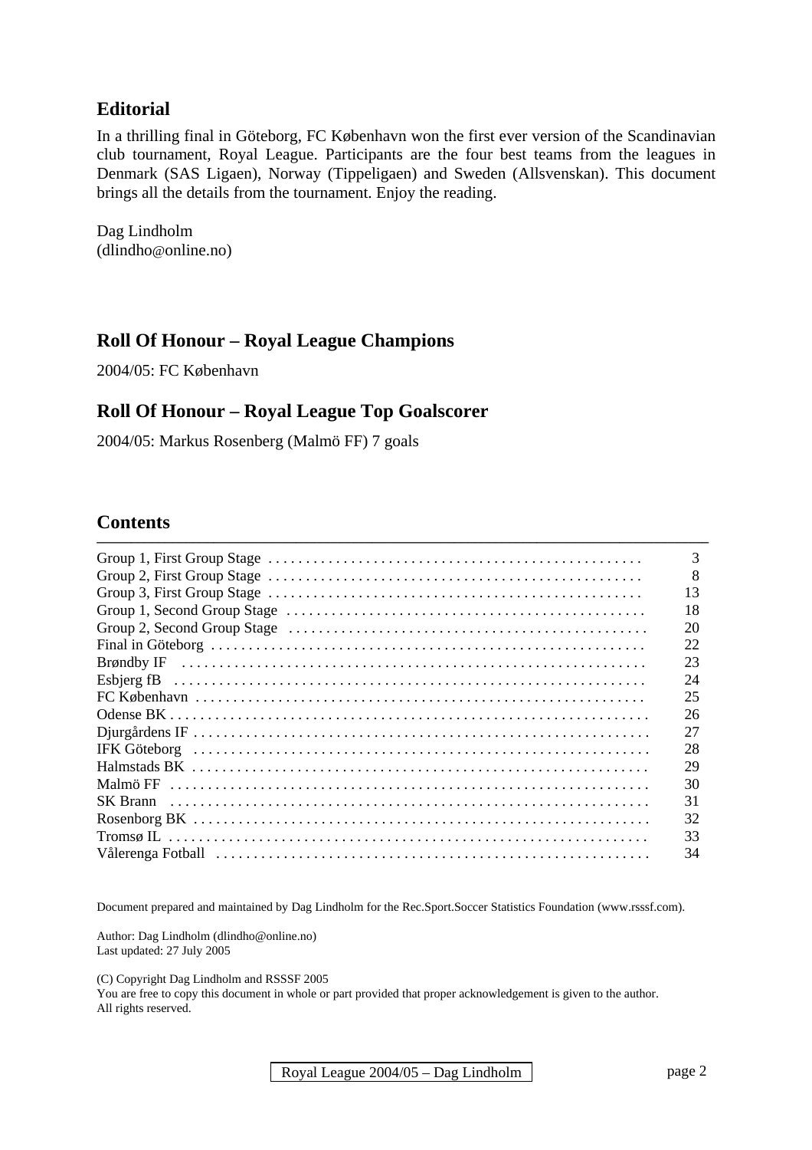# **Editorial**

In a thrilling final in Göteborg, FC København won the first ever version of the Scandinavian club tournament, Royal League. Participants are the four best teams from the leagues in Denmark (SAS Ligaen), Norway (Tippeligaen) and Sweden (Allsvenskan). This document brings all the details from the tournament. Enjoy the reading.

Dag Lindholm (dlindho@online.no)

# **Roll Of Honour – Royal League Champions**

2004/05: FC København

### **Roll Of Honour – Royal League Top Goalscorer**

2004/05: Markus Rosenberg (Malmö FF) 7 goals

# **Contents**

| 3  |
|----|
| 8  |
| 13 |
| 18 |
| 20 |
| 22 |
| 23 |
| 24 |
| 25 |
| 26 |
| 27 |
| 28 |
| 29 |
| 30 |
| 31 |
| 32 |
| 33 |
| 34 |
|    |

Document prepared and maintained by Dag Lindholm for the Rec.Sport.Soccer Statistics Foundation (www.rsssf.com).

Author: Dag Lindholm (dlindho@online.no) Last updated: 27 July 2005

(C) Copyright Dag Lindholm and RSSSF 2005

You are free to copy this document in whole or part provided that proper acknowledgement is given to the author. All rights reserved.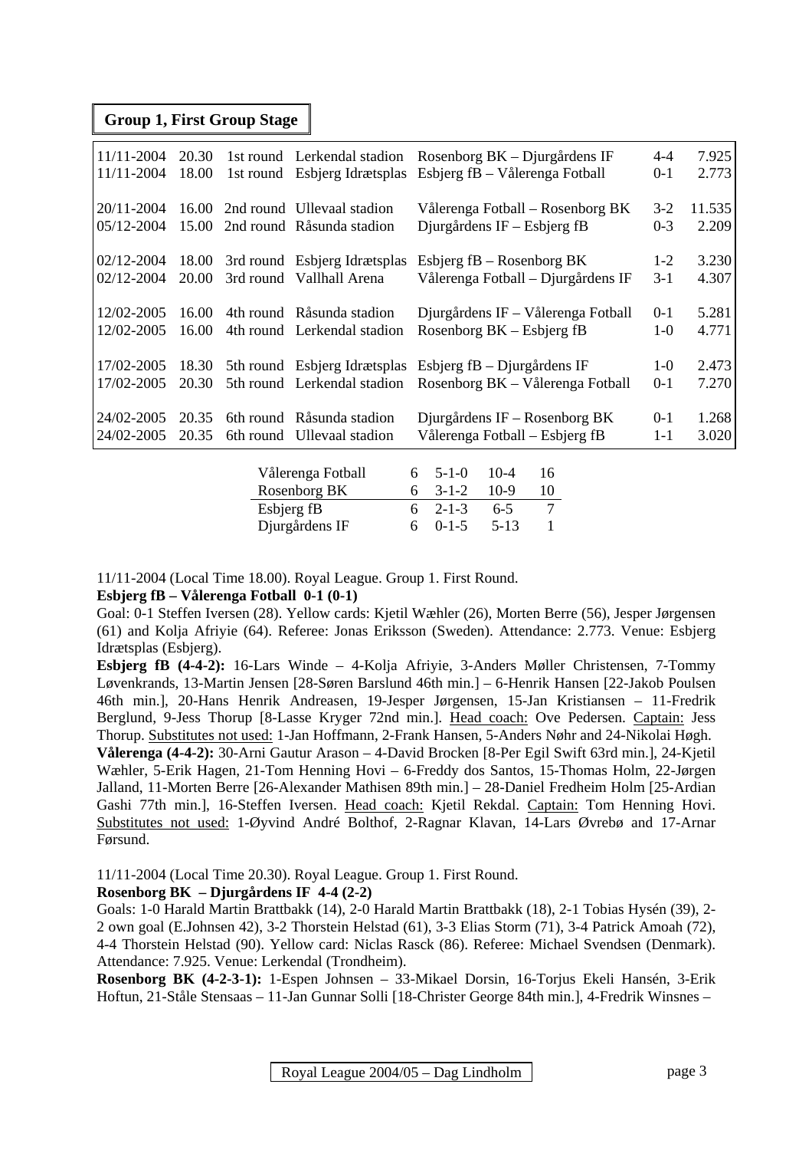#### **Group 1, First Group Stage**

| 11/11-2004     | 20.30 |                              | 1st round Lerkendal stadion Rosenborg BK – Djurgårdens IF   | $4 - 4$ | 7.925  |
|----------------|-------|------------------------------|-------------------------------------------------------------|---------|--------|
| 11/11-2004     | 18.00 |                              | 1st round Esbjerg Idrætsplas Esbjerg fB – Vålerenga Fotball | $0 - 1$ | 2.773  |
|                |       |                              |                                                             |         |        |
| $20/11 - 2004$ | 16.00 | 2nd round Ullevaal stadion   | Vålerenga Fotball – Rosenborg BK                            | $3-2$   | 11.535 |
| 05/12-2004     | 15.00 | 2nd round Råsunda stadion    | Djurgårdens $IF - Esbjerg$ fB                               | $0 - 3$ | 2.209  |
|                |       |                              |                                                             |         |        |
| 02/12-2004     | 18.00 | 3rd round Esbjerg Idrætsplas | Esbjerg $fB - Rosenborg BK$                                 | $1-2$   | 3.230  |
| 02/12-2004     | 20.00 | 3rd round Vallhall Arena     | Vålerenga Fotball – Djurgårdens IF                          | $3-1$   | 4.307  |
|                |       |                              |                                                             |         |        |
| 12/02-2005     | 16.00 | 4th round Råsunda stadion    | Djurgårdens IF – Vålerenga Fotball                          | $0-1$   | 5.281  |
| 12/02-2005     | 16.00 | 4th round Lerkendal stadion  | Rosenborg $BK - Esbjerg$ fB                                 | $1-0$   | 4.771  |
|                |       |                              |                                                             |         |        |
| 17/02-2005     | 18.30 | 5th round Esbjerg Idrætsplas | Esbjerg fB – Djurgårdens IF                                 | $1 - 0$ | 2.473  |
| 17/02-2005     | 20.30 | 5th round Lerkendal stadion  | Rosenborg BK – Vålerenga Fotball                            | $0 - 1$ | 7.270  |
|                |       |                              |                                                             |         |        |
| 24/02-2005     | 20.35 | 6th round Råsunda stadion    | Djurgårdens $IF - Rosenberg$ BK                             | $0 - 1$ | 1.268  |
| 24/02-2005     | 20.35 | 6th round Ullevaal stadion   | Vålerenga Fotball – Esbjerg fB                              | $1 - 1$ | 3.020  |
|                |       |                              |                                                             |         |        |
|                |       | Vålerenga Fotball            | $10-4$<br>16<br>$5 - 1 - 0$<br>6                            |         |        |
|                |       | Rosenborg BK                 | $10-9$<br>10<br>$3 - 1 - 2$<br>6                            |         |        |
|                |       |                              |                                                             |         |        |

11/11-2004 (Local Time 18.00). Royal League. Group 1. First Round.

#### **Esbjerg fB – Vålerenga Fotball 0-1 (0-1)**

Goal: 0-1 Steffen Iversen (28). Yellow cards: Kjetil Wæhler (26), Morten Berre (56), Jesper Jørgensen (61) and Kolja Afriyie (64). Referee: Jonas Eriksson (Sweden). Attendance: 2.773. Venue: Esbjerg Idrætsplas (Esbjerg).

Esbjerg fB 6 2-1-3 6-5 7 Djurgårdens IF 6 0-1-5 5-13 1

**Esbjerg fB (4-4-2):** 16-Lars Winde – 4-Kolja Afriyie, 3-Anders Møller Christensen, 7-Tommy Løvenkrands, 13-Martin Jensen [28-Søren Barslund 46th min.] – 6-Henrik Hansen [22-Jakob Poulsen 46th min.], 20-Hans Henrik Andreasen, 19-Jesper Jørgensen, 15-Jan Kristiansen – 11-Fredrik Berglund, 9-Jess Thorup [8-Lasse Kryger 72nd min.]. Head coach: Ove Pedersen. Captain: Jess Thorup. Substitutes not used: 1-Jan Hoffmann, 2-Frank Hansen, 5-Anders Nøhr and 24-Nikolai Høgh.

**Vålerenga (4-4-2):** 30-Arni Gautur Arason – 4-David Brocken [8-Per Egil Swift 63rd min.], 24-Kjetil Wæhler, 5-Erik Hagen, 21-Tom Henning Hovi – 6-Freddy dos Santos, 15-Thomas Holm, 22-Jørgen Jalland, 11-Morten Berre [26-Alexander Mathisen 89th min.] – 28-Daniel Fredheim Holm [25-Ardian Gashi 77th min.], 16-Steffen Iversen. Head coach: Kjetil Rekdal. Captain: Tom Henning Hovi. Substitutes not used: 1-Øyvind André Bolthof, 2-Ragnar Klavan, 14-Lars Øvrebø and 17-Arnar Førsund.

11/11-2004 (Local Time 20.30). Royal League. Group 1. First Round.

#### **Rosenborg BK – Djurgårdens IF 4-4 (2-2)**

Goals: 1-0 Harald Martin Brattbakk (14), 2-0 Harald Martin Brattbakk (18), 2-1 Tobias Hysén (39), 2- 2 own goal (E.Johnsen 42), 3-2 Thorstein Helstad (61), 3-3 Elias Storm (71), 3-4 Patrick Amoah (72), 4-4 Thorstein Helstad (90). Yellow card: Niclas Rasck (86). Referee: Michael Svendsen (Denmark). Attendance: 7.925. Venue: Lerkendal (Trondheim).

**Rosenborg BK (4-2-3-1):** 1-Espen Johnsen – 33-Mikael Dorsin, 16-Torjus Ekeli Hansén, 3-Erik Hoftun, 21-Ståle Stensaas – 11-Jan Gunnar Solli [18-Christer George 84th min.], 4-Fredrik Winsnes –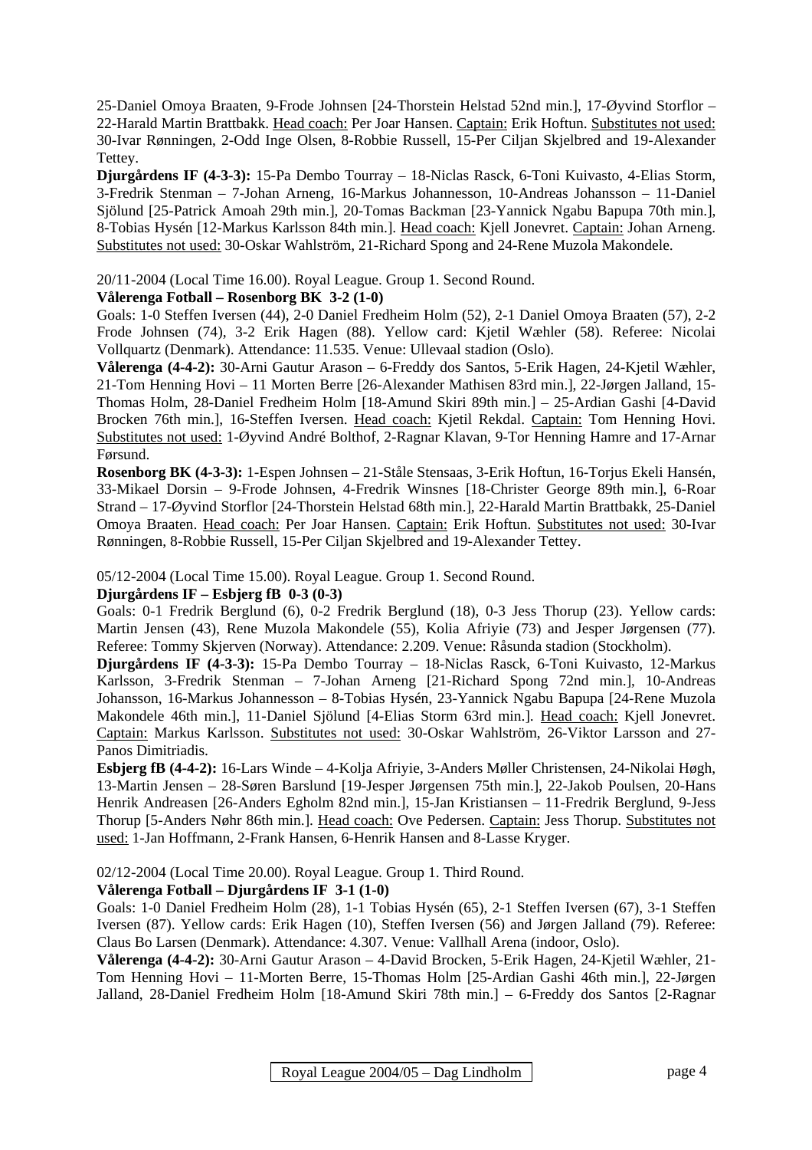25-Daniel Omoya Braaten, 9-Frode Johnsen [24-Thorstein Helstad 52nd min.], 17-Øyvind Storflor – 22-Harald Martin Brattbakk. Head coach: Per Joar Hansen. Captain: Erik Hoftun. Substitutes not used: 30-Ivar Rønningen, 2-Odd Inge Olsen, 8-Robbie Russell, 15-Per Ciljan Skjelbred and 19-Alexander Tettey.

**Djurgårdens IF (4-3-3):** 15-Pa Dembo Tourray – 18-Niclas Rasck, 6-Toni Kuivasto, 4-Elias Storm, 3-Fredrik Stenman – 7-Johan Arneng, 16-Markus Johannesson, 10-Andreas Johansson – 11-Daniel Sjölund [25-Patrick Amoah 29th min.], 20-Tomas Backman [23-Yannick Ngabu Bapupa 70th min.], 8-Tobias Hysén [12-Markus Karlsson 84th min.]. Head coach: Kjell Jonevret. Captain: Johan Arneng. Substitutes not used: 30-Oskar Wahlström, 21-Richard Spong and 24-Rene Muzola Makondele.

20/11-2004 (Local Time 16.00). Royal League. Group 1. Second Round.

#### **Vålerenga Fotball – Rosenborg BK 3-2 (1-0)**

Goals: 1-0 Steffen Iversen (44), 2-0 Daniel Fredheim Holm (52), 2-1 Daniel Omoya Braaten (57), 2-2 Frode Johnsen (74), 3-2 Erik Hagen (88). Yellow card: Kjetil Wæhler (58). Referee: Nicolai Vollquartz (Denmark). Attendance: 11.535. Venue: Ullevaal stadion (Oslo).

**Vålerenga (4-4-2):** 30-Arni Gautur Arason – 6-Freddy dos Santos, 5-Erik Hagen, 24-Kjetil Wæhler, 21-Tom Henning Hovi – 11 Morten Berre [26-Alexander Mathisen 83rd min.], 22-Jørgen Jalland, 15- Thomas Holm, 28-Daniel Fredheim Holm [18-Amund Skiri 89th min.] – 25-Ardian Gashi [4-David Brocken 76th min.], 16-Steffen Iversen. Head coach: Kjetil Rekdal. Captain: Tom Henning Hovi. Substitutes not used: 1-Øyvind André Bolthof, 2-Ragnar Klavan, 9-Tor Henning Hamre and 17-Arnar Førsund.

**Rosenborg BK (4-3-3):** 1-Espen Johnsen – 21-Ståle Stensaas, 3-Erik Hoftun, 16-Torjus Ekeli Hansén, 33-Mikael Dorsin – 9-Frode Johnsen, 4-Fredrik Winsnes [18-Christer George 89th min.], 6-Roar Strand – 17-Øyvind Storflor [24-Thorstein Helstad 68th min.], 22-Harald Martin Brattbakk, 25-Daniel Omoya Braaten. Head coach: Per Joar Hansen. Captain: Erik Hoftun. Substitutes not used: 30-Ivar Rønningen, 8-Robbie Russell, 15-Per Ciljan Skjelbred and 19-Alexander Tettey.

05/12-2004 (Local Time 15.00). Royal League. Group 1. Second Round.

### **Djurgårdens IF – Esbjerg fB 0-3 (0-3)**

Goals: 0-1 Fredrik Berglund (6), 0-2 Fredrik Berglund (18), 0-3 Jess Thorup (23). Yellow cards: Martin Jensen (43), Rene Muzola Makondele (55), Kolia Afriyie (73) and Jesper Jørgensen (77). Referee: Tommy Skjerven (Norway). Attendance: 2.209. Venue: Råsunda stadion (Stockholm).

**Djurgårdens IF (4-3-3):** 15-Pa Dembo Tourray – 18-Niclas Rasck, 6-Toni Kuivasto, 12-Markus Karlsson, 3-Fredrik Stenman – 7-Johan Arneng [21-Richard Spong 72nd min.], 10-Andreas Johansson, 16-Markus Johannesson – 8-Tobias Hysén, 23-Yannick Ngabu Bapupa [24-Rene Muzola Makondele 46th min.], 11-Daniel Sjölund [4-Elias Storm 63rd min.]. Head coach: Kjell Jonevret. Captain: Markus Karlsson. Substitutes not used: 30-Oskar Wahlström, 26-Viktor Larsson and 27- Panos Dimitriadis.

**Esbjerg fB (4-4-2):** 16-Lars Winde – 4-Kolja Afriyie, 3-Anders Møller Christensen, 24-Nikolai Høgh, 13-Martin Jensen – 28-Søren Barslund [19-Jesper Jørgensen 75th min.], 22-Jakob Poulsen, 20-Hans Henrik Andreasen [26-Anders Egholm 82nd min.], 15-Jan Kristiansen – 11-Fredrik Berglund, 9-Jess Thorup [5-Anders Nøhr 86th min.]. Head coach: Ove Pedersen. Captain: Jess Thorup. Substitutes not used: 1-Jan Hoffmann, 2-Frank Hansen, 6-Henrik Hansen and 8-Lasse Kryger.

02/12-2004 (Local Time 20.00). Royal League. Group 1. Third Round.

### **Vålerenga Fotball – Djurgårdens IF 3-1 (1-0)**

Goals: 1-0 Daniel Fredheim Holm (28), 1-1 Tobias Hysén (65), 2-1 Steffen Iversen (67), 3-1 Steffen Iversen (87). Yellow cards: Erik Hagen (10), Steffen Iversen (56) and Jørgen Jalland (79). Referee: Claus Bo Larsen (Denmark). Attendance: 4.307. Venue: Vallhall Arena (indoor, Oslo).

**Vålerenga (4-4-2):** 30-Arni Gautur Arason – 4-David Brocken, 5-Erik Hagen, 24-Kjetil Wæhler, 21- Tom Henning Hovi – 11-Morten Berre, 15-Thomas Holm [25-Ardian Gashi 46th min.], 22-Jørgen Jalland, 28-Daniel Fredheim Holm [18-Amund Skiri 78th min.] – 6-Freddy dos Santos [2-Ragnar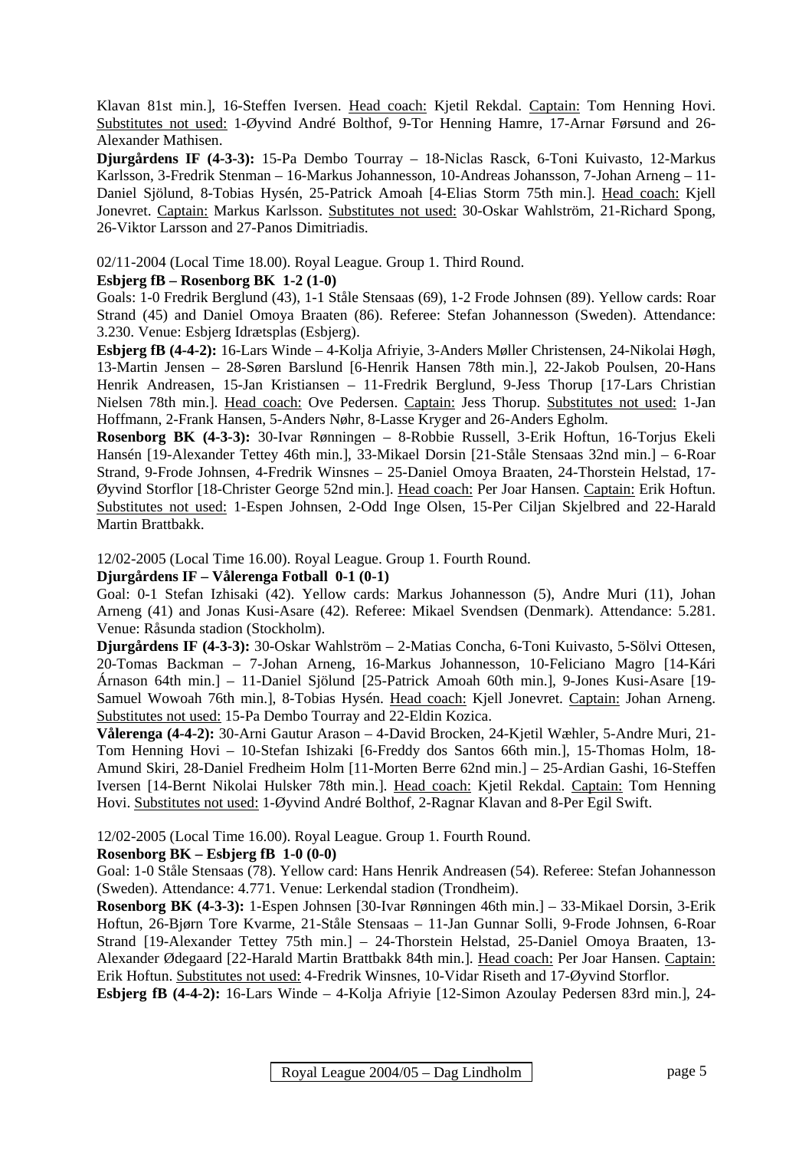Klavan 81st min.], 16-Steffen Iversen. Head coach: Kjetil Rekdal. Captain: Tom Henning Hovi. Substitutes not used: 1-Øyvind André Bolthof, 9-Tor Henning Hamre, 17-Arnar Førsund and 26- Alexander Mathisen.

**Djurgårdens IF (4-3-3):** 15-Pa Dembo Tourray – 18-Niclas Rasck, 6-Toni Kuivasto, 12-Markus Karlsson, 3-Fredrik Stenman – 16-Markus Johannesson, 10-Andreas Johansson, 7-Johan Arneng – 11- Daniel Sjölund, 8-Tobias Hysén, 25-Patrick Amoah [4-Elias Storm 75th min.]. Head coach: Kjell Jonevret. Captain: Markus Karlsson. Substitutes not used: 30-Oskar Wahlström, 21-Richard Spong, 26-Viktor Larsson and 27-Panos Dimitriadis.

02/11-2004 (Local Time 18.00). Royal League. Group 1. Third Round.

#### **Esbjerg fB – Rosenborg BK 1-2 (1-0)**

Goals: 1-0 Fredrik Berglund (43), 1-1 Ståle Stensaas (69), 1-2 Frode Johnsen (89). Yellow cards: Roar Strand (45) and Daniel Omoya Braaten (86). Referee: Stefan Johannesson (Sweden). Attendance: 3.230. Venue: Esbjerg Idrætsplas (Esbjerg).

**Esbjerg fB (4-4-2):** 16-Lars Winde – 4-Kolja Afriyie, 3-Anders Møller Christensen, 24-Nikolai Høgh, 13-Martin Jensen – 28-Søren Barslund [6-Henrik Hansen 78th min.], 22-Jakob Poulsen, 20-Hans Henrik Andreasen, 15-Jan Kristiansen – 11-Fredrik Berglund, 9-Jess Thorup [17-Lars Christian Nielsen 78th min.]. Head coach: Ove Pedersen. Captain: Jess Thorup. Substitutes not used: 1-Jan Hoffmann, 2-Frank Hansen, 5-Anders Nøhr, 8-Lasse Kryger and 26-Anders Egholm.

**Rosenborg BK (4-3-3):** 30-Ivar Rønningen – 8-Robbie Russell, 3-Erik Hoftun, 16-Torjus Ekeli Hansén [19-Alexander Tettey 46th min.], 33-Mikael Dorsin [21-Ståle Stensaas 32nd min.] – 6-Roar Strand, 9-Frode Johnsen, 4-Fredrik Winsnes – 25-Daniel Omoya Braaten, 24-Thorstein Helstad, 17- Øyvind Storflor [18-Christer George 52nd min.]. Head coach: Per Joar Hansen. Captain: Erik Hoftun. Substitutes not used: 1-Espen Johnsen, 2-Odd Inge Olsen, 15-Per Ciljan Skjelbred and 22-Harald Martin Brattbakk.

12/02-2005 (Local Time 16.00). Royal League. Group 1. Fourth Round.

#### **Djurgårdens IF – Vålerenga Fotball 0-1 (0-1)**

Goal: 0-1 Stefan Izhisaki (42). Yellow cards: Markus Johannesson (5), Andre Muri (11), Johan Arneng (41) and Jonas Kusi-Asare (42). Referee: Mikael Svendsen (Denmark). Attendance: 5.281. Venue: Råsunda stadion (Stockholm).

**Djurgårdens IF (4-3-3):** 30-Oskar Wahlström – 2-Matias Concha, 6-Toni Kuivasto, 5-Sölvi Ottesen, 20-Tomas Backman – 7-Johan Arneng, 16-Markus Johannesson, 10-Feliciano Magro [14-Kári Árnason 64th min.] – 11-Daniel Sjölund [25-Patrick Amoah 60th min.], 9-Jones Kusi-Asare [19- Samuel Wowoah 76th min.], 8-Tobias Hysén. Head coach: Kjell Jonevret. Captain: Johan Arneng. Substitutes not used: 15-Pa Dembo Tourray and 22-Eldin Kozica.

**Vålerenga (4-4-2):** 30-Arni Gautur Arason – 4-David Brocken, 24-Kjetil Wæhler, 5-Andre Muri, 21- Tom Henning Hovi – 10-Stefan Ishizaki [6-Freddy dos Santos 66th min.], 15-Thomas Holm, 18- Amund Skiri, 28-Daniel Fredheim Holm [11-Morten Berre 62nd min.] – 25-Ardian Gashi, 16-Steffen Iversen [14-Bernt Nikolai Hulsker 78th min.]. Head coach: Kjetil Rekdal. Captain: Tom Henning Hovi. Substitutes not used: 1-Øyvind André Bolthof, 2-Ragnar Klavan and 8-Per Egil Swift.

12/02-2005 (Local Time 16.00). Royal League. Group 1. Fourth Round.

#### **Rosenborg BK – Esbjerg fB 1-0 (0-0)**

Goal: 1-0 Ståle Stensaas (78). Yellow card: Hans Henrik Andreasen (54). Referee: Stefan Johannesson (Sweden). Attendance: 4.771. Venue: Lerkendal stadion (Trondheim).

**Rosenborg BK (4-3-3):** 1-Espen Johnsen [30-Ivar Rønningen 46th min.] – 33-Mikael Dorsin, 3-Erik Hoftun, 26-Bjørn Tore Kvarme, 21-Ståle Stensaas – 11-Jan Gunnar Solli, 9-Frode Johnsen, 6-Roar Strand [19-Alexander Tettey 75th min.] – 24-Thorstein Helstad, 25-Daniel Omoya Braaten, 13- Alexander Ødegaard [22-Harald Martin Brattbakk 84th min.]. Head coach: Per Joar Hansen. Captain: Erik Hoftun. Substitutes not used: 4-Fredrik Winsnes, 10-Vidar Riseth and 17-Øyvind Storflor.

**Esbjerg fB (4-4-2):** 16-Lars Winde – 4-Kolja Afriyie [12-Simon Azoulay Pedersen 83rd min.], 24-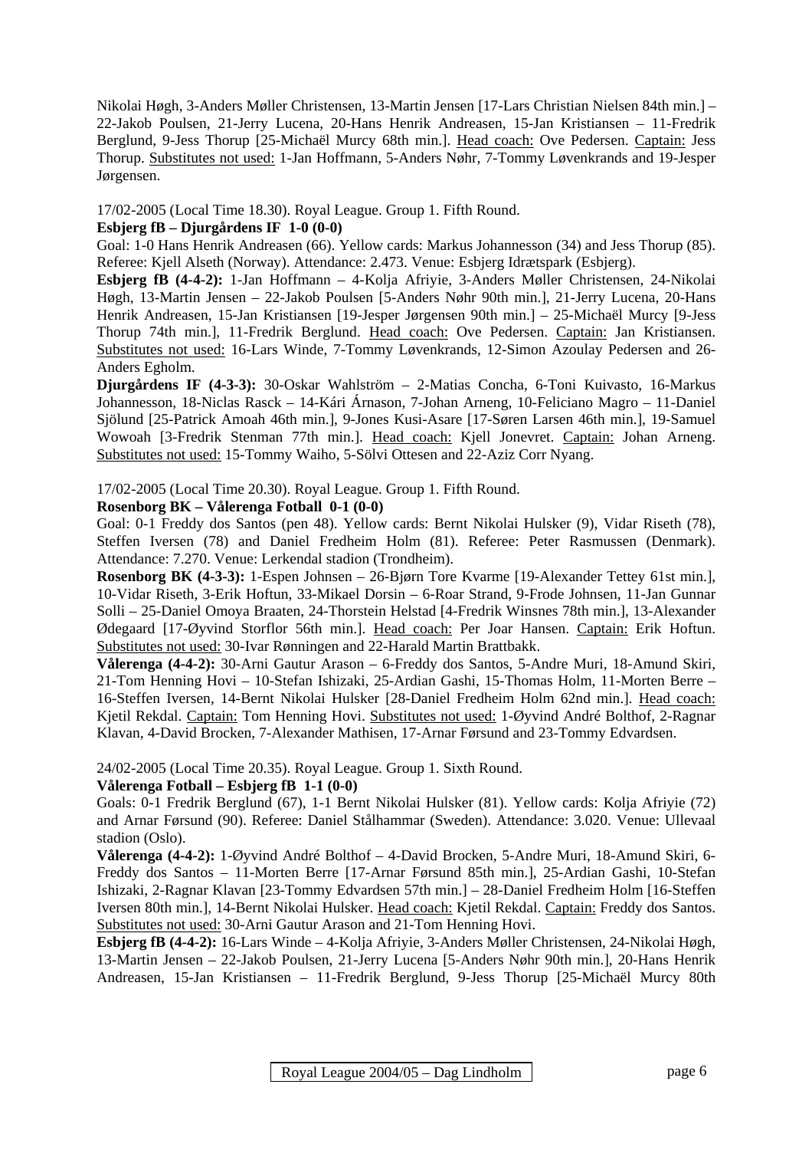Nikolai Høgh, 3-Anders Møller Christensen, 13-Martin Jensen [17-Lars Christian Nielsen 84th min.] – 22-Jakob Poulsen, 21-Jerry Lucena, 20-Hans Henrik Andreasen, 15-Jan Kristiansen – 11-Fredrik Berglund, 9-Jess Thorup [25-Michaël Murcy 68th min.]. Head coach: Ove Pedersen. Captain: Jess Thorup. Substitutes not used: 1-Jan Hoffmann, 5-Anders Nøhr, 7-Tommy Løvenkrands and 19-Jesper Jørgensen.

17/02-2005 (Local Time 18.30). Royal League. Group 1. Fifth Round.

#### **Esbjerg fB – Djurgårdens IF 1-0 (0-0)**

Goal: 1-0 Hans Henrik Andreasen (66). Yellow cards: Markus Johannesson (34) and Jess Thorup (85). Referee: Kjell Alseth (Norway). Attendance: 2.473. Venue: Esbjerg Idrætspark (Esbjerg).

**Esbjerg fB (4-4-2):** 1-Jan Hoffmann – 4-Kolja Afriyie, 3-Anders Møller Christensen, 24-Nikolai Høgh, 13-Martin Jensen – 22-Jakob Poulsen [5-Anders Nøhr 90th min.], 21-Jerry Lucena, 20-Hans Henrik Andreasen, 15-Jan Kristiansen [19-Jesper Jørgensen 90th min.] – 25-Michaël Murcy [9-Jess Thorup 74th min.], 11-Fredrik Berglund. Head coach: Ove Pedersen. Captain: Jan Kristiansen. Substitutes not used: 16-Lars Winde, 7-Tommy Løvenkrands, 12-Simon Azoulay Pedersen and 26- Anders Egholm.

**Djurgårdens IF (4-3-3):** 30-Oskar Wahlström – 2-Matias Concha, 6-Toni Kuivasto, 16-Markus Johannesson, 18-Niclas Rasck – 14-Kári Árnason, 7-Johan Arneng, 10-Feliciano Magro – 11-Daniel Sjölund [25-Patrick Amoah 46th min.], 9-Jones Kusi-Asare [17-Søren Larsen 46th min.], 19-Samuel Wowoah [3-Fredrik Stenman 77th min.]. Head coach: Kjell Jonevret. Captain: Johan Arneng. Substitutes not used: 15-Tommy Waiho, 5-Sölvi Ottesen and 22-Aziz Corr Nyang.

17/02-2005 (Local Time 20.30). Royal League. Group 1. Fifth Round.

#### **Rosenborg BK – Vålerenga Fotball 0-1 (0-0)**

Goal: 0-1 Freddy dos Santos (pen 48). Yellow cards: Bernt Nikolai Hulsker (9), Vidar Riseth (78), Steffen Iversen (78) and Daniel Fredheim Holm (81). Referee: Peter Rasmussen (Denmark). Attendance: 7.270. Venue: Lerkendal stadion (Trondheim).

**Rosenborg BK (4-3-3):** 1-Espen Johnsen – 26-Bjørn Tore Kvarme [19-Alexander Tettey 61st min.], 10-Vidar Riseth, 3-Erik Hoftun, 33-Mikael Dorsin – 6-Roar Strand, 9-Frode Johnsen, 11-Jan Gunnar Solli – 25-Daniel Omoya Braaten, 24-Thorstein Helstad [4-Fredrik Winsnes 78th min.], 13-Alexander Ødegaard [17-Øyvind Storflor 56th min.]. Head coach: Per Joar Hansen. Captain: Erik Hoftun. Substitutes not used: 30-Ivar Rønningen and 22-Harald Martin Brattbakk.

**Vålerenga (4-4-2):** 30-Arni Gautur Arason – 6-Freddy dos Santos, 5-Andre Muri, 18-Amund Skiri, 21-Tom Henning Hovi – 10-Stefan Ishizaki, 25-Ardian Gashi, 15-Thomas Holm, 11-Morten Berre – 16-Steffen Iversen, 14-Bernt Nikolai Hulsker [28-Daniel Fredheim Holm 62nd min.]. Head coach: Kjetil Rekdal. Captain: Tom Henning Hovi. Substitutes not used: 1-Øyvind André Bolthof, 2-Ragnar Klavan, 4-David Brocken, 7-Alexander Mathisen, 17-Arnar Førsund and 23-Tommy Edvardsen.

24/02-2005 (Local Time 20.35). Royal League. Group 1. Sixth Round.

#### **Vålerenga Fotball – Esbjerg fB 1-1 (0-0)**

Goals: 0-1 Fredrik Berglund (67), 1-1 Bernt Nikolai Hulsker (81). Yellow cards: Kolja Afriyie (72) and Arnar Førsund (90). Referee: Daniel Stålhammar (Sweden). Attendance: 3.020. Venue: Ullevaal stadion (Oslo).

**Vålerenga (4-4-2):** 1-Øyvind André Bolthof – 4-David Brocken, 5-Andre Muri, 18-Amund Skiri, 6- Freddy dos Santos – 11-Morten Berre [17-Arnar Førsund 85th min.], 25-Ardian Gashi, 10-Stefan Ishizaki, 2-Ragnar Klavan [23-Tommy Edvardsen 57th min.] – 28-Daniel Fredheim Holm [16-Steffen Iversen 80th min.], 14-Bernt Nikolai Hulsker. Head coach: Kjetil Rekdal. Captain: Freddy dos Santos. Substitutes not used: 30-Arni Gautur Arason and 21-Tom Henning Hovi.

**Esbjerg fB (4-4-2):** 16-Lars Winde – 4-Kolja Afriyie, 3-Anders Møller Christensen, 24-Nikolai Høgh, 13-Martin Jensen – 22-Jakob Poulsen, 21-Jerry Lucena [5-Anders Nøhr 90th min.], 20-Hans Henrik Andreasen, 15-Jan Kristiansen – 11-Fredrik Berglund, 9-Jess Thorup [25-Michaël Murcy 80th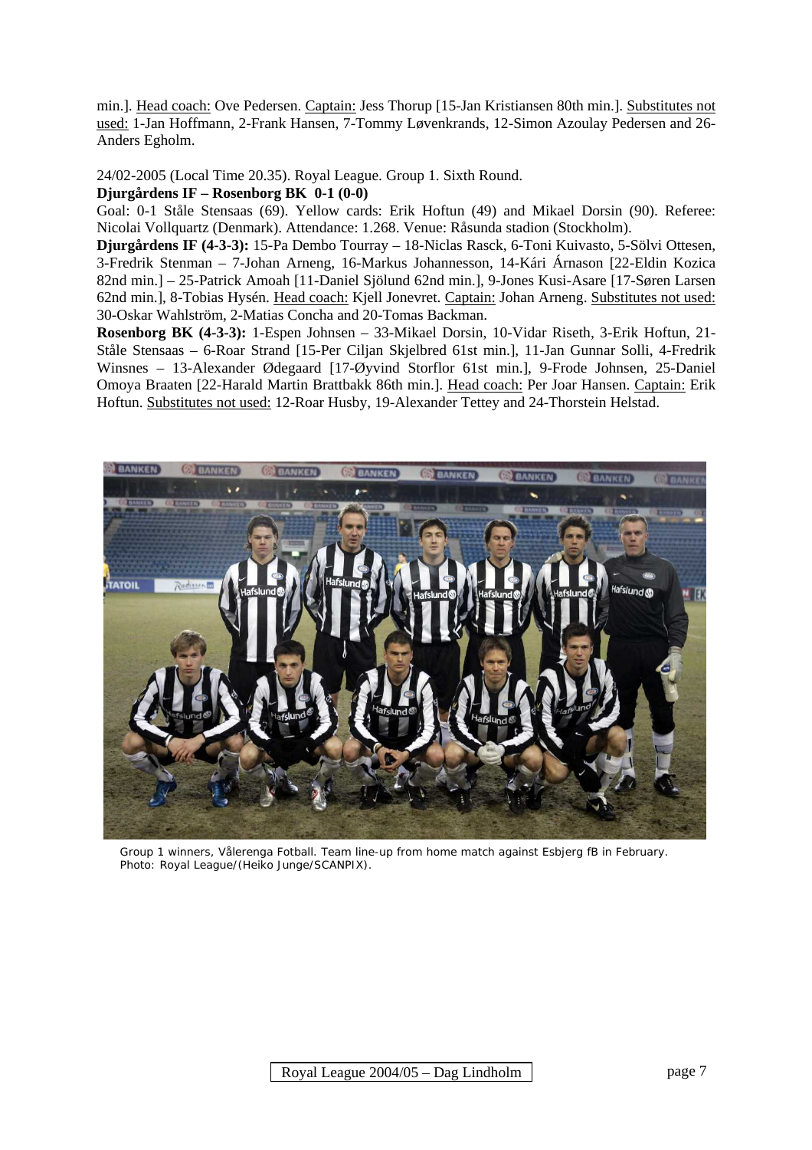min.]. Head coach: Ove Pedersen. Captain: Jess Thorup [15-Jan Kristiansen 80th min.]. Substitutes not used: 1-Jan Hoffmann, 2-Frank Hansen, 7-Tommy Løvenkrands, 12-Simon Azoulay Pedersen and 26- Anders Egholm.

24/02-2005 (Local Time 20.35). Royal League. Group 1. Sixth Round.

#### **Djurgårdens IF – Rosenborg BK 0-1 (0-0)**

Goal: 0-1 Ståle Stensaas (69). Yellow cards: Erik Hoftun (49) and Mikael Dorsin (90). Referee: Nicolai Vollquartz (Denmark). Attendance: 1.268. Venue: Råsunda stadion (Stockholm).

**Djurgårdens IF (4-3-3):** 15-Pa Dembo Tourray – 18-Niclas Rasck, 6-Toni Kuivasto, 5-Sölvi Ottesen, 3-Fredrik Stenman – 7-Johan Arneng, 16-Markus Johannesson, 14-Kári Árnason [22-Eldin Kozica 82nd min.] – 25-Patrick Amoah [11-Daniel Sjölund 62nd min.], 9-Jones Kusi-Asare [17-Søren Larsen 62nd min.], 8-Tobias Hysén. Head coach: Kjell Jonevret. Captain: Johan Arneng. Substitutes not used: 30-Oskar Wahlström, 2-Matias Concha and 20-Tomas Backman.

**Rosenborg BK (4-3-3):** 1-Espen Johnsen – 33-Mikael Dorsin, 10-Vidar Riseth, 3-Erik Hoftun, 21- Ståle Stensaas – 6-Roar Strand [15-Per Ciljan Skjelbred 61st min.], 11-Jan Gunnar Solli, 4-Fredrik Winsnes – 13-Alexander Ødegaard [17-Øyvind Storflor 61st min.], 9-Frode Johnsen, 25-Daniel Omoya Braaten [22-Harald Martin Brattbakk 86th min.]. Head coach: Per Joar Hansen. Captain: Erik Hoftun. Substitutes not used: 12-Roar Husby, 19-Alexander Tettey and 24-Thorstein Helstad.



 Group 1 winners, Vålerenga Fotball. Team line-up from home match against Esbjerg fB in February. Photo: Royal League/(Heiko Junge/SCANPIX).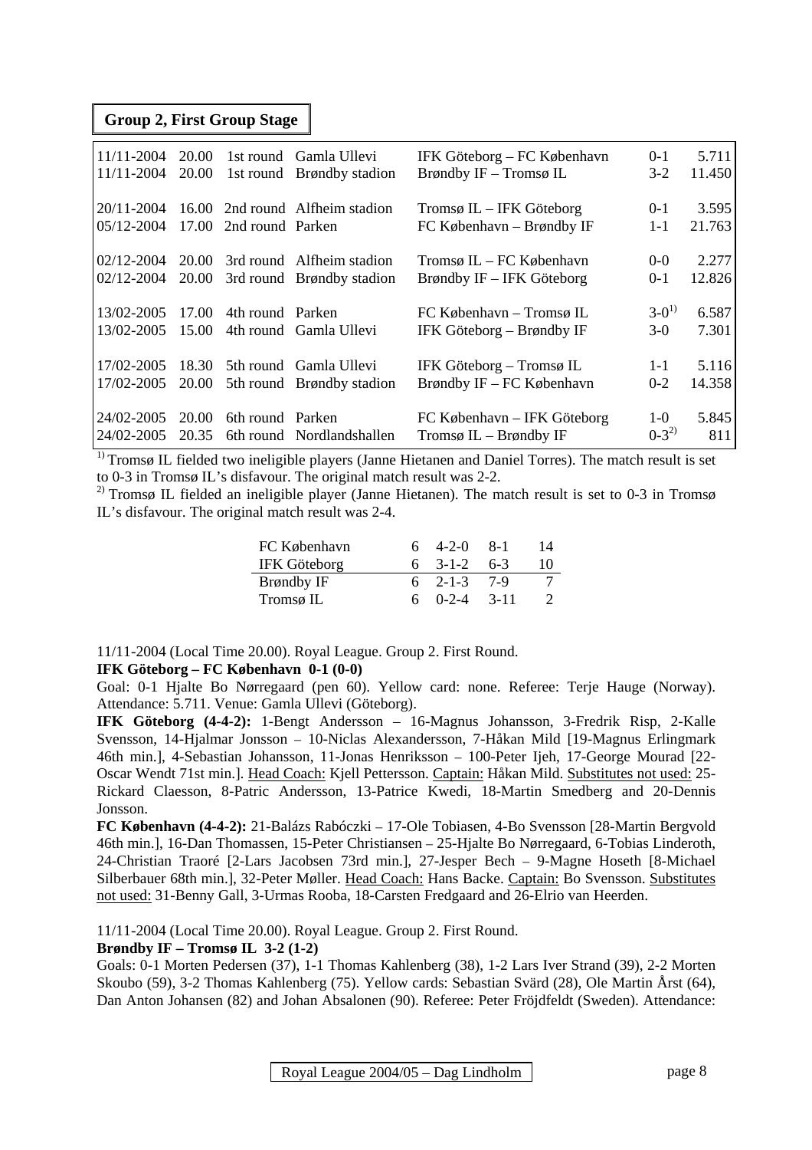#### **Group 2, First Group Stage**

| $11/11 - 2004$<br>$11/11 - 2004$ | 20.00<br>20.00 |                  | 1st round Gamla Ullevi<br>1st round Brøndby stadion          | IFK Göteborg – FC København<br>Brøndby IF – Tromsø IL   | $0-1$<br>$3-2$     | 5.711<br>11.450 |
|----------------------------------|----------------|------------------|--------------------------------------------------------------|---------------------------------------------------------|--------------------|-----------------|
| 20/11-2004<br>  05/12-2004       | 17.00          | 2nd round Parken | 16.00 2nd round Alfheim stadion                              | Tromsø IL – IFK Göteborg<br>FC København – Brøndby IF   | $0 - 1$<br>$1 - 1$ | 3.595<br>21.763 |
| $02/12 - 2004$<br>$02/12 - 2004$ | 20.00          |                  | 20.00 3rd round Alfheim stadion<br>3rd round Brøndby stadion | Tromsø IL – FC København<br>Brøndby IF – IFK Göteborg   | $0 - 0$<br>$0 - 1$ | 2.277<br>12.826 |
| 13/02-2005<br>13/02-2005         | 17.00<br>15.00 | 4th round Parken | 4th round Gamla Ullevi                                       | FC København – Tromsø IL<br>IFK Göteborg – Brøndby IF   | $3-0^{1}$<br>$3-0$ | 6.587<br>7.301  |
| 17/02-2005<br>17/02-2005         | 18.30<br>20.00 |                  | 5th round Gamla Ullevi<br>5th round Brøndby stadion          | IFK Göteborg – Tromsø IL<br>Brøndby IF – FC København   | $1 - 1$<br>$0 - 2$ | 5.116<br>14.358 |
| 24/02-2005<br>  24/02-2005       | 20.00<br>20.35 | 6th round Parken | 6th round Nordlandshallen                                    | FC København – IFK Göteborg<br>Tromsø $IL - Brøndby IF$ | $1-0$<br>$0-3^{2}$ | 5.845<br>811    |

<sup>1)</sup> Tromsø IL fielded two ineligible players (Janne Hietanen and Daniel Torres). The match result is set to 0-3 in Tromsø IL's disfavour. The original match result was 2-2.

<sup>2)</sup> Tromsø IL fielded an ineligible player (Janne Hietanen). The match result is set to 0-3 in Tromsø IL's disfavour. The original match result was 2-4.

| FC København | $6 \quad 4-2-0 \quad 8-1$ |       | 14            |
|--------------|---------------------------|-------|---------------|
| IFK Göteborg | $6 \quad 3-1-2 \quad 6-3$ |       | 10            |
| Brøndby IF   | $6 \quad 2-1-3$           | 7-9   |               |
| Tromsø IL    | $6 \quad 0-2-4$           | -3-11 | $\mathcal{L}$ |

11/11-2004 (Local Time 20.00). Royal League. Group 2. First Round. **IFK Göteborg – FC København 0-1 (0-0)** 

Goal: 0-1 Hialte Bo Nørregaard (pen 60). Yellow card: none. Referee: Terie Hauge (Norway). Attendance: 5.711. Venue: Gamla Ullevi (Göteborg).

**IFK Göteborg (4-4-2):** 1-Bengt Andersson – 16-Magnus Johansson, 3-Fredrik Risp, 2-Kalle Svensson, 14-Hjalmar Jonsson – 10-Niclas Alexandersson, 7-Håkan Mild [19-Magnus Erlingmark 46th min.], 4-Sebastian Johansson, 11-Jonas Henriksson – 100-Peter Ijeh, 17-George Mourad [22- Oscar Wendt 71st min.]. Head Coach: Kjell Pettersson. Captain: Håkan Mild. Substitutes not used: 25- Rickard Claesson, 8-Patric Andersson, 13-Patrice Kwedi, 18-Martin Smedberg and 20-Dennis Jonsson.

**FC København (4-4-2):** 21-Balázs Rabóczki – 17-Ole Tobiasen, 4-Bo Svensson [28-Martin Bergvold 46th min.], 16-Dan Thomassen, 15-Peter Christiansen – 25-Hjalte Bo Nørregaard, 6-Tobias Linderoth, 24-Christian Traoré [2-Lars Jacobsen 73rd min.], 27-Jesper Bech – 9-Magne Hoseth [8-Michael Silberbauer 68th min.], 32-Peter Møller. Head Coach: Hans Backe. Captain: Bo Svensson. Substitutes not used: 31-Benny Gall, 3-Urmas Rooba, 18-Carsten Fredgaard and 26-Elrio van Heerden.

11/11-2004 (Local Time 20.00). Royal League. Group 2. First Round.

#### **Brøndby IF – Tromsø IL 3-2 (1-2)**

Goals: 0-1 Morten Pedersen (37), 1-1 Thomas Kahlenberg (38), 1-2 Lars Iver Strand (39), 2-2 Morten Skoubo (59), 3-2 Thomas Kahlenberg (75). Yellow cards: Sebastian Svärd (28), Ole Martin Årst (64), Dan Anton Johansen (82) and Johan Absalonen (90). Referee: Peter Fröjdfeldt (Sweden). Attendance: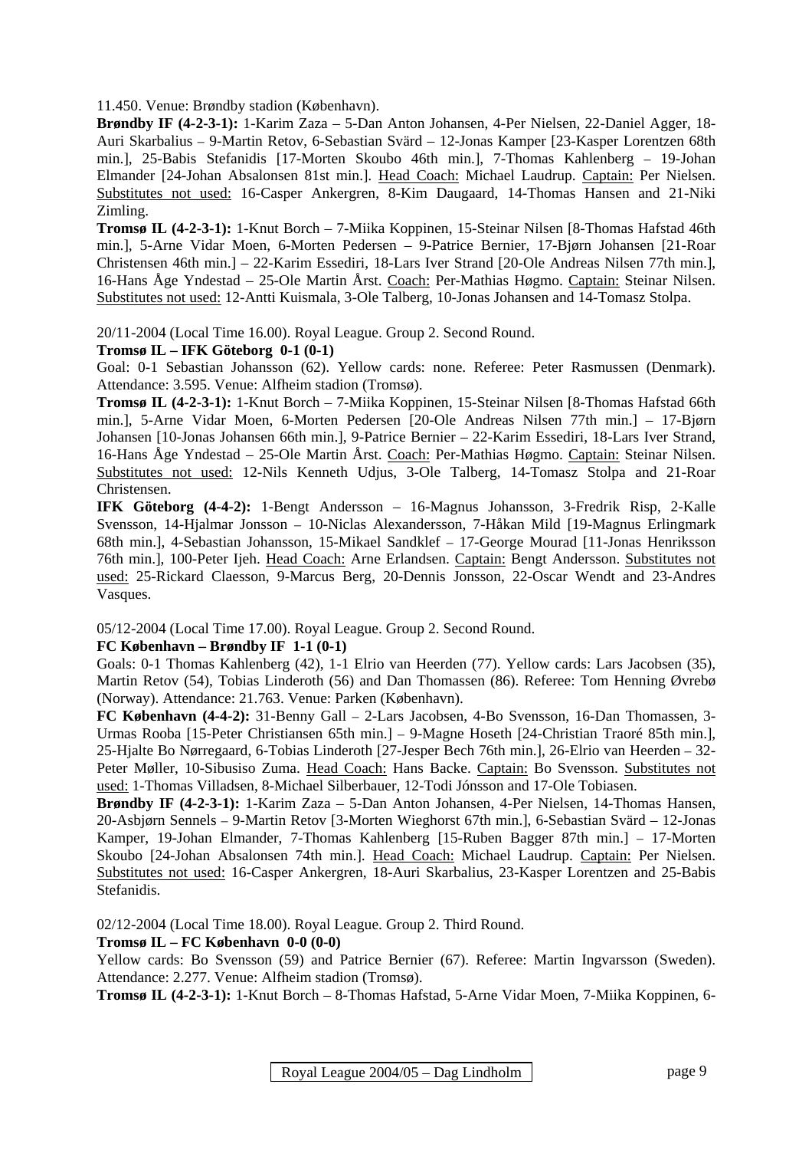11.450. Venue: Brøndby stadion (København).

**Brøndby IF (4-2-3-1):** 1-Karim Zaza – 5-Dan Anton Johansen, 4-Per Nielsen, 22-Daniel Agger, 18- Auri Skarbalius – 9-Martin Retov, 6-Sebastian Svärd – 12-Jonas Kamper [23-Kasper Lorentzen 68th min.], 25-Babis Stefanidis [17-Morten Skoubo 46th min.], 7-Thomas Kahlenberg – 19-Johan Elmander [24-Johan Absalonsen 81st min.]. Head Coach: Michael Laudrup. Captain: Per Nielsen. Substitutes not used: 16-Casper Ankergren, 8-Kim Daugaard, 14-Thomas Hansen and 21-Niki Zimling.

**Tromsø IL (4-2-3-1):** 1-Knut Borch – 7-Miika Koppinen, 15-Steinar Nilsen [8-Thomas Hafstad 46th min.], 5-Arne Vidar Moen, 6-Morten Pedersen – 9-Patrice Bernier, 17-Bjørn Johansen [21-Roar Christensen 46th min.] – 22-Karim Essediri, 18-Lars Iver Strand [20-Ole Andreas Nilsen 77th min.], 16-Hans Åge Yndestad – 25-Ole Martin Årst. Coach: Per-Mathias Høgmo. Captain: Steinar Nilsen. Substitutes not used: 12-Antti Kuismala, 3-Ole Talberg, 10-Jonas Johansen and 14-Tomasz Stolpa.

20/11-2004 (Local Time 16.00). Royal League. Group 2. Second Round.

**Tromsø IL – IFK Göteborg 0-1 (0-1)** 

Goal: 0-1 Sebastian Johansson (62). Yellow cards: none. Referee: Peter Rasmussen (Denmark). Attendance: 3.595. Venue: Alfheim stadion (Tromsø).

**Tromsø IL (4-2-3-1):** 1-Knut Borch – 7-Miika Koppinen, 15-Steinar Nilsen [8-Thomas Hafstad 66th min.], 5-Arne Vidar Moen, 6-Morten Pedersen [20-Ole Andreas Nilsen 77th min.] – 17-Bjørn Johansen [10-Jonas Johansen 66th min.], 9-Patrice Bernier – 22-Karim Essediri, 18-Lars Iver Strand, 16-Hans Åge Yndestad – 25-Ole Martin Årst. Coach: Per-Mathias Høgmo. Captain: Steinar Nilsen. Substitutes not used: 12-Nils Kenneth Udjus, 3-Ole Talberg, 14-Tomasz Stolpa and 21-Roar Christensen.

**IFK Göteborg (4-4-2):** 1-Bengt Andersson – 16-Magnus Johansson, 3-Fredrik Risp, 2-Kalle Svensson, 14-Hjalmar Jonsson – 10-Niclas Alexandersson, 7-Håkan Mild [19-Magnus Erlingmark 68th min.], 4-Sebastian Johansson, 15-Mikael Sandklef – 17-George Mourad [11-Jonas Henriksson 76th min.], 100-Peter Ijeh. Head Coach: Arne Erlandsen. Captain: Bengt Andersson. Substitutes not used: 25-Rickard Claesson, 9-Marcus Berg, 20-Dennis Jonsson, 22-Oscar Wendt and 23-Andres Vasques.

05/12-2004 (Local Time 17.00). Royal League. Group 2. Second Round.

#### **FC København – Brøndby IF 1-1 (0-1)**

Goals: 0-1 Thomas Kahlenberg (42), 1-1 Elrio van Heerden (77). Yellow cards: Lars Jacobsen (35), Martin Retov (54), Tobias Linderoth (56) and Dan Thomassen (86). Referee: Tom Henning Øvrebø (Norway). Attendance: 21.763. Venue: Parken (København).

**FC København (4-4-2):** 31-Benny Gall – 2-Lars Jacobsen, 4-Bo Svensson, 16-Dan Thomassen, 3- Urmas Rooba [15-Peter Christiansen 65th min.] – 9-Magne Hoseth [24-Christian Traoré 85th min.], 25-Hjalte Bo Nørregaard, 6-Tobias Linderoth [27-Jesper Bech 76th min.], 26-Elrio van Heerden – 32- Peter Møller, 10-Sibusiso Zuma. Head Coach: Hans Backe. Captain: Bo Svensson. Substitutes not used: 1-Thomas Villadsen, 8-Michael Silberbauer, 12-Todi Jónsson and 17-Ole Tobiasen.

**Brøndby IF (4-2-3-1):** 1-Karim Zaza – 5-Dan Anton Johansen, 4-Per Nielsen, 14-Thomas Hansen, 20-Asbjørn Sennels – 9-Martin Retov [3-Morten Wieghorst 67th min.], 6-Sebastian Svärd – 12-Jonas Kamper, 19-Johan Elmander, 7-Thomas Kahlenberg [15-Ruben Bagger 87th min.] – 17-Morten Skoubo [24-Johan Absalonsen 74th min.]. Head Coach: Michael Laudrup. Captain: Per Nielsen. Substitutes not used: 16-Casper Ankergren, 18-Auri Skarbalius, 23-Kasper Lorentzen and 25-Babis Stefanidis.

02/12-2004 (Local Time 18.00). Royal League. Group 2. Third Round.

#### **Tromsø IL – FC København 0-0 (0-0)**

Yellow cards: Bo Svensson (59) and Patrice Bernier (67). Referee: Martin Ingvarsson (Sweden). Attendance: 2.277. Venue: Alfheim stadion (Tromsø).

**Tromsø IL (4-2-3-1):** 1-Knut Borch – 8-Thomas Hafstad, 5-Arne Vidar Moen, 7-Miika Koppinen, 6-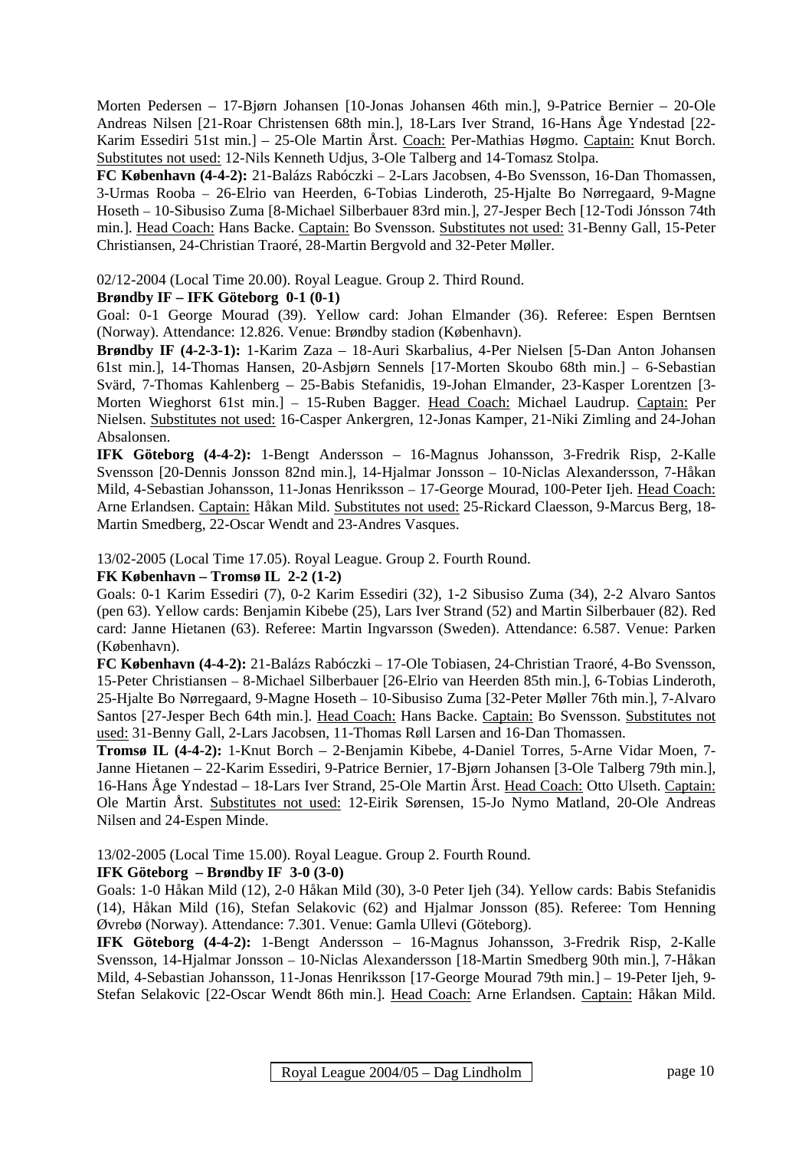Morten Pedersen – 17-Bjørn Johansen [10-Jonas Johansen 46th min.], 9-Patrice Bernier – 20-Ole Andreas Nilsen [21-Roar Christensen 68th min.], 18-Lars Iver Strand, 16-Hans Åge Yndestad [22- Karim Essediri 51st min.] – 25-Ole Martin Årst. Coach: Per-Mathias Høgmo. Captain: Knut Borch. Substitutes not used: 12-Nils Kenneth Udjus, 3-Ole Talberg and 14-Tomasz Stolpa.

**FC København (4-4-2):** 21-Balázs Rabóczki – 2-Lars Jacobsen, 4-Bo Svensson, 16-Dan Thomassen, 3-Urmas Rooba – 26-Elrio van Heerden, 6-Tobias Linderoth, 25-Hjalte Bo Nørregaard, 9-Magne Hoseth – 10-Sibusiso Zuma [8-Michael Silberbauer 83rd min.], 27-Jesper Bech [12-Todi Jónsson 74th min.]. Head Coach: Hans Backe. Captain: Bo Svensson. Substitutes not used: 31-Benny Gall, 15-Peter Christiansen, 24-Christian Traoré, 28-Martin Bergvold and 32-Peter Møller.

02/12-2004 (Local Time 20.00). Royal League. Group 2. Third Round.

#### **Brøndby IF – IFK Göteborg 0-1 (0-1)**

Goal: 0-1 George Mourad (39). Yellow card: Johan Elmander (36). Referee: Espen Berntsen (Norway). Attendance: 12.826. Venue: Brøndby stadion (København).

**Brøndby IF (4-2-3-1):** 1-Karim Zaza – 18-Auri Skarbalius, 4-Per Nielsen [5-Dan Anton Johansen 61st min.], 14-Thomas Hansen, 20-Asbjørn Sennels [17-Morten Skoubo 68th min.] – 6-Sebastian Svärd, 7-Thomas Kahlenberg – 25-Babis Stefanidis, 19-Johan Elmander, 23-Kasper Lorentzen [3- Morten Wieghorst 61st min.] – 15-Ruben Bagger. Head Coach: Michael Laudrup. Captain: Per Nielsen. Substitutes not used: 16-Casper Ankergren, 12-Jonas Kamper, 21-Niki Zimling and 24-Johan Absalonsen.

**IFK Göteborg (4-4-2):** 1-Bengt Andersson – 16-Magnus Johansson, 3-Fredrik Risp, 2-Kalle Svensson [20-Dennis Jonsson 82nd min.], 14-Hjalmar Jonsson – 10-Niclas Alexandersson, 7-Håkan Mild, 4-Sebastian Johansson, 11-Jonas Henriksson – 17-George Mourad, 100-Peter Ijeh. Head Coach: Arne Erlandsen. Captain: Håkan Mild. Substitutes not used: 25-Rickard Claesson, 9-Marcus Berg, 18- Martin Smedberg, 22-Oscar Wendt and 23-Andres Vasques.

13/02-2005 (Local Time 17.05). Royal League. Group 2. Fourth Round.

#### **FK København – Tromsø IL 2-2 (1-2)**

Goals: 0-1 Karim Essediri (7), 0-2 Karim Essediri (32), 1-2 Sibusiso Zuma (34), 2-2 Alvaro Santos (pen 63). Yellow cards: Benjamin Kibebe (25), Lars Iver Strand (52) and Martin Silberbauer (82). Red card: Janne Hietanen (63). Referee: Martin Ingvarsson (Sweden). Attendance: 6.587. Venue: Parken (København).

**FC København (4-4-2):** 21-Balázs Rabóczki – 17-Ole Tobiasen, 24-Christian Traoré, 4-Bo Svensson, 15-Peter Christiansen – 8-Michael Silberbauer [26-Elrio van Heerden 85th min.], 6-Tobias Linderoth, 25-Hjalte Bo Nørregaard, 9-Magne Hoseth – 10-Sibusiso Zuma [32-Peter Møller 76th min.], 7-Alvaro Santos [27-Jesper Bech 64th min.]. Head Coach: Hans Backe. Captain: Bo Svensson. Substitutes not used: 31-Benny Gall, 2-Lars Jacobsen, 11-Thomas Røll Larsen and 16-Dan Thomassen.

**Tromsø IL (4-4-2):** 1-Knut Borch – 2-Benjamin Kibebe, 4-Daniel Torres, 5-Arne Vidar Moen, 7- Janne Hietanen – 22-Karim Essediri, 9-Patrice Bernier, 17-Bjørn Johansen [3-Ole Talberg 79th min.], 16-Hans Åge Yndestad – 18-Lars Iver Strand, 25-Ole Martin Årst. Head Coach: Otto Ulseth. Captain: Ole Martin Årst. Substitutes not used: 12-Eirik Sørensen, 15-Jo Nymo Matland, 20-Ole Andreas Nilsen and 24-Espen Minde.

13/02-2005 (Local Time 15.00). Royal League. Group 2. Fourth Round.

#### **IFK Göteborg – Brøndby IF 3-0 (3-0)**

Goals: 1-0 Håkan Mild (12), 2-0 Håkan Mild (30), 3-0 Peter Ijeh (34). Yellow cards: Babis Stefanidis (14), Håkan Mild (16), Stefan Selakovic (62) and Hjalmar Jonsson (85). Referee: Tom Henning Øvrebø (Norway). Attendance: 7.301. Venue: Gamla Ullevi (Göteborg).

**IFK Göteborg (4-4-2):** 1-Bengt Andersson – 16-Magnus Johansson, 3-Fredrik Risp, 2-Kalle Svensson, 14-Hjalmar Jonsson – 10-Niclas Alexandersson [18-Martin Smedberg 90th min.], 7-Håkan Mild, 4-Sebastian Johansson, 11-Jonas Henriksson [17-George Mourad 79th min.] – 19-Peter Ijeh, 9- Stefan Selakovic [22-Oscar Wendt 86th min.]. Head Coach: Arne Erlandsen. Captain: Håkan Mild.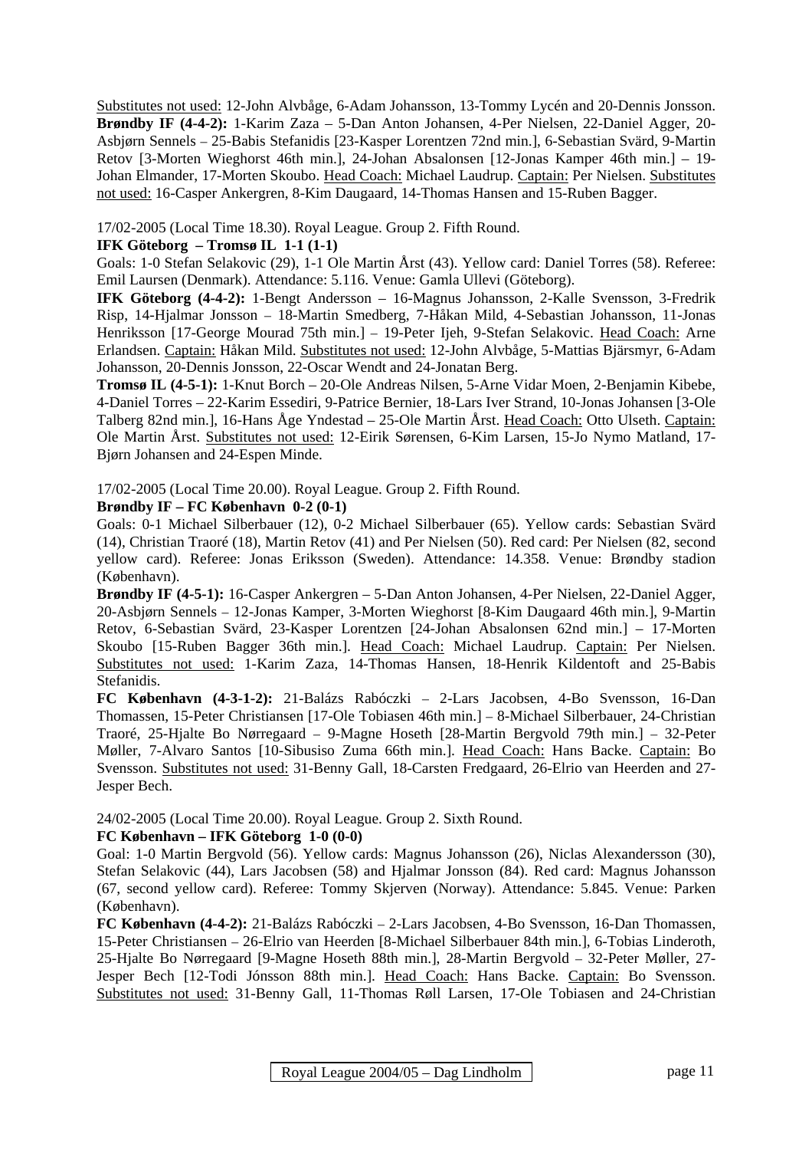Substitutes not used: 12-John Alvbåge, 6-Adam Johansson, 13-Tommy Lycén and 20-Dennis Jonsson. **Brøndby IF (4-4-2):** 1-Karim Zaza – 5-Dan Anton Johansen, 4-Per Nielsen, 22-Daniel Agger, 20- Asbjørn Sennels – 25-Babis Stefanidis [23-Kasper Lorentzen 72nd min.], 6-Sebastian Svärd, 9-Martin Retov [3-Morten Wieghorst 46th min.], 24-Johan Absalonsen [12-Jonas Kamper 46th min.] – 19- Johan Elmander, 17-Morten Skoubo. Head Coach: Michael Laudrup. Captain: Per Nielsen. Substitutes not used: 16-Casper Ankergren, 8-Kim Daugaard, 14-Thomas Hansen and 15-Ruben Bagger.

17/02-2005 (Local Time 18.30). Royal League. Group 2. Fifth Round.

#### **IFK Göteborg – Tromsø IL 1-1 (1-1)**

Goals: 1-0 Stefan Selakovic (29), 1-1 Ole Martin Årst (43). Yellow card: Daniel Torres (58). Referee: Emil Laursen (Denmark). Attendance: 5.116. Venue: Gamla Ullevi (Göteborg).

**IFK Göteborg (4-4-2):** 1-Bengt Andersson – 16-Magnus Johansson, 2-Kalle Svensson, 3-Fredrik Risp, 14-Hjalmar Jonsson – 18-Martin Smedberg, 7-Håkan Mild, 4-Sebastian Johansson, 11-Jonas Henriksson [17-George Mourad 75th min.] – 19-Peter Ijeh, 9-Stefan Selakovic. Head Coach: Arne Erlandsen. Captain: Håkan Mild. Substitutes not used: 12-John Alvbåge, 5-Mattias Bjärsmyr, 6-Adam Johansson, 20-Dennis Jonsson, 22-Oscar Wendt and 24-Jonatan Berg.

**Tromsø IL (4-5-1):** 1-Knut Borch – 20-Ole Andreas Nilsen, 5-Arne Vidar Moen, 2-Benjamin Kibebe, 4-Daniel Torres – 22-Karim Essediri, 9-Patrice Bernier, 18-Lars Iver Strand, 10-Jonas Johansen [3-Ole Talberg 82nd min.], 16-Hans Åge Yndestad – 25-Ole Martin Årst. Head Coach: Otto Ulseth. Captain: Ole Martin Årst. Substitutes not used: 12-Eirik Sørensen, 6-Kim Larsen, 15-Jo Nymo Matland, 17- Bjørn Johansen and 24-Espen Minde.

17/02-2005 (Local Time 20.00). Royal League. Group 2. Fifth Round.

#### **Brøndby IF – FC København 0-2 (0-1)**

Goals: 0-1 Michael Silberbauer (12), 0-2 Michael Silberbauer (65). Yellow cards: Sebastian Svärd (14), Christian Traoré (18), Martin Retov (41) and Per Nielsen (50). Red card: Per Nielsen (82, second yellow card). Referee: Jonas Eriksson (Sweden). Attendance: 14.358. Venue: Brøndby stadion (København).

**Brøndby IF (4-5-1):** 16-Casper Ankergren – 5-Dan Anton Johansen, 4-Per Nielsen, 22-Daniel Agger, 20-Asbjørn Sennels – 12-Jonas Kamper, 3-Morten Wieghorst [8-Kim Daugaard 46th min.], 9-Martin Retov, 6-Sebastian Svärd, 23-Kasper Lorentzen [24-Johan Absalonsen 62nd min.] – 17-Morten Skoubo [15-Ruben Bagger 36th min.]. Head Coach: Michael Laudrup. Captain: Per Nielsen. Substitutes not used: 1-Karim Zaza, 14-Thomas Hansen, 18-Henrik Kildentoft and 25-Babis Stefanidis.

**FC København (4-3-1-2):** 21-Balázs Rabóczki – 2-Lars Jacobsen, 4-Bo Svensson, 16-Dan Thomassen, 15-Peter Christiansen [17-Ole Tobiasen 46th min.] – 8-Michael Silberbauer, 24-Christian Traoré, 25-Hjalte Bo Nørregaard – 9-Magne Hoseth [28-Martin Bergvold 79th min.] – 32-Peter Møller, 7-Alvaro Santos [10-Sibusiso Zuma 66th min.]. Head Coach: Hans Backe. Captain: Bo Svensson. Substitutes not used: 31-Benny Gall, 18-Carsten Fredgaard, 26-Elrio van Heerden and 27- Jesper Bech.

24/02-2005 (Local Time 20.00). Royal League. Group 2. Sixth Round.

#### **FC København – IFK Göteborg 1-0 (0-0)**

Goal: 1-0 Martin Bergvold (56). Yellow cards: Magnus Johansson (26), Niclas Alexandersson (30), Stefan Selakovic (44), Lars Jacobsen (58) and Hjalmar Jonsson (84). Red card: Magnus Johansson (67, second yellow card). Referee: Tommy Skjerven (Norway). Attendance: 5.845. Venue: Parken (København).

**FC København (4-4-2):** 21-Balázs Rabóczki – 2-Lars Jacobsen, 4-Bo Svensson, 16-Dan Thomassen, 15-Peter Christiansen – 26-Elrio van Heerden [8-Michael Silberbauer 84th min.], 6-Tobias Linderoth, 25-Hjalte Bo Nørregaard [9-Magne Hoseth 88th min.], 28-Martin Bergvold – 32-Peter Møller, 27- Jesper Bech [12-Todi Jónsson 88th min.]. Head Coach: Hans Backe. Captain: Bo Svensson. Substitutes not used: 31-Benny Gall, 11-Thomas Røll Larsen, 17-Ole Tobiasen and 24-Christian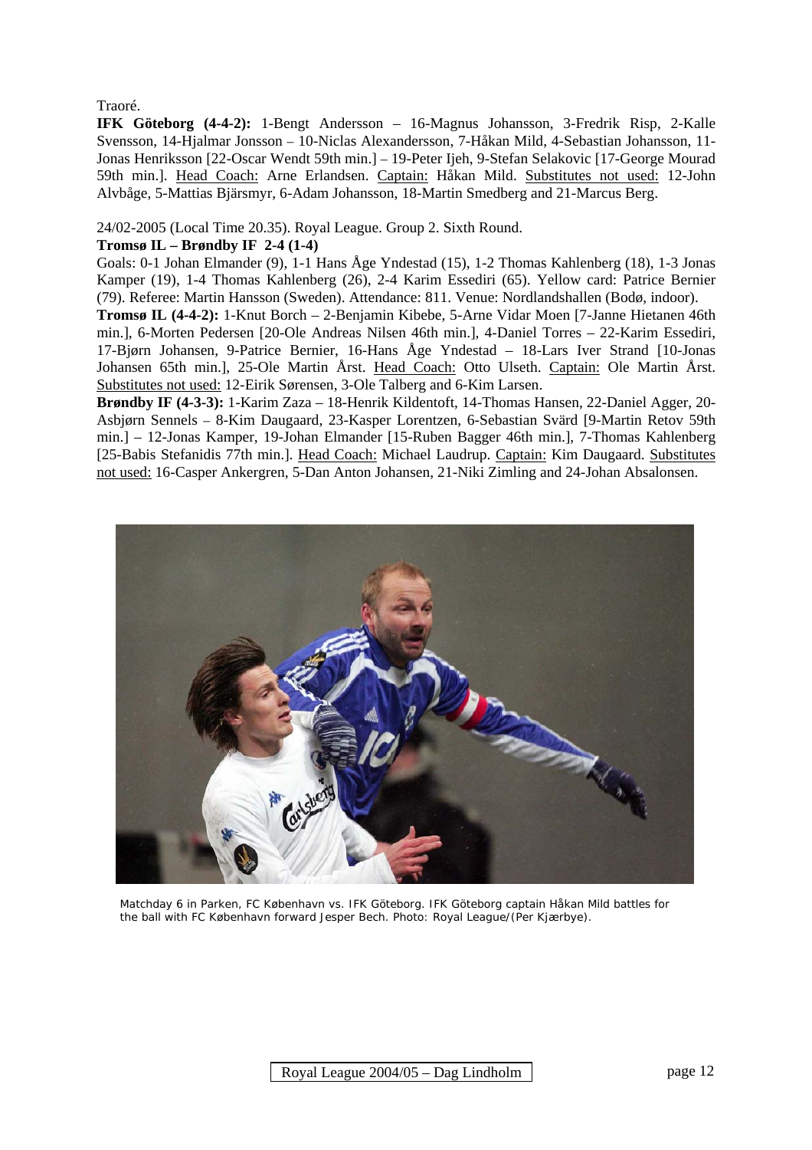#### Traoré.

**IFK Göteborg (4-4-2):** 1-Bengt Andersson – 16-Magnus Johansson, 3-Fredrik Risp, 2-Kalle Svensson, 14-Hjalmar Jonsson – 10-Niclas Alexandersson, 7-Håkan Mild, 4-Sebastian Johansson, 11- Jonas Henriksson [22-Oscar Wendt 59th min.] – 19-Peter Ijeh, 9-Stefan Selakovic [17-George Mourad 59th min.]. Head Coach: Arne Erlandsen. Captain: Håkan Mild. Substitutes not used: 12-John Alvbåge, 5-Mattias Bjärsmyr, 6-Adam Johansson, 18-Martin Smedberg and 21-Marcus Berg.

24/02-2005 (Local Time 20.35). Royal League. Group 2. Sixth Round.

#### **Tromsø IL – Brøndby IF 2-4 (1-4)**

Goals: 0-1 Johan Elmander (9), 1-1 Hans Åge Yndestad (15), 1-2 Thomas Kahlenberg (18), 1-3 Jonas Kamper (19), 1-4 Thomas Kahlenberg (26), 2-4 Karim Essediri (65). Yellow card: Patrice Bernier (79). Referee: Martin Hansson (Sweden). Attendance: 811. Venue: Nordlandshallen (Bodø, indoor).

**Tromsø IL (4-4-2):** 1-Knut Borch – 2-Benjamin Kibebe, 5-Arne Vidar Moen [7-Janne Hietanen 46th min.], 6-Morten Pedersen [20-Ole Andreas Nilsen 46th min.], 4-Daniel Torres – 22-Karim Essediri, 17-Bjørn Johansen, 9-Patrice Bernier, 16-Hans Åge Yndestad – 18-Lars Iver Strand [10-Jonas Johansen 65th min.], 25-Ole Martin Årst. Head Coach: Otto Ulseth. Captain: Ole Martin Årst. Substitutes not used: 12-Eirik Sørensen, 3-Ole Talberg and 6-Kim Larsen.

**Brøndby IF (4-3-3):** 1-Karim Zaza – 18-Henrik Kildentoft, 14-Thomas Hansen, 22-Daniel Agger, 20- Asbjørn Sennels – 8-Kim Daugaard, 23-Kasper Lorentzen, 6-Sebastian Svärd [9-Martin Retov 59th min.] – 12-Jonas Kamper, 19-Johan Elmander [15-Ruben Bagger 46th min.], 7-Thomas Kahlenberg [25-Babis Stefanidis 77th min.]. Head Coach: Michael Laudrup. Captain: Kim Daugaard. Substitutes not used: 16-Casper Ankergren, 5-Dan Anton Johansen, 21-Niki Zimling and 24-Johan Absalonsen.



 Matchday 6 in Parken, FC København vs. IFK Göteborg. IFK Göteborg captain Håkan Mild battles for the ball with FC København forward Jesper Bech. Photo: Royal League/(Per Kjærbye).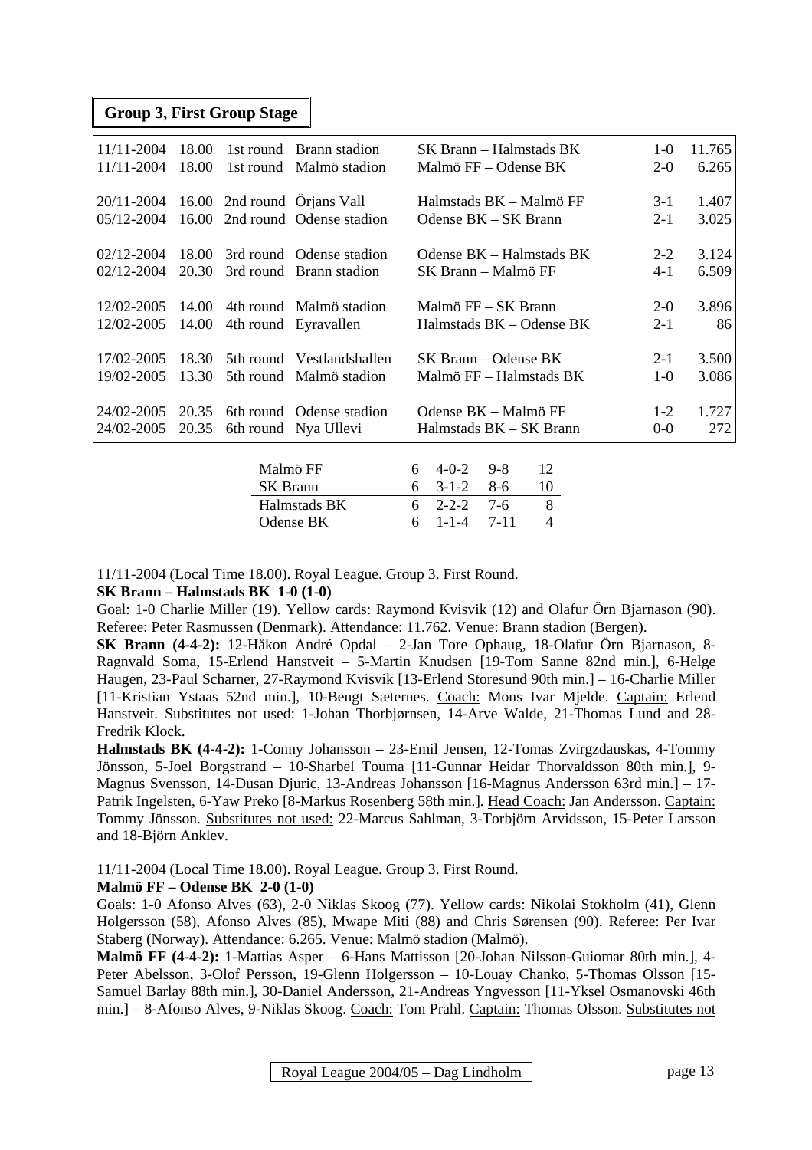#### **Group 3, First Group Stage**

| 11/11-2004 | 18.00 |          | 1st round Brann stadion     | SK Brann – Halmstads BK               | $1-0$   | 11.765 |
|------------|-------|----------|-----------------------------|---------------------------------------|---------|--------|
| 11/11-2004 | 18.00 |          | 1st round Malmö stadion     | Malmö FF – Odense BK                  | $2 - 0$ | 6.265  |
|            |       |          |                             |                                       |         |        |
| 20/11-2004 |       |          | 16.00 2nd round Örjans Vall | Halmstads BK – Malmö FF               | $3-1$   | 1.407  |
| 05/12-2004 | 16.00 |          | 2nd round Odense stadion    | Odense BK - SK Brann                  | $2 - 1$ | 3.025  |
|            |       |          |                             |                                       |         |        |
| 02/12-2004 | 18.00 |          | 3rd round Odense stadion    | Odense BK – Halmstads BK              | $2 - 2$ | 3.124  |
| 02/12-2004 | 20.30 |          | 3rd round Brann stadion     | SK Brann – Malmö FF                   | $4 - 1$ | 6.509  |
|            |       |          |                             |                                       |         |        |
| 12/02-2005 | 14.00 |          | 4th round Malmö stadion     | Malmö FF – SK Brann                   | $2-0$   | 3.896  |
| 12/02-2005 | 14.00 |          | 4th round Eyravallen        | Halmstads BK – Odense BK              | $2 - 1$ | 86     |
|            |       |          |                             |                                       |         |        |
| 17/02-2005 | 18.30 |          | 5th round Vestlandshallen   | $SK~\text{Brann} - \text{Odense } BK$ | $2 - 1$ | 3.500  |
| 19/02-2005 | 13.30 |          | 5th round Malmö stadion     | Malmö FF – Halmstads BK               | $1-0$   | 3.086  |
|            |       |          |                             |                                       |         |        |
| 24/02-2005 | 20.35 |          | 6th round Odense stadion    | Odense BK - Malmö FF                  | $1-2$   | 1.727  |
| 24/02-2005 | 20.35 |          | 6th round Nya Ullevi        | Halmstads BK – SK Brann               | $0-0$   | 272    |
|            |       |          |                             |                                       |         |        |
|            |       |          | Malmö FF                    | $9 - 8$<br>12<br>$4 - 0 - 2$<br>6     |         |        |
|            |       |          |                             |                                       |         |        |
|            |       | SK Brann |                             | $8-6$<br>10<br>$3-1-2$<br>6           |         |        |

11/11-2004 (Local Time 18.00). Royal League. Group 3. First Round.

#### **SK Brann – Halmstads BK 1-0 (1-0)**

Goal: 1-0 Charlie Miller (19). Yellow cards: Raymond Kvisvik (12) and Olafur Örn Bjarnason (90). Referee: Peter Rasmussen (Denmark). Attendance: 11.762. Venue: Brann stadion (Bergen).

Halmstads BK 6 2-2-2 7-6 8 Odense BK 6 1-1-4 7-11 4

**SK Brann (4-4-2):** 12-Håkon André Opdal – 2-Jan Tore Ophaug, 18-Olafur Örn Bjarnason, 8- Ragnvald Soma, 15-Erlend Hanstveit – 5-Martin Knudsen [19-Tom Sanne 82nd min.], 6-Helge Haugen, 23-Paul Scharner, 27-Raymond Kvisvik [13-Erlend Storesund 90th min.] – 16-Charlie Miller [11-Kristian Ystaas 52nd min.], 10-Bengt Sæternes. Coach: Mons Ivar Mjelde. Captain: Erlend Hanstveit. Substitutes not used: 1-Johan Thorbjørnsen, 14-Arve Walde, 21-Thomas Lund and 28- Fredrik Klock.

**Halmstads BK (4-4-2):** 1-Conny Johansson – 23-Emil Jensen, 12-Tomas Zvirgzdauskas, 4-Tommy Jönsson, 5-Joel Borgstrand – 10-Sharbel Touma [11-Gunnar Heidar Thorvaldsson 80th min.], 9- Magnus Svensson, 14-Dusan Djuric, 13-Andreas Johansson [16-Magnus Andersson 63rd min.] – 17- Patrik Ingelsten, 6-Yaw Preko [8-Markus Rosenberg 58th min.]. Head Coach: Jan Andersson. Captain: Tommy Jönsson. Substitutes not used: 22-Marcus Sahlman, 3-Torbjörn Arvidsson, 15-Peter Larsson and 18-Björn Anklev.

11/11-2004 (Local Time 18.00). Royal League. Group 3. First Round.

#### **Malmö FF – Odense BK 2-0 (1-0)**

Goals: 1-0 Afonso Alves (63), 2-0 Niklas Skoog (77). Yellow cards: Nikolai Stokholm (41), Glenn Holgersson (58), Afonso Alves (85), Mwape Miti (88) and Chris Sørensen (90). Referee: Per Ivar Staberg (Norway). Attendance: 6.265. Venue: Malmö stadion (Malmö).

**Malmö FF (4-4-2):** 1-Mattias Asper – 6-Hans Mattisson [20-Johan Nilsson-Guiomar 80th min.], 4- Peter Abelsson, 3-Olof Persson, 19-Glenn Holgersson – 10-Louay Chanko, 5-Thomas Olsson [15- Samuel Barlay 88th min.], 30-Daniel Andersson, 21-Andreas Yngvesson [11-Yksel Osmanovski 46th min.] – 8-Afonso Alves, 9-Niklas Skoog. Coach: Tom Prahl. Captain: Thomas Olsson. Substitutes not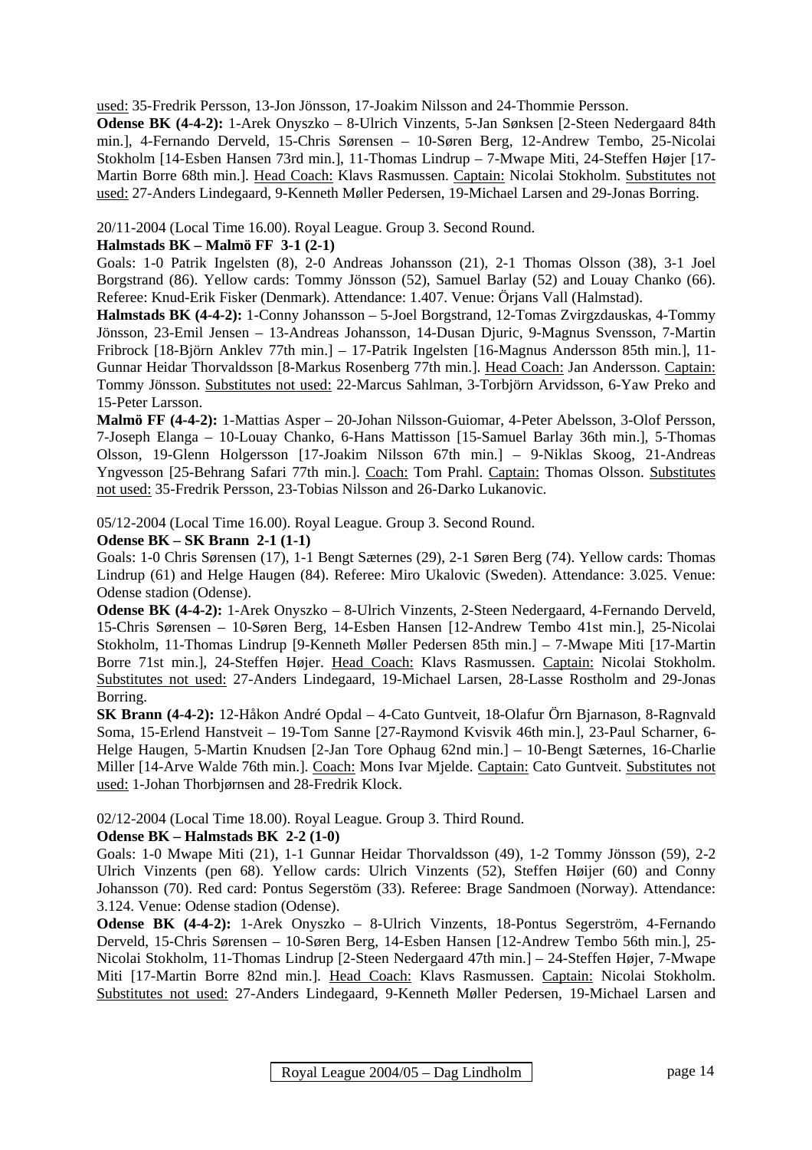used: 35-Fredrik Persson, 13-Jon Jönsson, 17-Joakim Nilsson and 24-Thommie Persson.

**Odense BK (4-4-2):** 1-Arek Onyszko – 8-Ulrich Vinzents, 5-Jan Sønksen [2-Steen Nedergaard 84th min.], 4-Fernando Derveld, 15-Chris Sørensen – 10-Søren Berg, 12-Andrew Tembo, 25-Nicolai Stokholm [14-Esben Hansen 73rd min.], 11-Thomas Lindrup – 7-Mwape Miti, 24-Steffen Højer [17- Martin Borre 68th min.]. Head Coach: Klavs Rasmussen. Captain: Nicolai Stokholm. Substitutes not used: 27-Anders Lindegaard, 9-Kenneth Møller Pedersen, 19-Michael Larsen and 29-Jonas Borring.

20/11-2004 (Local Time 16.00). Royal League. Group 3. Second Round.

#### **Halmstads BK – Malmö FF 3-1 (2-1)**

Goals: 1-0 Patrik Ingelsten (8), 2-0 Andreas Johansson (21), 2-1 Thomas Olsson (38), 3-1 Joel Borgstrand (86). Yellow cards: Tommy Jönsson (52), Samuel Barlay (52) and Louay Chanko (66). Referee: Knud-Erik Fisker (Denmark). Attendance: 1.407. Venue: Örjans Vall (Halmstad).

**Halmstads BK (4-4-2):** 1-Conny Johansson – 5-Joel Borgstrand, 12-Tomas Zvirgzdauskas, 4-Tommy Jönsson, 23-Emil Jensen – 13-Andreas Johansson, 14-Dusan Djuric, 9-Magnus Svensson, 7-Martin Fribrock [18-Björn Anklev 77th min.] – 17-Patrik Ingelsten [16-Magnus Andersson 85th min.], 11- Gunnar Heidar Thorvaldsson [8-Markus Rosenberg 77th min.]. Head Coach: Jan Andersson. Captain: Tommy Jönsson. Substitutes not used: 22-Marcus Sahlman, 3-Torbjörn Arvidsson, 6-Yaw Preko and 15-Peter Larsson.

**Malmö FF (4-4-2):** 1-Mattias Asper – 20-Johan Nilsson-Guiomar, 4-Peter Abelsson, 3-Olof Persson, 7-Joseph Elanga – 10-Louay Chanko, 6-Hans Mattisson [15-Samuel Barlay 36th min.], 5-Thomas Olsson, 19-Glenn Holgersson [17-Joakim Nilsson 67th min.] – 9-Niklas Skoog, 21-Andreas Yngvesson [25-Behrang Safari 77th min.]. Coach: Tom Prahl. Captain: Thomas Olsson. Substitutes not used: 35-Fredrik Persson, 23-Tobias Nilsson and 26-Darko Lukanovic.

05/12-2004 (Local Time 16.00). Royal League. Group 3. Second Round.

#### **Odense BK – SK Brann 2-1 (1-1)**

Goals: 1-0 Chris Sørensen (17), 1-1 Bengt Sæternes (29), 2-1 Søren Berg (74). Yellow cards: Thomas Lindrup (61) and Helge Haugen (84). Referee: Miro Ukalovic (Sweden). Attendance: 3.025. Venue: Odense stadion (Odense).

**Odense BK (4-4-2):** 1-Arek Onyszko – 8-Ulrich Vinzents, 2-Steen Nedergaard, 4-Fernando Derveld, 15-Chris Sørensen – 10-Søren Berg, 14-Esben Hansen [12-Andrew Tembo 41st min.], 25-Nicolai Stokholm, 11-Thomas Lindrup [9-Kenneth Møller Pedersen 85th min.] – 7-Mwape Miti [17-Martin Borre 71st min.], 24-Steffen Højer. Head Coach: Klavs Rasmussen. Captain: Nicolai Stokholm. Substitutes not used: 27-Anders Lindegaard, 19-Michael Larsen, 28-Lasse Rostholm and 29-Jonas Borring.

**SK Brann (4-4-2):** 12-Håkon André Opdal – 4-Cato Guntveit, 18-Olafur Örn Bjarnason, 8-Ragnvald Soma, 15-Erlend Hanstveit – 19-Tom Sanne [27-Raymond Kvisvik 46th min.], 23-Paul Scharner, 6- Helge Haugen, 5-Martin Knudsen [2-Jan Tore Ophaug 62nd min.] – 10-Bengt Sæternes, 16-Charlie Miller [14-Arve Walde 76th min.]. Coach: Mons Ivar Mjelde. Captain: Cato Guntveit. Substitutes not used: 1-Johan Thorbjørnsen and 28-Fredrik Klock.

02/12-2004 (Local Time 18.00). Royal League. Group 3. Third Round.

#### **Odense BK – Halmstads BK 2-2 (1-0)**

Goals: 1-0 Mwape Miti (21), 1-1 Gunnar Heidar Thorvaldsson (49), 1-2 Tommy Jönsson (59), 2-2 Ulrich Vinzents (pen 68). Yellow cards: Ulrich Vinzents (52), Steffen Høijer (60) and Conny Johansson (70). Red card: Pontus Segerstöm (33). Referee: Brage Sandmoen (Norway). Attendance: 3.124. Venue: Odense stadion (Odense).

**Odense BK (4-4-2):** 1-Arek Onyszko – 8-Ulrich Vinzents, 18-Pontus Segerström, 4-Fernando Derveld, 15-Chris Sørensen – 10-Søren Berg, 14-Esben Hansen [12-Andrew Tembo 56th min.], 25- Nicolai Stokholm, 11-Thomas Lindrup [2-Steen Nedergaard 47th min.] – 24-Steffen Højer, 7-Mwape Miti [17-Martin Borre 82nd min.]. Head Coach: Klavs Rasmussen. Captain: Nicolai Stokholm. Substitutes not used: 27-Anders Lindegaard, 9-Kenneth Møller Pedersen, 19-Michael Larsen and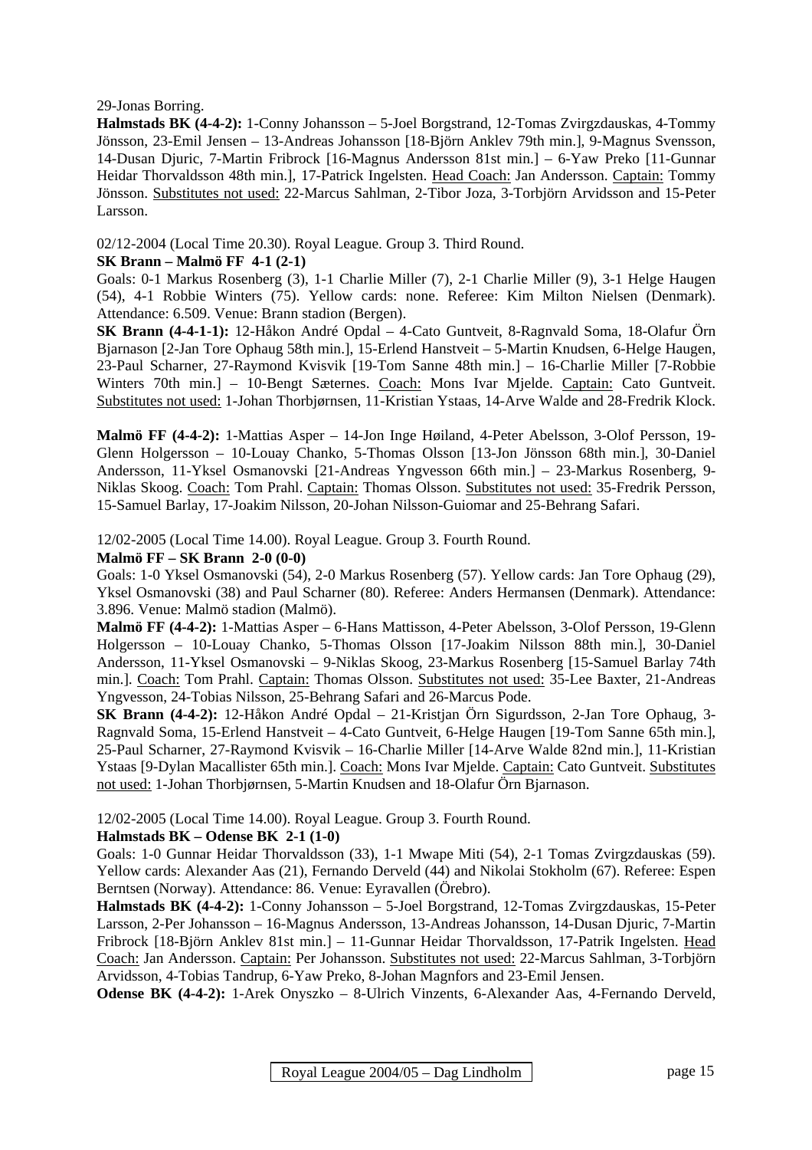29-Jonas Borring.

**Halmstads BK (4-4-2):** 1-Conny Johansson – 5-Joel Borgstrand, 12-Tomas Zvirgzdauskas, 4-Tommy Jönsson, 23-Emil Jensen – 13-Andreas Johansson [18-Björn Anklev 79th min.], 9-Magnus Svensson, 14-Dusan Djuric, 7-Martin Fribrock [16-Magnus Andersson 81st min.] – 6-Yaw Preko [11-Gunnar Heidar Thorvaldsson 48th min.], 17-Patrick Ingelsten. Head Coach: Jan Andersson. Captain: Tommy Jönsson. Substitutes not used: 22-Marcus Sahlman, 2-Tibor Joza, 3-Torbjörn Arvidsson and 15-Peter Larsson.

02/12-2004 (Local Time 20.30). Royal League. Group 3. Third Round.

#### **SK Brann – Malmö FF 4-1 (2-1)**

Goals: 0-1 Markus Rosenberg (3), 1-1 Charlie Miller (7), 2-1 Charlie Miller (9), 3-1 Helge Haugen (54), 4-1 Robbie Winters (75). Yellow cards: none. Referee: Kim Milton Nielsen (Denmark). Attendance: 6.509. Venue: Brann stadion (Bergen).

**SK Brann (4-4-1-1):** 12-Håkon André Opdal – 4-Cato Guntveit, 8-Ragnvald Soma, 18-Olafur Örn Bjarnason [2-Jan Tore Ophaug 58th min.], 15-Erlend Hanstveit – 5-Martin Knudsen, 6-Helge Haugen, 23-Paul Scharner, 27-Raymond Kvisvik [19-Tom Sanne 48th min.] – 16-Charlie Miller [7-Robbie Winters 70th min.] – 10-Bengt Sæternes. Coach: Mons Ivar Mjelde. Captain: Cato Guntveit. Substitutes not used: 1-Johan Thorbjørnsen, 11-Kristian Ystaas, 14-Arve Walde and 28-Fredrik Klock.

**Malmö FF (4-4-2):** 1-Mattias Asper – 14-Jon Inge Høiland, 4-Peter Abelsson, 3-Olof Persson, 19- Glenn Holgersson – 10-Louay Chanko, 5-Thomas Olsson [13-Jon Jönsson 68th min.], 30-Daniel Andersson, 11-Yksel Osmanovski [21-Andreas Yngvesson 66th min.] – 23-Markus Rosenberg, 9- Niklas Skoog. Coach: Tom Prahl. Captain: Thomas Olsson. Substitutes not used: 35-Fredrik Persson, 15-Samuel Barlay, 17-Joakim Nilsson, 20-Johan Nilsson-Guiomar and 25-Behrang Safari.

12/02-2005 (Local Time 14.00). Royal League. Group 3. Fourth Round.

#### **Malmö FF – SK Brann 2-0 (0-0)**

Goals: 1-0 Yksel Osmanovski (54), 2-0 Markus Rosenberg (57). Yellow cards: Jan Tore Ophaug (29), Yksel Osmanovski (38) and Paul Scharner (80). Referee: Anders Hermansen (Denmark). Attendance: 3.896. Venue: Malmö stadion (Malmö).

**Malmö FF (4-4-2):** 1-Mattias Asper – 6-Hans Mattisson, 4-Peter Abelsson, 3-Olof Persson, 19-Glenn Holgersson – 10-Louay Chanko, 5-Thomas Olsson [17-Joakim Nilsson 88th min.], 30-Daniel Andersson, 11-Yksel Osmanovski – 9-Niklas Skoog, 23-Markus Rosenberg [15-Samuel Barlay 74th min.]. Coach: Tom Prahl. Captain: Thomas Olsson. Substitutes not used: 35-Lee Baxter, 21-Andreas Yngvesson, 24-Tobias Nilsson, 25-Behrang Safari and 26-Marcus Pode.

**SK Brann (4-4-2):** 12-Håkon André Opdal – 21-Kristjan Örn Sigurdsson, 2-Jan Tore Ophaug, 3- Ragnvald Soma, 15-Erlend Hanstveit – 4-Cato Guntveit, 6-Helge Haugen [19-Tom Sanne 65th min.], 25-Paul Scharner, 27-Raymond Kvisvik – 16-Charlie Miller [14-Arve Walde 82nd min.], 11-Kristian Ystaas [9-Dylan Macallister 65th min.]. Coach: Mons Ivar Mjelde. Captain: Cato Guntveit. Substitutes not used: 1-Johan Thorbjørnsen, 5-Martin Knudsen and 18-Olafur Örn Bjarnason.

12/02-2005 (Local Time 14.00). Royal League. Group 3. Fourth Round.

#### **Halmstads BK – Odense BK 2-1 (1-0)**

Goals: 1-0 Gunnar Heidar Thorvaldsson (33), 1-1 Mwape Miti (54), 2-1 Tomas Zvirgzdauskas (59). Yellow cards: Alexander Aas (21), Fernando Derveld (44) and Nikolai Stokholm (67). Referee: Espen Berntsen (Norway). Attendance: 86. Venue: Eyravallen (Örebro).

**Halmstads BK (4-4-2):** 1-Conny Johansson – 5-Joel Borgstrand, 12-Tomas Zvirgzdauskas, 15-Peter Larsson, 2-Per Johansson – 16-Magnus Andersson, 13-Andreas Johansson, 14-Dusan Djuric, 7-Martin Fribrock [18-Björn Anklev 81st min.] – 11-Gunnar Heidar Thorvaldsson, 17-Patrik Ingelsten. Head Coach: Jan Andersson. Captain: Per Johansson. Substitutes not used: 22-Marcus Sahlman, 3-Torbjörn Arvidsson, 4-Tobias Tandrup, 6-Yaw Preko, 8-Johan Magnfors and 23-Emil Jensen.

**Odense BK (4-4-2):** 1-Arek Onyszko – 8-Ulrich Vinzents, 6-Alexander Aas, 4-Fernando Derveld,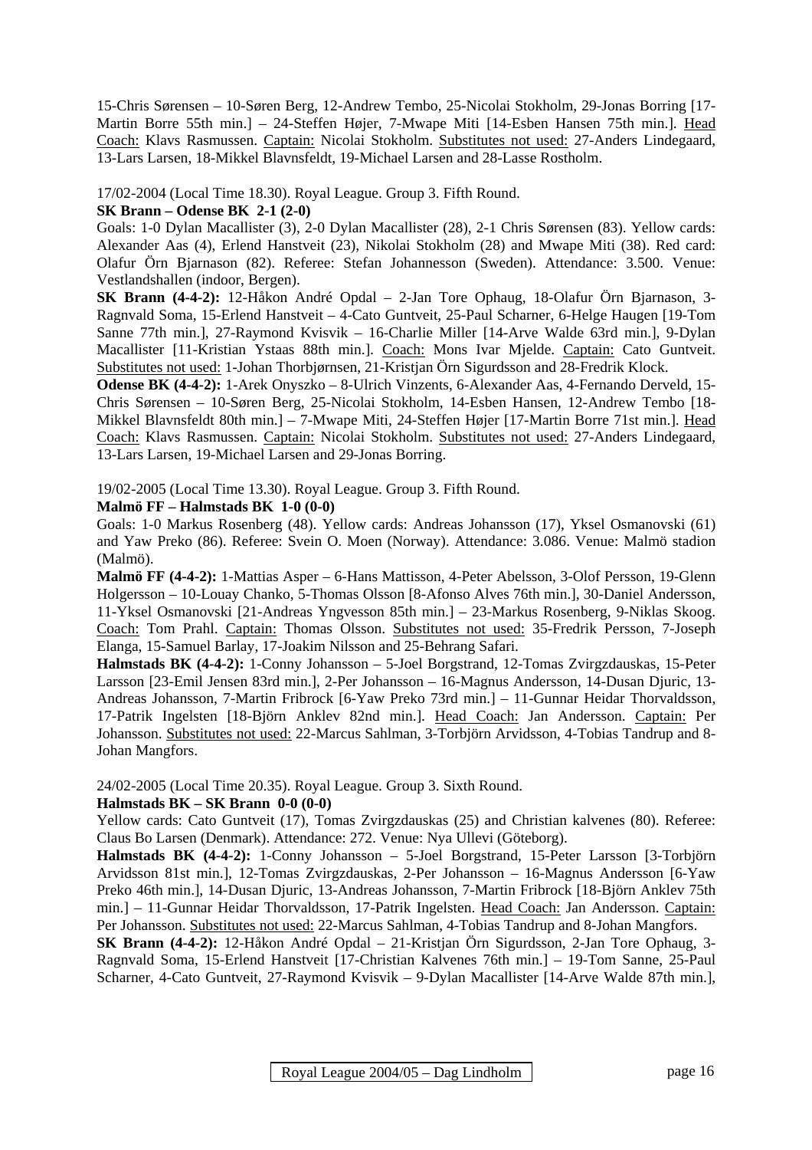15-Chris Sørensen – 10-Søren Berg, 12-Andrew Tembo, 25-Nicolai Stokholm, 29-Jonas Borring [17- Martin Borre 55th min.] – 24-Steffen Højer, 7-Mwape Miti [14-Esben Hansen 75th min.]. Head Coach: Klavs Rasmussen. Captain: Nicolai Stokholm. Substitutes not used: 27-Anders Lindegaard, 13-Lars Larsen, 18-Mikkel Blavnsfeldt, 19-Michael Larsen and 28-Lasse Rostholm.

17/02-2004 (Local Time 18.30). Royal League. Group 3. Fifth Round.

#### **SK Brann – Odense BK 2-1 (2-0)**

Goals: 1-0 Dylan Macallister (3), 2-0 Dylan Macallister (28), 2-1 Chris Sørensen (83). Yellow cards: Alexander Aas (4), Erlend Hanstveit (23), Nikolai Stokholm (28) and Mwape Miti (38). Red card: Olafur Örn Bjarnason (82). Referee: Stefan Johannesson (Sweden). Attendance: 3.500. Venue: Vestlandshallen (indoor, Bergen).

**SK Brann (4-4-2):** 12-Håkon André Opdal – 2-Jan Tore Ophaug, 18-Olafur Örn Bjarnason, 3- Ragnvald Soma, 15-Erlend Hanstveit – 4-Cato Guntveit, 25-Paul Scharner, 6-Helge Haugen [19-Tom Sanne 77th min.], 27-Raymond Kvisvik – 16-Charlie Miller [14-Arve Walde 63rd min.], 9-Dylan Macallister [11-Kristian Ystaas 88th min.]. Coach: Mons Ivar Mjelde. Captain: Cato Guntveit. Substitutes not used: 1-Johan Thorbjørnsen, 21-Kristjan Örn Sigurdsson and 28-Fredrik Klock.

**Odense BK (4-4-2):** 1-Arek Onyszko – 8-Ulrich Vinzents, 6-Alexander Aas, 4-Fernando Derveld, 15- Chris Sørensen – 10-Søren Berg, 25-Nicolai Stokholm, 14-Esben Hansen, 12-Andrew Tembo [18- Mikkel Blavnsfeldt 80th min.] – 7-Mwape Miti, 24-Steffen Højer [17-Martin Borre 71st min.]. Head Coach: Klavs Rasmussen. Captain: Nicolai Stokholm. Substitutes not used: 27-Anders Lindegaard, 13-Lars Larsen, 19-Michael Larsen and 29-Jonas Borring.

19/02-2005 (Local Time 13.30). Royal League. Group 3. Fifth Round.

#### **Malmö FF – Halmstads BK 1-0 (0-0)**

Goals: 1-0 Markus Rosenberg (48). Yellow cards: Andreas Johansson (17), Yksel Osmanovski (61) and Yaw Preko (86). Referee: Svein O. Moen (Norway). Attendance: 3.086. Venue: Malmö stadion (Malmö).

**Malmö FF (4-4-2):** 1-Mattias Asper – 6-Hans Mattisson, 4-Peter Abelsson, 3-Olof Persson, 19-Glenn Holgersson – 10-Louay Chanko, 5-Thomas Olsson [8-Afonso Alves 76th min.], 30-Daniel Andersson, 11-Yksel Osmanovski [21-Andreas Yngvesson 85th min.] – 23-Markus Rosenberg, 9-Niklas Skoog. Coach: Tom Prahl. Captain: Thomas Olsson. Substitutes not used: 35-Fredrik Persson, 7-Joseph Elanga, 15-Samuel Barlay, 17-Joakim Nilsson and 25-Behrang Safari.

**Halmstads BK (4-4-2):** 1-Conny Johansson – 5-Joel Borgstrand, 12-Tomas Zvirgzdauskas, 15-Peter Larsson [23-Emil Jensen 83rd min.], 2-Per Johansson – 16-Magnus Andersson, 14-Dusan Djuric, 13- Andreas Johansson, 7-Martin Fribrock [6-Yaw Preko 73rd min.] – 11-Gunnar Heidar Thorvaldsson, 17-Patrik Ingelsten [18-Björn Anklev 82nd min.]. Head Coach: Jan Andersson. Captain: Per Johansson. Substitutes not used: 22-Marcus Sahlman, 3-Torbjörn Arvidsson, 4-Tobias Tandrup and 8- Johan Mangfors.

24/02-2005 (Local Time 20.35). Royal League. Group 3. Sixth Round.

#### **Halmstads BK – SK Brann 0-0 (0-0)**

Yellow cards: Cato Guntveit (17), Tomas Zvirgzdauskas (25) and Christian kalvenes (80). Referee: Claus Bo Larsen (Denmark). Attendance: 272. Venue: Nya Ullevi (Göteborg).

**Halmstads BK (4-4-2):** 1-Conny Johansson – 5-Joel Borgstrand, 15-Peter Larsson [3-Torbjörn Arvidsson 81st min.], 12-Tomas Zvirgzdauskas, 2-Per Johansson – 16-Magnus Andersson [6-Yaw Preko 46th min.], 14-Dusan Djuric, 13-Andreas Johansson, 7-Martin Fribrock [18-Björn Anklev 75th min.] – 11-Gunnar Heidar Thorvaldsson, 17-Patrik Ingelsten. Head Coach: Jan Andersson. Captain: Per Johansson. Substitutes not used: 22-Marcus Sahlman, 4-Tobias Tandrup and 8-Johan Mangfors.

**SK Brann (4-4-2):** 12-Håkon André Opdal – 21-Kristjan Örn Sigurdsson, 2-Jan Tore Ophaug, 3- Ragnvald Soma, 15-Erlend Hanstveit [17-Christian Kalvenes 76th min.] – 19-Tom Sanne, 25-Paul Scharner, 4-Cato Guntveit, 27-Raymond Kvisvik – 9-Dylan Macallister [14-Arve Walde 87th min.],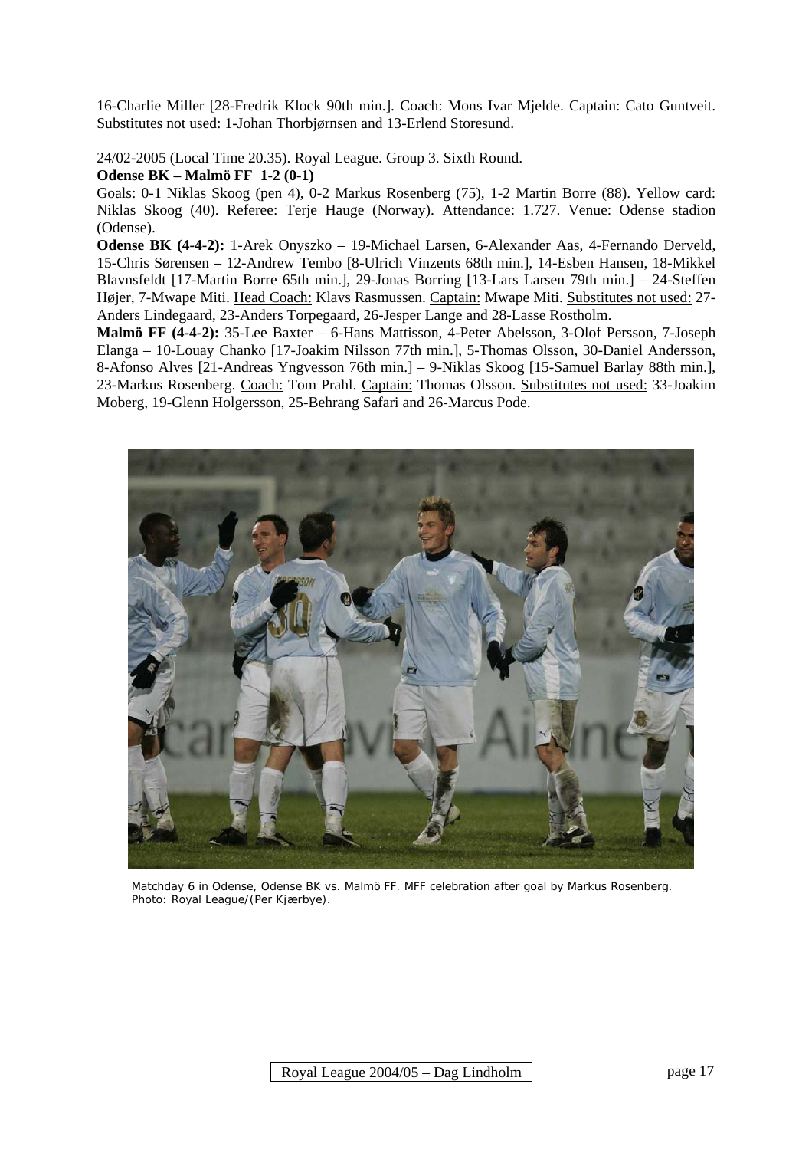16-Charlie Miller [28-Fredrik Klock 90th min.]. Coach: Mons Ivar Mjelde. Captain: Cato Guntveit. Substitutes not used: 1-Johan Thorbjørnsen and 13-Erlend Storesund.

24/02-2005 (Local Time 20.35). Royal League. Group 3. Sixth Round. **Odense BK – Malmö FF 1-2 (0-1)** 

Goals: 0-1 Niklas Skoog (pen 4), 0-2 Markus Rosenberg (75), 1-2 Martin Borre (88). Yellow card: Niklas Skoog (40). Referee: Terje Hauge (Norway). Attendance: 1.727. Venue: Odense stadion (Odense).

**Odense BK (4-4-2):** 1-Arek Onyszko – 19-Michael Larsen, 6-Alexander Aas, 4-Fernando Derveld, 15-Chris Sørensen – 12-Andrew Tembo [8-Ulrich Vinzents 68th min.], 14-Esben Hansen, 18-Mikkel Blavnsfeldt [17-Martin Borre 65th min.], 29-Jonas Borring [13-Lars Larsen 79th min.] – 24-Steffen Højer, 7-Mwape Miti. Head Coach: Klavs Rasmussen. Captain: Mwape Miti. Substitutes not used: 27- Anders Lindegaard, 23-Anders Torpegaard, 26-Jesper Lange and 28-Lasse Rostholm.

**Malmö FF (4-4-2):** 35-Lee Baxter – 6-Hans Mattisson, 4-Peter Abelsson, 3-Olof Persson, 7-Joseph Elanga – 10-Louay Chanko [17-Joakim Nilsson 77th min.], 5-Thomas Olsson, 30-Daniel Andersson, 8-Afonso Alves [21-Andreas Yngvesson 76th min.] – 9-Niklas Skoog [15-Samuel Barlay 88th min.], 23-Markus Rosenberg. Coach: Tom Prahl. Captain: Thomas Olsson. Substitutes not used: 33-Joakim Moberg, 19-Glenn Holgersson, 25-Behrang Safari and 26-Marcus Pode.



 Matchday 6 in Odense, Odense BK vs. Malmö FF. MFF celebration after goal by Markus Rosenberg. Photo: Royal League/(Per Kjærbye).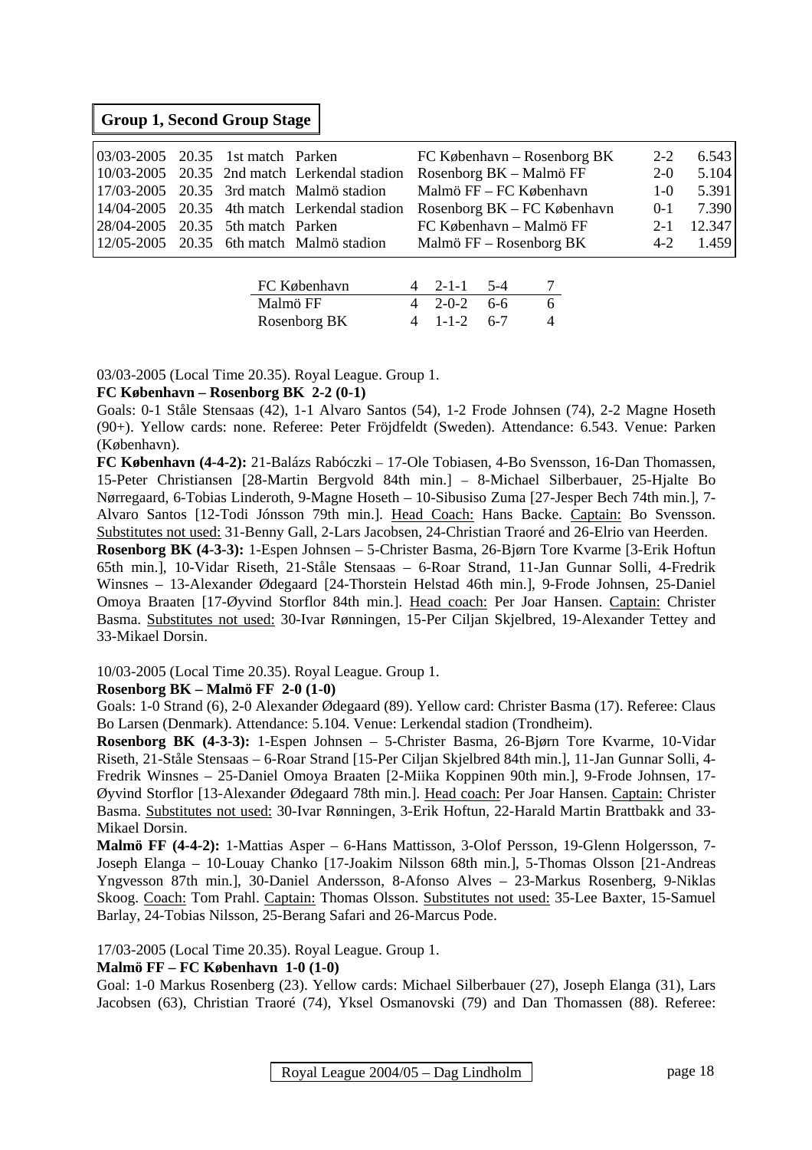### **Group 1, Second Group Stage**

| 03/03-2005 20.35 1st match Parken |  |                                              | $FC$ København – Rosenborg BK | $2 - 2$ | 6.543       |
|-----------------------------------|--|----------------------------------------------|-------------------------------|---------|-------------|
|                                   |  | 10/03-2005 20.35 2nd match Lerkendal stadion | Rosenborg BK – Malmö FF       | $2-0$   | 5.104       |
|                                   |  | $17/03-2005$ 20.35 3rd match Malmö stadion   | Malmö $FF - FC$ København     | $1-0$   | 5.391       |
|                                   |  | 14/04-2005 20.35 4th match Lerkendal stadion | Rosenborg $BK - FC$ København |         | $0-1$ 7.390 |
| 28/04-2005 20.35 5th match Parken |  |                                              | FC København – Malmö FF       |         | 2-1 12.347  |
|                                   |  | $12/05-2005$ 20.35 6th match Malmö stadion   | Malmö FF – Rosenborg BK       |         | $4-2$ 1.459 |
|                                   |  |                                              |                               |         |             |

| FC København | $4$ 2-1-1 5-4           |  |
|--------------|-------------------------|--|
| Malmö FF     | $4\quad 2-0-2\quad 6-6$ |  |
| Rosenborg BK | $4 \t1-1-2 \t6-7$       |  |

03/03-2005 (Local Time 20.35). Royal League. Group 1.

#### **FC København – Rosenborg BK 2-2 (0-1)**

Goals: 0-1 Ståle Stensaas (42), 1-1 Alvaro Santos (54), 1-2 Frode Johnsen (74), 2-2 Magne Hoseth (90+). Yellow cards: none. Referee: Peter Fröjdfeldt (Sweden). Attendance: 6.543. Venue: Parken (København).

**FC København (4-4-2):** 21-Balázs Rabóczki – 17-Ole Tobiasen, 4-Bo Svensson, 16-Dan Thomassen, 15-Peter Christiansen [28-Martin Bergvold 84th min.] – 8-Michael Silberbauer, 25-Hjalte Bo Nørregaard, 6-Tobias Linderoth, 9-Magne Hoseth – 10-Sibusiso Zuma [27-Jesper Bech 74th min.], 7- Alvaro Santos [12-Todi Jónsson 79th min.]. Head Coach: Hans Backe. Captain: Bo Svensson. Substitutes not used: 31-Benny Gall, 2-Lars Jacobsen, 24-Christian Traoré and 26-Elrio van Heerden.

**Rosenborg BK (4-3-3):** 1-Espen Johnsen – 5-Christer Basma, 26-Bjørn Tore Kvarme [3-Erik Hoftun 65th min.], 10-Vidar Riseth, 21-Ståle Stensaas – 6-Roar Strand, 11-Jan Gunnar Solli, 4-Fredrik Winsnes – 13-Alexander Ødegaard [24-Thorstein Helstad 46th min.], 9-Frode Johnsen, 25-Daniel Omoya Braaten [17-Øyvind Storflor 84th min.]. Head coach: Per Joar Hansen. Captain: Christer Basma. Substitutes not used: 30-Ivar Rønningen, 15-Per Ciljan Skjelbred, 19-Alexander Tettey and 33-Mikael Dorsin.

10/03-2005 (Local Time 20.35). Royal League. Group 1.

#### **Rosenborg BK – Malmö FF 2-0 (1-0)**

Goals: 1-0 Strand (6), 2-0 Alexander Ødegaard (89). Yellow card: Christer Basma (17). Referee: Claus Bo Larsen (Denmark). Attendance: 5.104. Venue: Lerkendal stadion (Trondheim).

**Rosenborg BK (4-3-3):** 1-Espen Johnsen – 5-Christer Basma, 26-Bjørn Tore Kvarme, 10-Vidar Riseth, 21-Ståle Stensaas – 6-Roar Strand [15-Per Ciljan Skjelbred 84th min.], 11-Jan Gunnar Solli, 4- Fredrik Winsnes – 25-Daniel Omoya Braaten [2-Miika Koppinen 90th min.], 9-Frode Johnsen, 17- Øyvind Storflor [13-Alexander Ødegaard 78th min.]. Head coach: Per Joar Hansen. Captain: Christer Basma. Substitutes not used: 30-Ivar Rønningen, 3-Erik Hoftun, 22-Harald Martin Brattbakk and 33- Mikael Dorsin.

**Malmö FF (4-4-2):** 1-Mattias Asper – 6-Hans Mattisson, 3-Olof Persson, 19-Glenn Holgersson, 7- Joseph Elanga – 10-Louay Chanko [17-Joakim Nilsson 68th min.], 5-Thomas Olsson [21-Andreas Yngvesson 87th min.], 30-Daniel Andersson, 8-Afonso Alves – 23-Markus Rosenberg, 9-Niklas Skoog. Coach: Tom Prahl. Captain: Thomas Olsson. Substitutes not used: 35-Lee Baxter, 15-Samuel Barlay, 24-Tobias Nilsson, 25-Berang Safari and 26-Marcus Pode.

17/03-2005 (Local Time 20.35). Royal League. Group 1.

#### **Malmö FF – FC København 1-0 (1-0)**

Goal: 1-0 Markus Rosenberg (23). Yellow cards: Michael Silberbauer (27), Joseph Elanga (31), Lars Jacobsen (63), Christian Traoré (74), Yksel Osmanovski (79) and Dan Thomassen (88). Referee: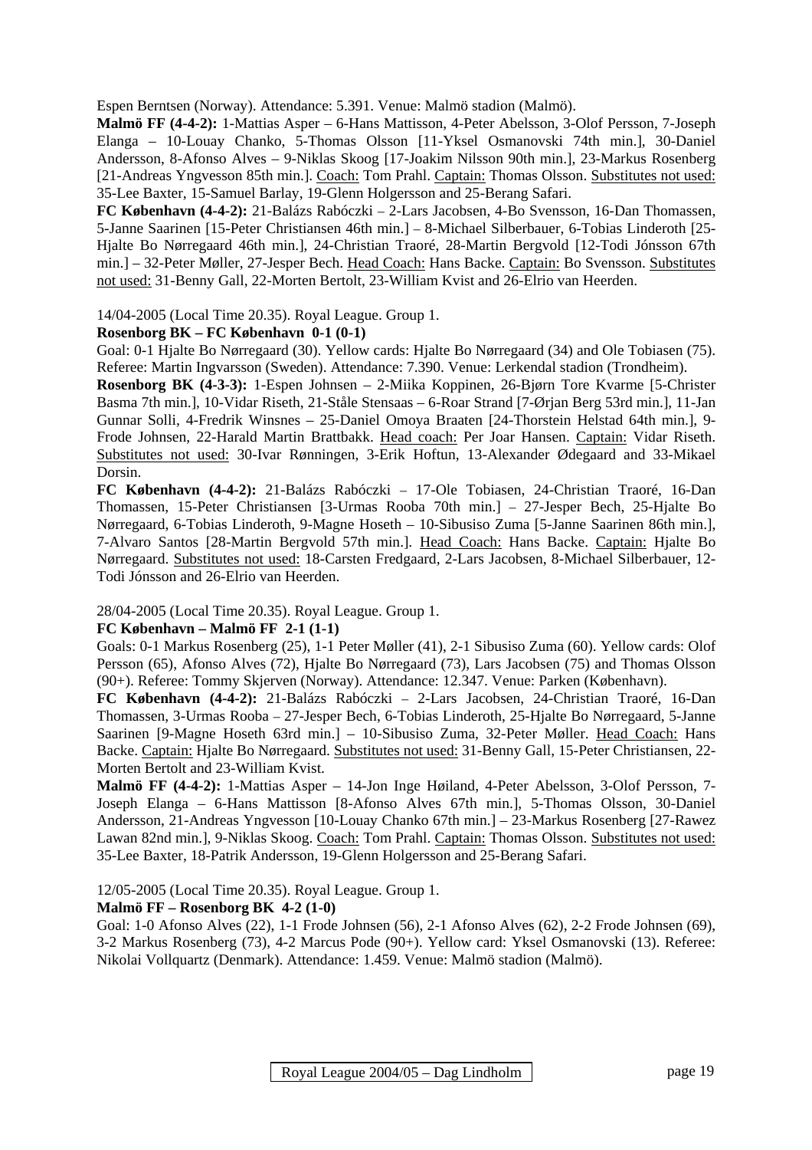Espen Berntsen (Norway). Attendance: 5.391. Venue: Malmö stadion (Malmö).

**Malmö FF (4-4-2):** 1-Mattias Asper – 6-Hans Mattisson, 4-Peter Abelsson, 3-Olof Persson, 7-Joseph Elanga – 10-Louay Chanko, 5-Thomas Olsson [11-Yksel Osmanovski 74th min.], 30-Daniel Andersson, 8-Afonso Alves – 9-Niklas Skoog [17-Joakim Nilsson 90th min.], 23-Markus Rosenberg [21-Andreas Yngvesson 85th min.]. Coach: Tom Prahl. Captain: Thomas Olsson. Substitutes not used: 35-Lee Baxter, 15-Samuel Barlay, 19-Glenn Holgersson and 25-Berang Safari.

**FC København (4-4-2):** 21-Balázs Rabóczki – 2-Lars Jacobsen, 4-Bo Svensson, 16-Dan Thomassen, 5-Janne Saarinen [15-Peter Christiansen 46th min.] – 8-Michael Silberbauer, 6-Tobias Linderoth [25- Hjalte Bo Nørregaard 46th min.], 24-Christian Traoré, 28-Martin Bergvold [12-Todi Jónsson 67th min.] – 32-Peter Møller, 27-Jesper Bech. Head Coach: Hans Backe. Captain: Bo Svensson. Substitutes not used: 31-Benny Gall, 22-Morten Bertolt, 23-William Kvist and 26-Elrio van Heerden.

14/04-2005 (Local Time 20.35). Royal League. Group 1.

#### **Rosenborg BK – FC København 0-1 (0-1)**

Goal: 0-1 Hjalte Bo Nørregaard (30). Yellow cards: Hjalte Bo Nørregaard (34) and Ole Tobiasen (75). Referee: Martin Ingvarsson (Sweden). Attendance: 7.390. Venue: Lerkendal stadion (Trondheim).

**Rosenborg BK (4-3-3):** 1-Espen Johnsen – 2-Miika Koppinen, 26-Bjørn Tore Kvarme [5-Christer Basma 7th min.], 10-Vidar Riseth, 21-Ståle Stensaas – 6-Roar Strand [7-Ørjan Berg 53rd min.], 11-Jan Gunnar Solli, 4-Fredrik Winsnes – 25-Daniel Omoya Braaten [24-Thorstein Helstad 64th min.], 9- Frode Johnsen, 22-Harald Martin Brattbakk. Head coach: Per Joar Hansen. Captain: Vidar Riseth. Substitutes not used: 30-Ivar Rønningen, 3-Erik Hoftun, 13-Alexander Ødegaard and 33-Mikael Dorsin.

**FC København (4-4-2):** 21-Balázs Rabóczki – 17-Ole Tobiasen, 24-Christian Traoré, 16-Dan Thomassen, 15-Peter Christiansen [3-Urmas Rooba 70th min.] – 27-Jesper Bech, 25-Hjalte Bo Nørregaard, 6-Tobias Linderoth, 9-Magne Hoseth – 10-Sibusiso Zuma [5-Janne Saarinen 86th min.], 7-Alvaro Santos [28-Martin Bergvold 57th min.]. Head Coach: Hans Backe. Captain: Hjalte Bo Nørregaard. Substitutes not used: 18-Carsten Fredgaard, 2-Lars Jacobsen, 8-Michael Silberbauer, 12- Todi Jónsson and 26-Elrio van Heerden.

28/04-2005 (Local Time 20.35). Royal League. Group 1.

#### **FC København – Malmö FF 2-1 (1-1)**

Goals: 0-1 Markus Rosenberg (25), 1-1 Peter Møller (41), 2-1 Sibusiso Zuma (60). Yellow cards: Olof Persson (65), Afonso Alves (72), Hjalte Bo Nørregaard (73), Lars Jacobsen (75) and Thomas Olsson (90+). Referee: Tommy Skjerven (Norway). Attendance: 12.347. Venue: Parken (København).

**FC København (4-4-2):** 21-Balázs Rabóczki – 2-Lars Jacobsen, 24-Christian Traoré, 16-Dan Thomassen, 3-Urmas Rooba – 27-Jesper Bech, 6-Tobias Linderoth, 25-Hjalte Bo Nørregaard, 5-Janne Saarinen [9-Magne Hoseth 63rd min.] – 10-Sibusiso Zuma, 32-Peter Møller. Head Coach: Hans Backe. Captain: Hjalte Bo Nørregaard. Substitutes not used: 31-Benny Gall, 15-Peter Christiansen, 22- Morten Bertolt and 23-William Kvist.

**Malmö FF (4-4-2):** 1-Mattias Asper – 14-Jon Inge Høiland, 4-Peter Abelsson, 3-Olof Persson, 7- Joseph Elanga – 6-Hans Mattisson [8-Afonso Alves 67th min.], 5-Thomas Olsson, 30-Daniel Andersson, 21-Andreas Yngvesson [10-Louay Chanko 67th min.] – 23-Markus Rosenberg [27-Rawez Lawan 82nd min.], 9-Niklas Skoog. Coach: Tom Prahl. Captain: Thomas Olsson. Substitutes not used: 35-Lee Baxter, 18-Patrik Andersson, 19-Glenn Holgersson and 25-Berang Safari.

12/05-2005 (Local Time 20.35). Royal League. Group 1.

#### **Malmö FF – Rosenborg BK 4-2 (1-0)**

Goal: 1-0 Afonso Alves (22), 1-1 Frode Johnsen (56), 2-1 Afonso Alves (62), 2-2 Frode Johnsen (69), 3-2 Markus Rosenberg (73), 4-2 Marcus Pode (90+). Yellow card: Yksel Osmanovski (13). Referee: Nikolai Vollquartz (Denmark). Attendance: 1.459. Venue: Malmö stadion (Malmö).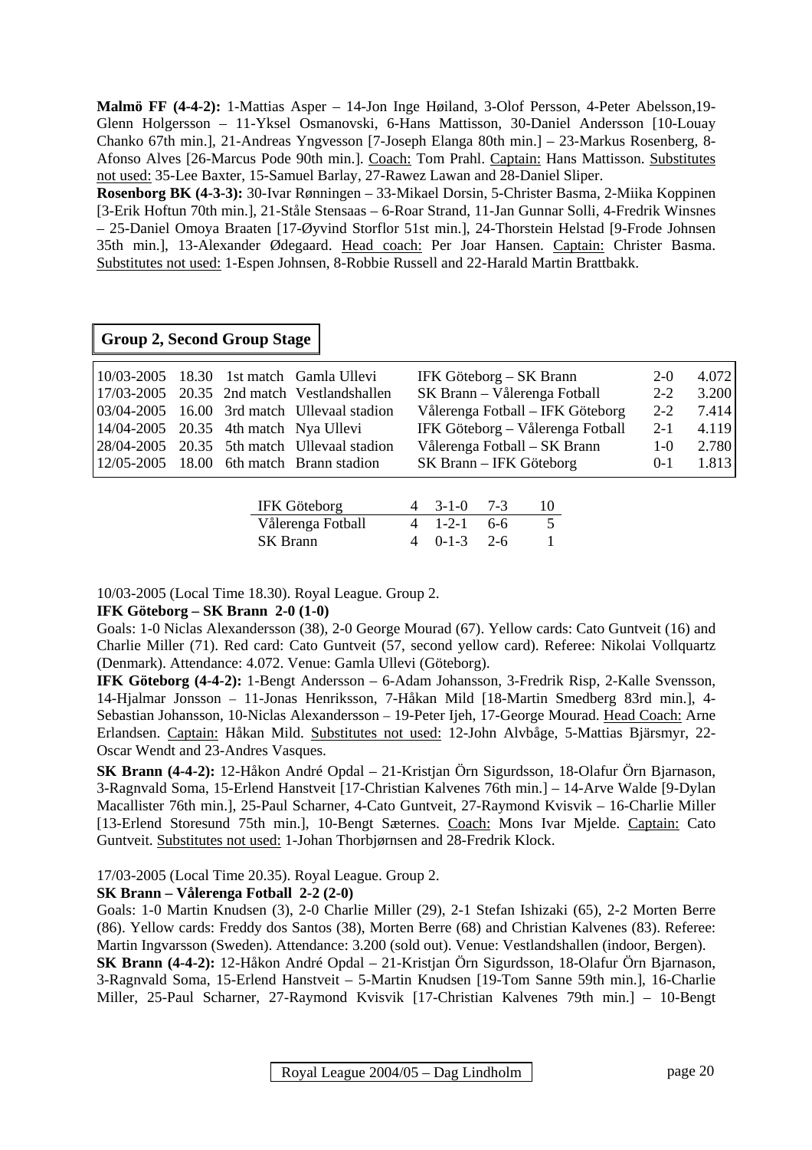**Malmö FF (4-4-2):** 1-Mattias Asper – 14-Jon Inge Høiland, 3-Olof Persson, 4-Peter Abelsson,19- Glenn Holgersson – 11-Yksel Osmanovski, 6-Hans Mattisson, 30-Daniel Andersson [10-Louay Chanko 67th min.], 21-Andreas Yngvesson [7-Joseph Elanga 80th min.] – 23-Markus Rosenberg, 8- Afonso Alves [26-Marcus Pode 90th min.]. Coach: Tom Prahl. Captain: Hans Mattisson. Substitutes not used: 35-Lee Baxter, 15-Samuel Barlay, 27-Rawez Lawan and 28-Daniel Sliper.

**Rosenborg BK (4-3-3):** 30-Ivar Rønningen – 33-Mikael Dorsin, 5-Christer Basma, 2-Miika Koppinen [3-Erik Hoftun 70th min.], 21-Ståle Stensaas – 6-Roar Strand, 11-Jan Gunnar Solli, 4-Fredrik Winsnes – 25-Daniel Omoya Braaten [17-Øyvind Storflor 51st min.], 24-Thorstein Helstad [9-Frode Johnsen 35th min.], 13-Alexander Ødegaard. Head coach: Per Joar Hansen. Captain: Christer Basma. Substitutes not used: 1-Espen Johnsen, 8-Robbie Russell and 22-Harald Martin Brattbakk.

#### **Group 2, Second Group Stage**

|                                         |  | $10/03-2005$ 18.30 1st match Gamla Ullevi                          | IFK Göteborg – SK Brann          | $2-0$   | 4.072 |
|-----------------------------------------|--|--------------------------------------------------------------------|----------------------------------|---------|-------|
|                                         |  | 17/03-2005 20.35 2nd match Vestlandshallen                         | SK Brann – Vålerenga Fotball     | $2 - 2$ | 3.200 |
|                                         |  | $\vert 03/04 - 2005 \vert 16.00 \vert 3$ rd match Ullevaal stadion | Vålerenga Fotball – IFK Göteborg | $2 - 2$ | 7.414 |
| $14/04-2005$ 20.35 4th match Nya Ullevi |  |                                                                    | IFK Göteborg – Vålerenga Fotball | $2 - 1$ | 4.119 |
|                                         |  | 28/04-2005 20.35 5th match Ullevaal stadion                        | Vålerenga Fotball – SK Brann     | $1-0$   | 2.780 |
|                                         |  | $12/05-2005$ 18.00 6th match Brann stadion                         | SK Brann – IFK Göteborg          | $0-1$   | 1.813 |

| <b>IFK Göteborg</b> | $4 \quad 3-1-0 \quad 7-3$ | 10       |
|---------------------|---------------------------|----------|
| Vålerenga Fotball   | $4 \t1-2-1 \t6-6$         | $\Delta$ |
| <b>SK</b> Brann     | $4 \t 0-1-3 \t 2-6$       |          |

10/03-2005 (Local Time 18.30). Royal League. Group 2.

#### **IFK Göteborg – SK Brann 2-0 (1-0)**

Goals: 1-0 Niclas Alexandersson (38), 2-0 George Mourad (67). Yellow cards: Cato Guntveit (16) and Charlie Miller (71). Red card: Cato Guntveit (57, second yellow card). Referee: Nikolai Vollquartz (Denmark). Attendance: 4.072. Venue: Gamla Ullevi (Göteborg).

**IFK Göteborg (4-4-2):** 1-Bengt Andersson – 6-Adam Johansson, 3-Fredrik Risp, 2-Kalle Svensson, 14-Hjalmar Jonsson – 11-Jonas Henriksson, 7-Håkan Mild [18-Martin Smedberg 83rd min.], 4- Sebastian Johansson, 10-Niclas Alexandersson – 19-Peter Ijeh, 17-George Mourad. Head Coach: Arne Erlandsen. Captain: Håkan Mild. Substitutes not used: 12-John Alvbåge, 5-Mattias Bjärsmyr, 22- Oscar Wendt and 23-Andres Vasques.

**SK Brann (4-4-2):** 12-Håkon André Opdal – 21-Kristjan Örn Sigurdsson, 18-Olafur Örn Bjarnason, 3-Ragnvald Soma, 15-Erlend Hanstveit [17-Christian Kalvenes 76th min.] – 14-Arve Walde [9-Dylan Macallister 76th min.], 25-Paul Scharner, 4-Cato Guntveit, 27-Raymond Kvisvik – 16-Charlie Miller [13-Erlend Storesund 75th min.], 10-Bengt Sæternes. Coach: Mons Ivar Mjelde. Captain: Cato Guntveit. Substitutes not used: 1-Johan Thorbjørnsen and 28-Fredrik Klock.

17/03-2005 (Local Time 20.35). Royal League. Group 2.

#### **SK Brann – Vålerenga Fotball 2-2 (2-0)**

Goals: 1-0 Martin Knudsen (3), 2-0 Charlie Miller (29), 2-1 Stefan Ishizaki (65), 2-2 Morten Berre (86). Yellow cards: Freddy dos Santos (38), Morten Berre (68) and Christian Kalvenes (83). Referee: Martin Ingvarsson (Sweden). Attendance: 3.200 (sold out). Venue: Vestlandshallen (indoor, Bergen).

**SK Brann (4-4-2):** 12-Håkon André Opdal – 21-Kristjan Örn Sigurdsson, 18-Olafur Örn Bjarnason, 3-Ragnvald Soma, 15-Erlend Hanstveit – 5-Martin Knudsen [19-Tom Sanne 59th min.], 16-Charlie Miller, 25-Paul Scharner, 27-Raymond Kvisvik [17-Christian Kalvenes 79th min.] – 10-Bengt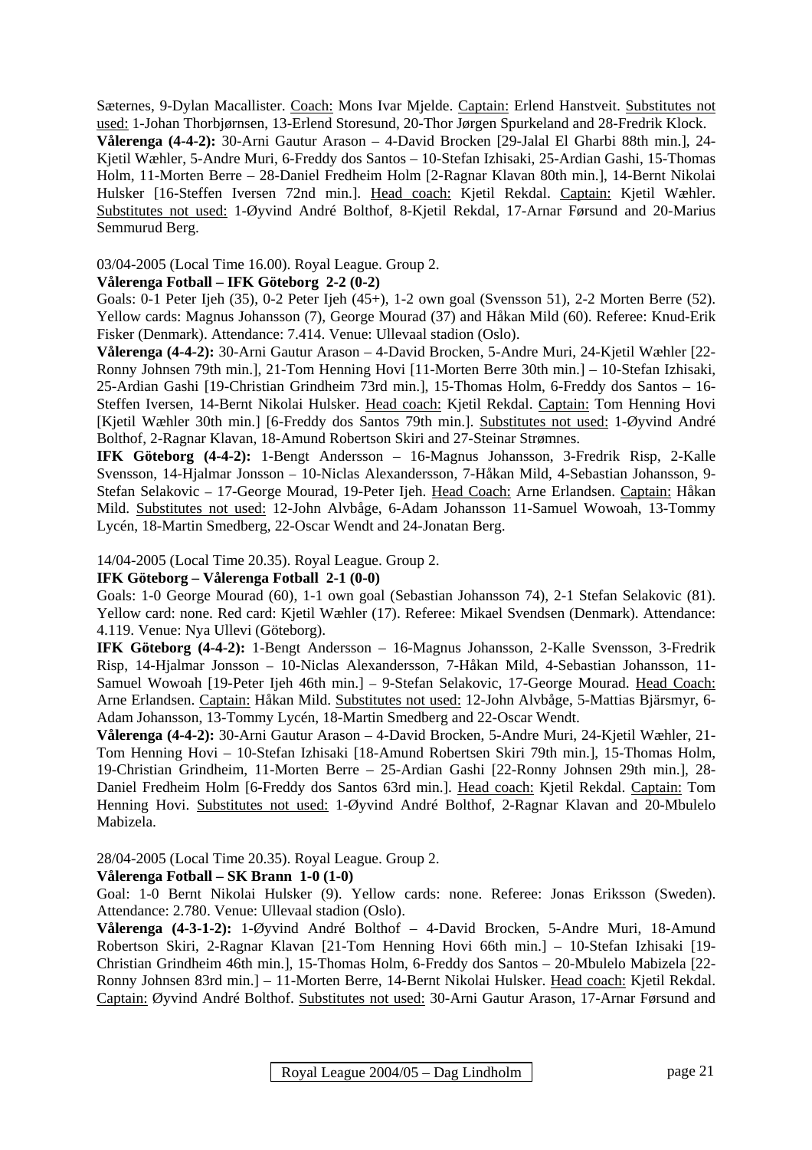Sæternes, 9-Dylan Macallister. Coach: Mons Ivar Mjelde. Captain: Erlend Hanstveit. Substitutes not used: 1-Johan Thorbjørnsen, 13-Erlend Storesund, 20-Thor Jørgen Spurkeland and 28-Fredrik Klock. **Vålerenga (4-4-2):** 30-Arni Gautur Arason – 4-David Brocken [29-Jalal El Gharbi 88th min.], 24- Kjetil Wæhler, 5-Andre Muri, 6-Freddy dos Santos – 10-Stefan Izhisaki, 25-Ardian Gashi, 15-Thomas Holm, 11-Morten Berre – 28-Daniel Fredheim Holm [2-Ragnar Klavan 80th min.], 14-Bernt Nikolai Hulsker [16-Steffen Iversen 72nd min.]. Head coach: Kjetil Rekdal. Captain: Kjetil Wæhler. Substitutes not used: 1-Øyvind André Bolthof, 8-Kjetil Rekdal, 17-Arnar Førsund and 20-Marius Semmurud Berg.

#### 03/04-2005 (Local Time 16.00). Royal League. Group 2.

#### **Vålerenga Fotball – IFK Göteborg 2-2 (0-2)**

Goals: 0-1 Peter Ijeh (35), 0-2 Peter Ijeh (45+), 1-2 own goal (Svensson 51), 2-2 Morten Berre (52). Yellow cards: Magnus Johansson (7), George Mourad (37) and Håkan Mild (60). Referee: Knud-Erik Fisker (Denmark). Attendance: 7.414. Venue: Ullevaal stadion (Oslo).

**Vålerenga (4-4-2):** 30-Arni Gautur Arason – 4-David Brocken, 5-Andre Muri, 24-Kjetil Wæhler [22- Ronny Johnsen 79th min.], 21-Tom Henning Hovi [11-Morten Berre 30th min.] – 10-Stefan Izhisaki, 25-Ardian Gashi [19-Christian Grindheim 73rd min.], 15-Thomas Holm, 6-Freddy dos Santos – 16- Steffen Iversen, 14-Bernt Nikolai Hulsker. Head coach: Kjetil Rekdal. Captain: Tom Henning Hovi [Kjetil Wæhler 30th min.] [6-Freddy dos Santos 79th min.]. Substitutes not used: 1-Øyvind André Bolthof, 2-Ragnar Klavan, 18-Amund Robertson Skiri and 27-Steinar Strømnes.

**IFK Göteborg (4-4-2):** 1-Bengt Andersson – 16-Magnus Johansson, 3-Fredrik Risp, 2-Kalle Svensson, 14-Hjalmar Jonsson – 10-Niclas Alexandersson, 7-Håkan Mild, 4-Sebastian Johansson, 9- Stefan Selakovic – 17-George Mourad, 19-Peter Ijeh. Head Coach: Arne Erlandsen. Captain: Håkan Mild. Substitutes not used: 12-John Alvbåge, 6-Adam Johansson 11-Samuel Wowoah, 13-Tommy Lycén, 18-Martin Smedberg, 22-Oscar Wendt and 24-Jonatan Berg.

14/04-2005 (Local Time 20.35). Royal League. Group 2.

#### **IFK Göteborg – Vålerenga Fotball 2-1 (0-0)**

Goals: 1-0 George Mourad (60), 1-1 own goal (Sebastian Johansson 74), 2-1 Stefan Selakovic (81). Yellow card: none. Red card: Kjetil Wæhler (17). Referee: Mikael Svendsen (Denmark). Attendance: 4.119. Venue: Nya Ullevi (Göteborg).

**IFK Göteborg (4-4-2):** 1-Bengt Andersson – 16-Magnus Johansson, 2-Kalle Svensson, 3-Fredrik Risp, 14-Hjalmar Jonsson – 10-Niclas Alexandersson, 7-Håkan Mild, 4-Sebastian Johansson, 11- Samuel Wowoah [19-Peter Ijeh 46th min.] – 9-Stefan Selakovic, 17-George Mourad. Head Coach: Arne Erlandsen. Captain: Håkan Mild. Substitutes not used: 12-John Alvbåge, 5-Mattias Bjärsmyr, 6- Adam Johansson, 13-Tommy Lycén, 18-Martin Smedberg and 22-Oscar Wendt.

**Vålerenga (4-4-2):** 30-Arni Gautur Arason – 4-David Brocken, 5-Andre Muri, 24-Kjetil Wæhler, 21- Tom Henning Hovi – 10-Stefan Izhisaki [18-Amund Robertsen Skiri 79th min.], 15-Thomas Holm, 19-Christian Grindheim, 11-Morten Berre – 25-Ardian Gashi [22-Ronny Johnsen 29th min.], 28- Daniel Fredheim Holm [6-Freddy dos Santos 63rd min.]. Head coach: Kjetil Rekdal. Captain: Tom Henning Hovi. Substitutes not used: 1-Øyvind André Bolthof, 2-Ragnar Klavan and 20-Mbulelo Mabizela.

28/04-2005 (Local Time 20.35). Royal League. Group 2.

#### **Vålerenga Fotball – SK Brann 1-0 (1-0)**

Goal: 1-0 Bernt Nikolai Hulsker (9). Yellow cards: none. Referee: Jonas Eriksson (Sweden). Attendance: 2.780. Venue: Ullevaal stadion (Oslo).

**Vålerenga (4-3-1-2):** 1-Øyvind André Bolthof – 4-David Brocken, 5-Andre Muri, 18-Amund Robertson Skiri, 2-Ragnar Klavan [21-Tom Henning Hovi 66th min.] – 10-Stefan Izhisaki [19- Christian Grindheim 46th min.], 15-Thomas Holm, 6-Freddy dos Santos – 20-Mbulelo Mabizela [22- Ronny Johnsen 83rd min.] – 11-Morten Berre, 14-Bernt Nikolai Hulsker. Head coach: Kjetil Rekdal. Captain: Øyvind André Bolthof. Substitutes not used: 30-Arni Gautur Arason, 17-Arnar Førsund and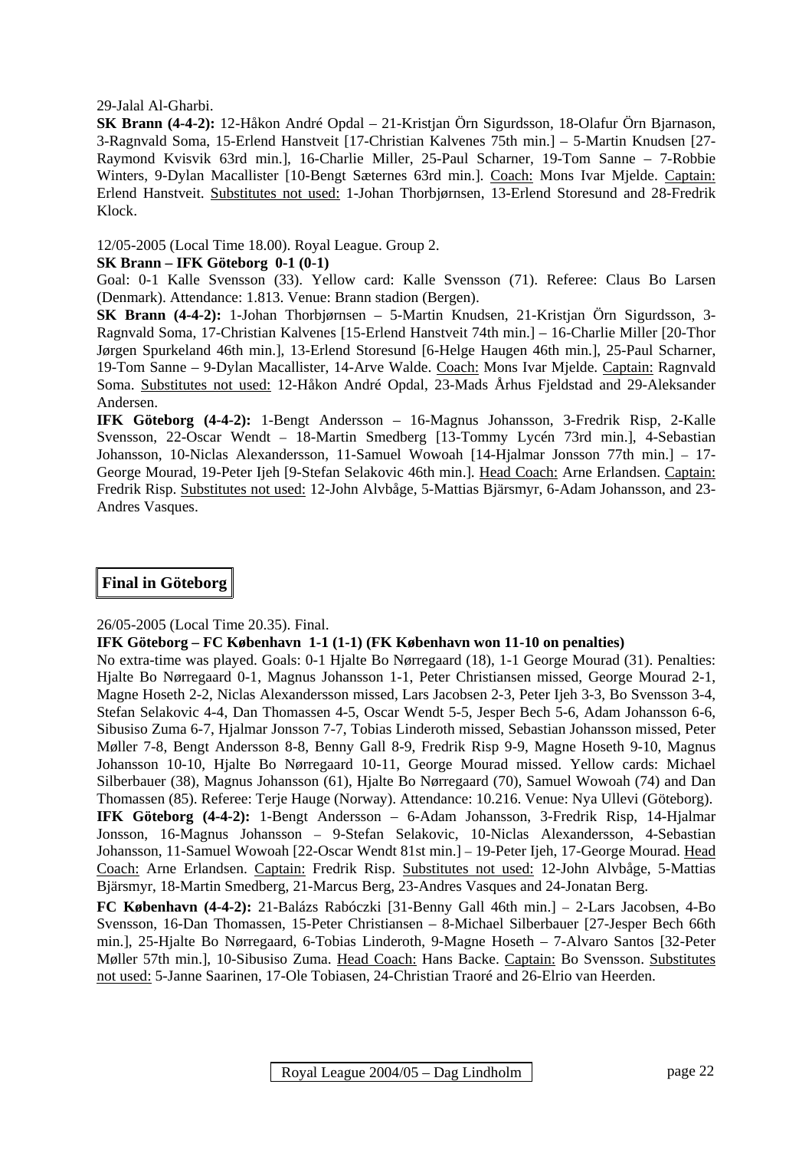29-Jalal Al-Gharbi.

**SK Brann (4-4-2):** 12-Håkon André Opdal – 21-Kristjan Örn Sigurdsson, 18-Olafur Örn Bjarnason, 3-Ragnvald Soma, 15-Erlend Hanstveit [17-Christian Kalvenes 75th min.] – 5-Martin Knudsen [27- Raymond Kvisvik 63rd min.], 16-Charlie Miller, 25-Paul Scharner, 19-Tom Sanne – 7-Robbie Winters, 9-Dylan Macallister [10-Bengt Sæternes 63rd min.]. Coach: Mons Ivar Mjelde. Captain: Erlend Hanstveit. Substitutes not used: 1-Johan Thorbjørnsen, 13-Erlend Storesund and 28-Fredrik Klock.

12/05-2005 (Local Time 18.00). Royal League. Group 2.

#### **SK Brann – IFK Göteborg 0-1 (0-1)**

Goal: 0-1 Kalle Svensson (33). Yellow card: Kalle Svensson (71). Referee: Claus Bo Larsen (Denmark). Attendance: 1.813. Venue: Brann stadion (Bergen).

**SK Brann (4-4-2):** 1-Johan Thorbjørnsen – 5-Martin Knudsen, 21-Kristjan Örn Sigurdsson, 3- Ragnvald Soma, 17-Christian Kalvenes [15-Erlend Hanstveit 74th min.] – 16-Charlie Miller [20-Thor Jørgen Spurkeland 46th min.], 13-Erlend Storesund [6-Helge Haugen 46th min.], 25-Paul Scharner, 19-Tom Sanne – 9-Dylan Macallister, 14-Arve Walde. Coach: Mons Ivar Mjelde. Captain: Ragnvald Soma. Substitutes not used: 12-Håkon André Opdal, 23-Mads Århus Fjeldstad and 29-Aleksander Andersen.

**IFK Göteborg (4-4-2):** 1-Bengt Andersson – 16-Magnus Johansson, 3-Fredrik Risp, 2-Kalle Svensson, 22-Oscar Wendt – 18-Martin Smedberg [13-Tommy Lycén 73rd min.], 4-Sebastian Johansson, 10-Niclas Alexandersson, 11-Samuel Wowoah [14-Hjalmar Jonsson 77th min.] – 17- George Mourad, 19-Peter Ijeh [9-Stefan Selakovic 46th min.]. Head Coach: Arne Erlandsen. Captain: Fredrik Risp. Substitutes not used: 12-John Alvbåge, 5-Mattias Bjärsmyr, 6-Adam Johansson, and 23- Andres Vasques.

### **Final in Göteborg**

#### 26/05-2005 (Local Time 20.35). Final.

#### **IFK Göteborg – FC København 1-1 (1-1) (FK København won 11-10 on penalties)**

No extra-time was played. Goals: 0-1 Hjalte Bo Nørregaard (18), 1-1 George Mourad (31). Penalties: Hjalte Bo Nørregaard 0-1, Magnus Johansson 1-1, Peter Christiansen missed, George Mourad 2-1, Magne Hoseth 2-2, Niclas Alexandersson missed, Lars Jacobsen 2-3, Peter Ijeh 3-3, Bo Svensson 3-4, Stefan Selakovic 4-4, Dan Thomassen 4-5, Oscar Wendt 5-5, Jesper Bech 5-6, Adam Johansson 6-6, Sibusiso Zuma 6-7, Hjalmar Jonsson 7-7, Tobias Linderoth missed, Sebastian Johansson missed, Peter Møller 7-8, Bengt Andersson 8-8, Benny Gall 8-9, Fredrik Risp 9-9, Magne Hoseth 9-10, Magnus Johansson 10-10, Hjalte Bo Nørregaard 10-11, George Mourad missed. Yellow cards: Michael Silberbauer (38), Magnus Johansson (61), Hjalte Bo Nørregaard (70), Samuel Wowoah (74) and Dan Thomassen (85). Referee: Terje Hauge (Norway). Attendance: 10.216. Venue: Nya Ullevi (Göteborg). **IFK Göteborg (4-4-2):** 1-Bengt Andersson – 6-Adam Johansson, 3-Fredrik Risp, 14-Hjalmar Jonsson, 16-Magnus Johansson – 9-Stefan Selakovic, 10-Niclas Alexandersson, 4-Sebastian Johansson, 11-Samuel Wowoah [22-Oscar Wendt 81st min.] – 19-Peter Ijeh, 17-George Mourad. Head Coach: Arne Erlandsen. Captain: Fredrik Risp. Substitutes not used: 12-John Alvbåge, 5-Mattias Bjärsmyr, 18-Martin Smedberg, 21-Marcus Berg, 23-Andres Vasques and 24-Jonatan Berg.

**FC København (4-4-2):** 21-Balázs Rabóczki [31-Benny Gall 46th min.] – 2-Lars Jacobsen, 4-Bo Svensson, 16-Dan Thomassen, 15-Peter Christiansen – 8-Michael Silberbauer [27-Jesper Bech 66th min.], 25-Hjalte Bo Nørregaard, 6-Tobias Linderoth, 9-Magne Hoseth – 7-Alvaro Santos [32-Peter Møller 57th min.], 10-Sibusiso Zuma. Head Coach: Hans Backe. Captain: Bo Svensson. Substitutes not used: 5-Janne Saarinen, 17-Ole Tobiasen, 24-Christian Traoré and 26-Elrio van Heerden.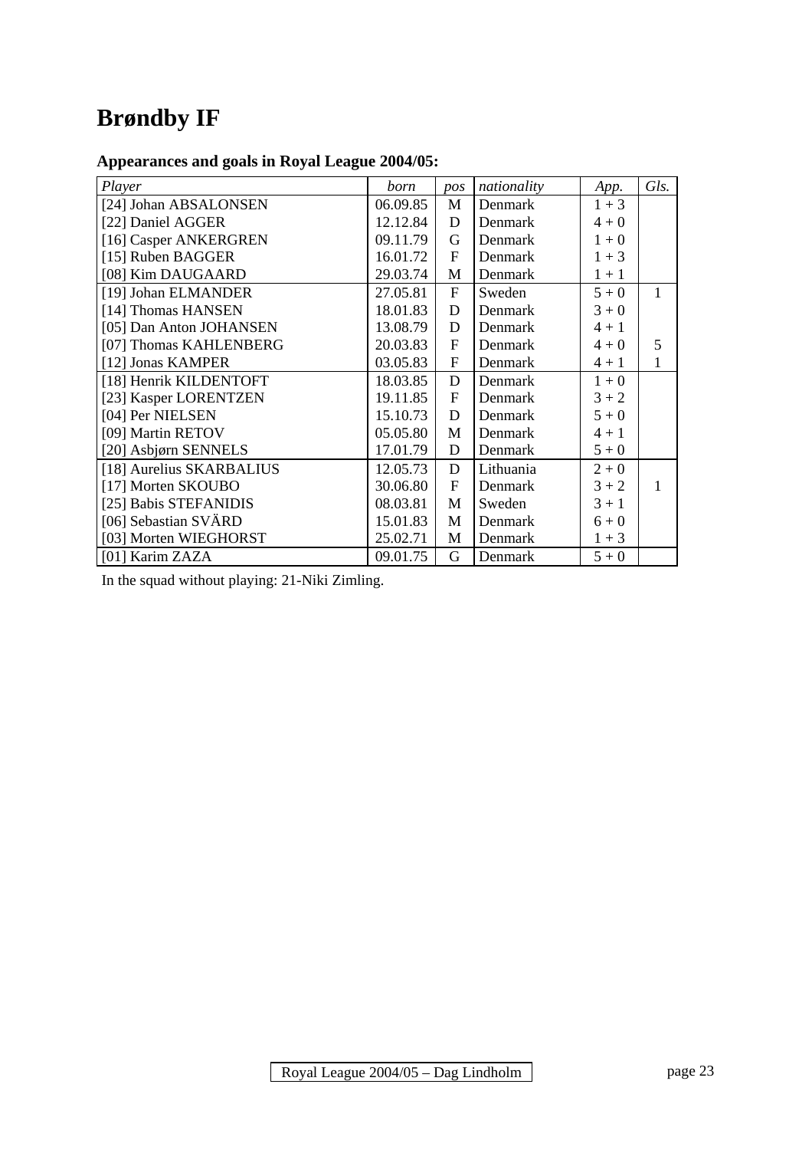# **Brøndby IF**

# **Appearances and goals in Royal League 2004/05:**

| Player                   | born     | pos            | nationality | App.    | Gls. |
|--------------------------|----------|----------------|-------------|---------|------|
| [24] Johan ABSALONSEN    | 06.09.85 | M              | Denmark     | $1 + 3$ |      |
| [22] Daniel AGGER        | 12.12.84 | D              | Denmark     | $4 + 0$ |      |
| [16] Casper ANKERGREN    | 09.11.79 | G              | Denmark     | $1 + 0$ |      |
| [15] Ruben BAGGER        | 16.01.72 | $\overline{F}$ | Denmark     | $1 + 3$ |      |
| [08] Kim DAUGAARD        | 29.03.74 | M              | Denmark     | $1 + 1$ |      |
| [19] Johan ELMANDER      | 27.05.81 | F              | Sweden      | $5 + 0$ | 1    |
| [14] Thomas HANSEN       | 18.01.83 | D              | Denmark     | $3 + 0$ |      |
| [05] Dan Anton JOHANSEN  | 13.08.79 | D              | Denmark     | $4 + 1$ |      |
| [07] Thomas KAHLENBERG   | 20.03.83 | F              | Denmark     | $4 + 0$ | 5    |
| [12] Jonas KAMPER        | 03.05.83 | F              | Denmark     | $4 + 1$ | 1    |
| [18] Henrik KILDENTOFT   | 18.03.85 | $\mathbf D$    | Denmark     | $1 + 0$ |      |
| [23] Kasper LORENTZEN    | 19.11.85 | $\mathbf{F}$   | Denmark     | $3 + 2$ |      |
| [04] Per NIELSEN         | 15.10.73 | D              | Denmark     | $5 + 0$ |      |
| [09] Martin RETOV        | 05.05.80 | M              | Denmark     | $4 + 1$ |      |
| [20] Asbjørn SENNELS     | 17.01.79 | D              | Denmark     | $5 + 0$ |      |
| [18] Aurelius SKARBALIUS | 12.05.73 | D              | Lithuania   | $2 + 0$ |      |
| [17] Morten SKOUBO       | 30.06.80 | $\overline{F}$ | Denmark     | $3 + 2$ | 1    |
| [25] Babis STEFANIDIS    | 08.03.81 | M              | Sweden      | $3 + 1$ |      |
| [06] Sebastian SVÄRD     | 15.01.83 | M              | Denmark     | $6 + 0$ |      |
| [03] Morten WIEGHORST    | 25.02.71 | M              | Denmark     | $1 + 3$ |      |
| [01] Karim ZAZA          | 09.01.75 | G              | Denmark     | $5 + 0$ |      |

In the squad without playing: 21-Niki Zimling.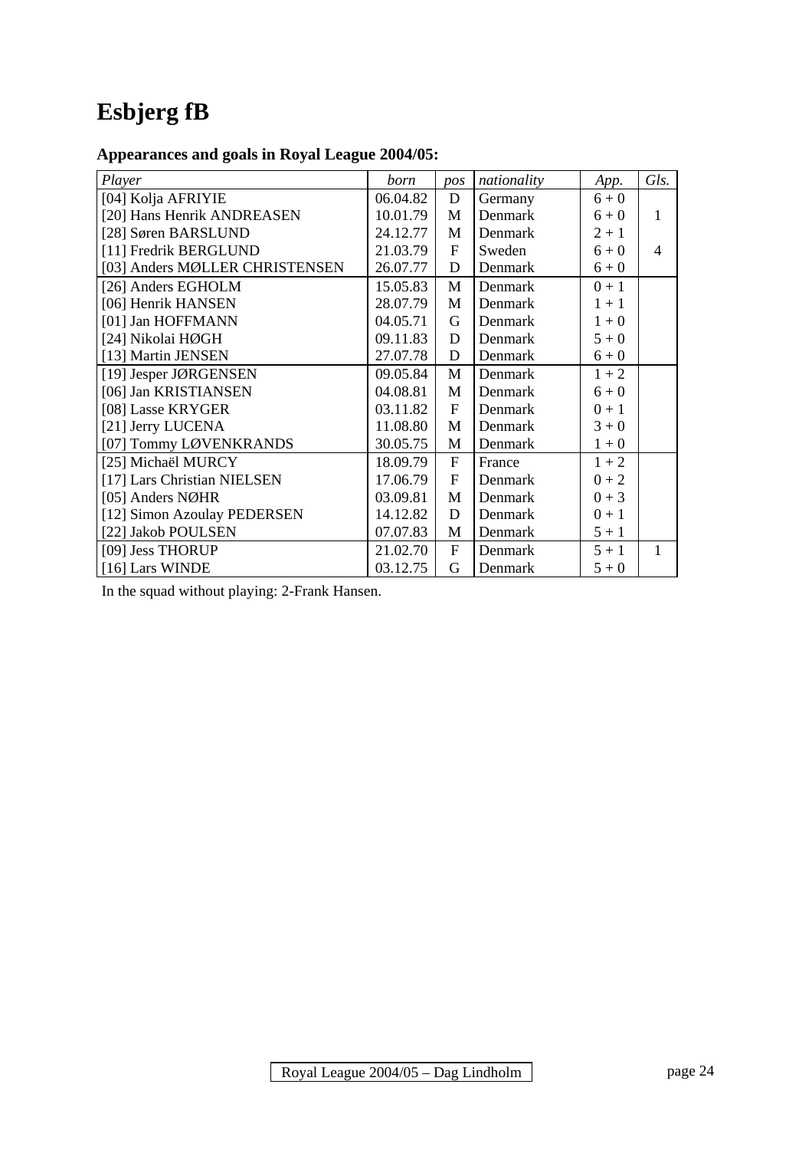# **Esbjerg fB**

# **Appearances and goals in Royal League 2004/05:**

| Player                         | born     | pos          | nationality | App.    | Gls.                     |
|--------------------------------|----------|--------------|-------------|---------|--------------------------|
| [04] Kolja AFRIYIE             | 06.04.82 | D            | Germany     | $6 + 0$ |                          |
| [20] Hans Henrik ANDREASEN     | 10.01.79 | M            | Denmark     | $6 + 0$ | 1                        |
| [28] Søren BARSLUND            | 24.12.77 | M            | Denmark     | $2 + 1$ |                          |
| [11] Fredrik BERGLUND          | 21.03.79 | $\mathbf{F}$ | Sweden      | $6 + 0$ | $\overline{\mathcal{A}}$ |
| [03] Anders MØLLER CHRISTENSEN | 26.07.77 | D            | Denmark     | $6 + 0$ |                          |
| [26] Anders EGHOLM             | 15.05.83 | M            | Denmark     | $0 + 1$ |                          |
| [06] Henrik HANSEN             | 28.07.79 | M            | Denmark     | $1 + 1$ |                          |
| [01] Jan HOFFMANN              | 04.05.71 | G            | Denmark     | $1 + 0$ |                          |
| [24] Nikolai HØGH              | 09.11.83 | D            | Denmark     | $5 + 0$ |                          |
| [13] Martin JENSEN             | 27.07.78 | D            | Denmark     | $6 + 0$ |                          |
| [19] Jesper JØRGENSEN          | 09.05.84 | M            | Denmark     | $1 + 2$ |                          |
| [06] Jan KRISTIANSEN           | 04.08.81 | M            | Denmark     | $6 + 0$ |                          |
| [08] Lasse KRYGER              | 03.11.82 | $\mathbf{F}$ | Denmark     | $0 + 1$ |                          |
| [21] Jerry LUCENA              | 11.08.80 | M            | Denmark     | $3 + 0$ |                          |
| [07] Tommy LØVENKRANDS         | 30.05.75 | M            | Denmark     | $1 + 0$ |                          |
| [25] Michaël MURCY             | 18.09.79 | $\mathbf{F}$ | France      | $1 + 2$ |                          |
| [17] Lars Christian NIELSEN    | 17.06.79 | F            | Denmark     | $0 + 2$ |                          |
| [05] Anders NØHR               | 03.09.81 | M            | Denmark     | $0 + 3$ |                          |
| [12] Simon Azoulay PEDERSEN    | 14.12.82 | D            | Denmark     | $0 + 1$ |                          |
| [22] Jakob POULSEN             | 07.07.83 | M            | Denmark     | $5 + 1$ |                          |
| [09] Jess THORUP               | 21.02.70 | $\mathbf{F}$ | Denmark     | $5 + 1$ | 1                        |
| [16] Lars WINDE                | 03.12.75 | G            | Denmark     | $5 + 0$ |                          |

In the squad without playing: 2-Frank Hansen.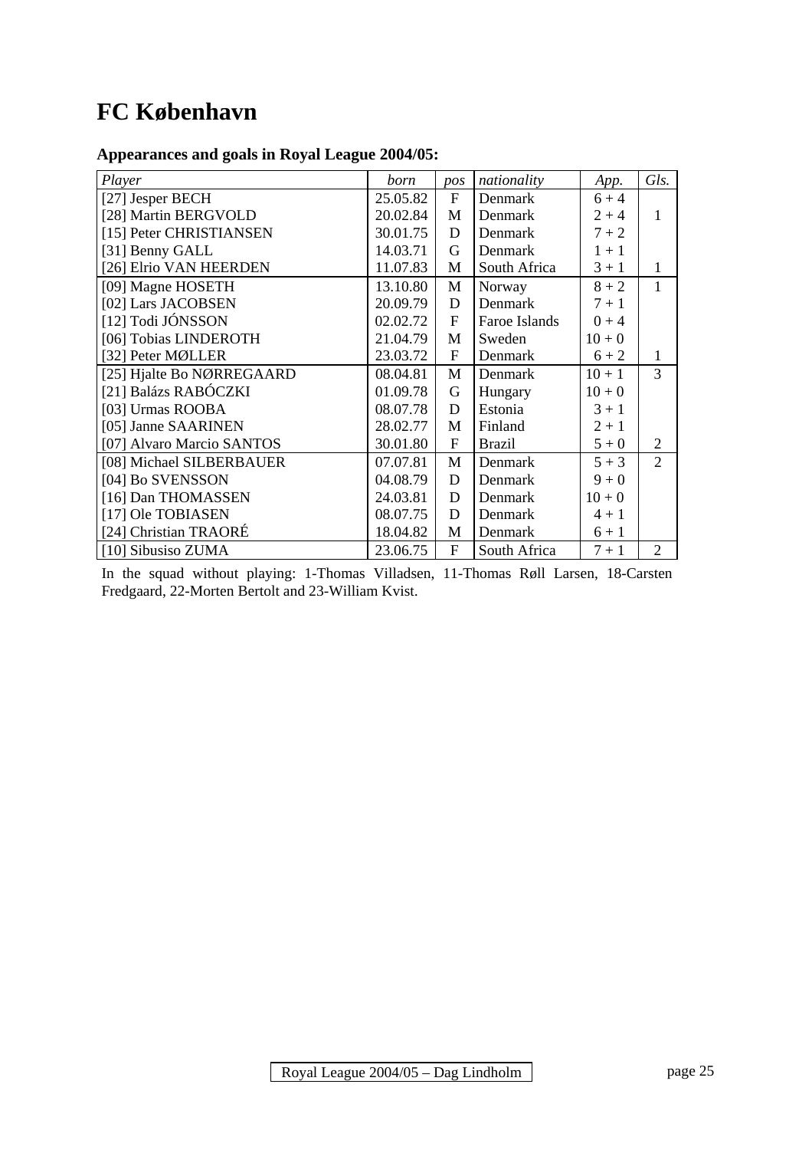# **FC København**

# **Appearances and goals in Royal League 2004/05:**

| Player                    | born     | pos            | nationality    | App.     | Gls.           |
|---------------------------|----------|----------------|----------------|----------|----------------|
| [27] Jesper BECH          | 25.05.82 | $\mathbf{F}$   | Denmark        | $6 + 4$  |                |
| [28] Martin BERGVOLD      | 20.02.84 | M              | Denmark        | $2 + 4$  | 1              |
| [15] Peter CHRISTIANSEN   | 30.01.75 | D              | Denmark        | $7 + 2$  |                |
| [31] Benny GALL           | 14.03.71 | G              | Denmark        | $1 + 1$  |                |
| [26] Elrio VAN HEERDEN    | 11.07.83 | M              | South Africa   | $3 + 1$  | 1              |
| [09] Magne HOSETH         | 13.10.80 | M              | Norway         | $8 + 2$  | $\mathbf{1}$   |
| [02] Lars JACOBSEN        | 20.09.79 | D              | Denmark        | $7 + 1$  |                |
| [12] Todi JÓNSSON         | 02.02.72 | $\mathbf F$    | Faroe Islands  | $0 + 4$  |                |
| [06] Tobias LINDEROTH     | 21.04.79 | M              | Sweden         | $10 + 0$ |                |
| [32] Peter MØLLER         | 23.03.72 | $\overline{F}$ | Denmark        | $6 + 2$  | 1              |
| [25] Hjalte Bo NØRREGAARD | 08.04.81 | M              | Denmark        | $10 + 1$ | 3              |
| [21] Balázs RABÓCZKI      | 01.09.78 | G              | Hungary        | $10 + 0$ |                |
| [03] Urmas ROOBA          | 08.07.78 | D              | Estonia        | $3 + 1$  |                |
| [05] Janne SAARINEN       | 28.02.77 | M              | Finland        | $2 + 1$  |                |
| [07] Alvaro Marcio SANTOS | 30.01.80 | $\overline{F}$ | <b>Brazil</b>  | $5 + 0$  | 2              |
| [08] Michael SILBERBAUER  | 07.07.81 | M              | Denmark        | $5 + 3$  | $\overline{2}$ |
| [04] Bo SVENSSON          | 04.08.79 | D              | Denmark        | $9 + 0$  |                |
| [16] Dan THOMASSEN        | 24.03.81 | D              | Denmark        | $10 + 0$ |                |
| [17] Ole TOBIASEN         | 08.07.75 | D              | <b>Denmark</b> | $4 + 1$  |                |
| [24] Christian TRAORÉ     | 18.04.82 | M              | Denmark        | $6 + 1$  |                |
| [10] Sibusiso ZUMA        | 23.06.75 | $\overline{F}$ | South Africa   | $7 + 1$  | $\overline{2}$ |

In the squad without playing: 1-Thomas Villadsen, 11-Thomas Røll Larsen, 18-Carsten Fredgaard, 22-Morten Bertolt and 23-William Kvist.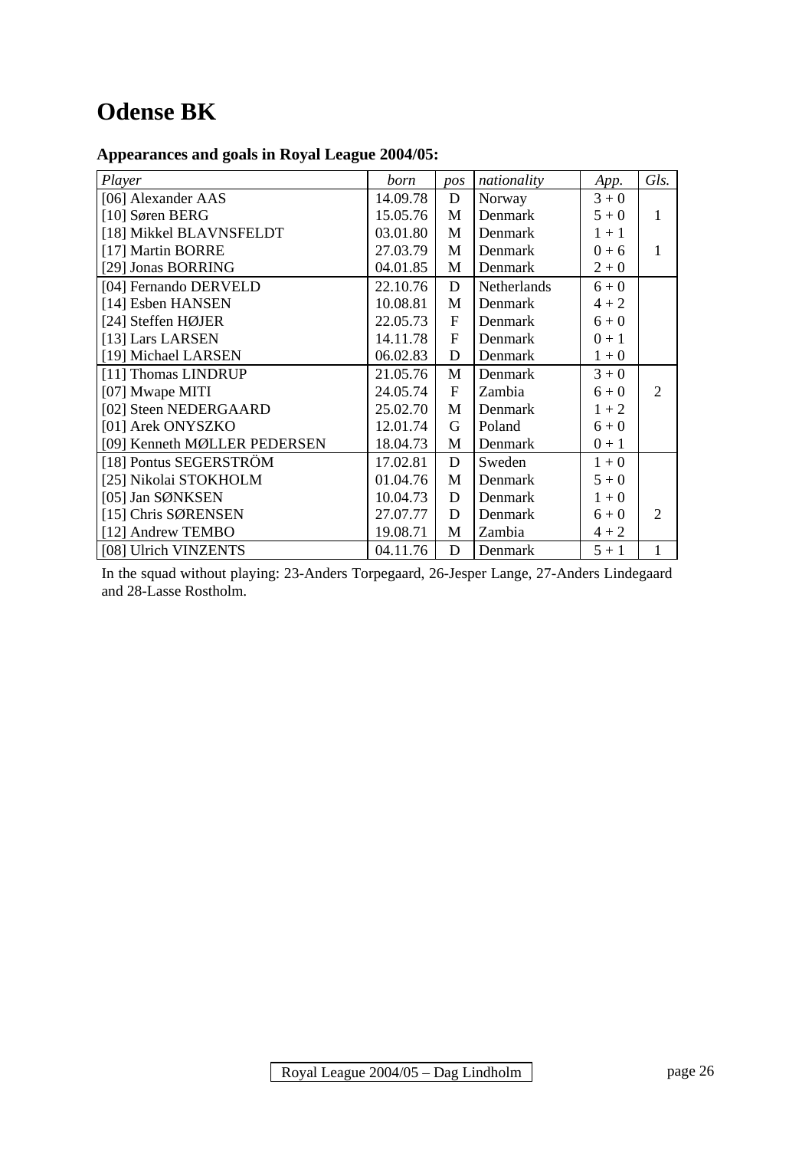# **Odense BK**

# **Appearances and goals in Royal League 2004/05:**

| Player                       | born     | pos          | nationality        | App.    | Gls.           |
|------------------------------|----------|--------------|--------------------|---------|----------------|
| [06] Alexander AAS           | 14.09.78 | D            | Norway             | $3 + 0$ |                |
| [10] Søren BERG              | 15.05.76 | M            | Denmark            | $5 + 0$ | 1              |
| [18] Mikkel BLAVNSFELDT      | 03.01.80 | M            | Denmark            | $1 + 1$ |                |
| [17] Martin BORRE            | 27.03.79 | M            | Denmark            | $0 + 6$ | 1              |
| [29] Jonas BORRING           | 04.01.85 | M            | Denmark            | $2 + 0$ |                |
| [04] Fernando DERVELD        | 22.10.76 | D            | <b>Netherlands</b> | $6 + 0$ |                |
| [14] Esben HANSEN            | 10.08.81 | M            | Denmark            | $4 + 2$ |                |
| [24] Steffen HØJER           | 22.05.73 | $\mathbf{F}$ | Denmark            | $6 + 0$ |                |
| [13] Lars LARSEN             | 14.11.78 | F            | Denmark            | $0 + 1$ |                |
| [19] Michael LARSEN          | 06.02.83 | D            | Denmark            | $1 + 0$ |                |
| [11] Thomas LINDRUP          | 21.05.76 | M            | Denmark            | $3 + 0$ |                |
| [07] Mwape MITI              | 24.05.74 | $\mathbf{F}$ | Zambia             | $6 + 0$ | $\mathfrak{D}$ |
| [02] Steen NEDERGAARD        | 25.02.70 | M            | Denmark            | $1 + 2$ |                |
| [01] Arek ONYSZKO            | 12.01.74 | G            | Poland             | $6 + 0$ |                |
| [09] Kenneth MØLLER PEDERSEN | 18.04.73 | M            | Denmark            | $0 + 1$ |                |
| [18] Pontus SEGERSTRÖM       | 17.02.81 | D            | Sweden             | $1 + 0$ |                |
| [25] Nikolai STOKHOLM        | 01.04.76 | M            | Denmark            | $5 + 0$ |                |
| [05] Jan SØNKSEN             | 10.04.73 | D            | Denmark            | $1 + 0$ |                |
| [15] Chris SØRENSEN          | 27.07.77 | D            | Denmark            | $6 + 0$ | 2              |
| [12] Andrew TEMBO            | 19.08.71 | M            | Zambia             | $4 + 2$ |                |
| [08] Ulrich VINZENTS         | 04.11.76 | D            | Denmark            | $5 + 1$ | $\mathbf{1}$   |

In the squad without playing: 23-Anders Torpegaard, 26-Jesper Lange, 27-Anders Lindegaard and 28-Lasse Rostholm.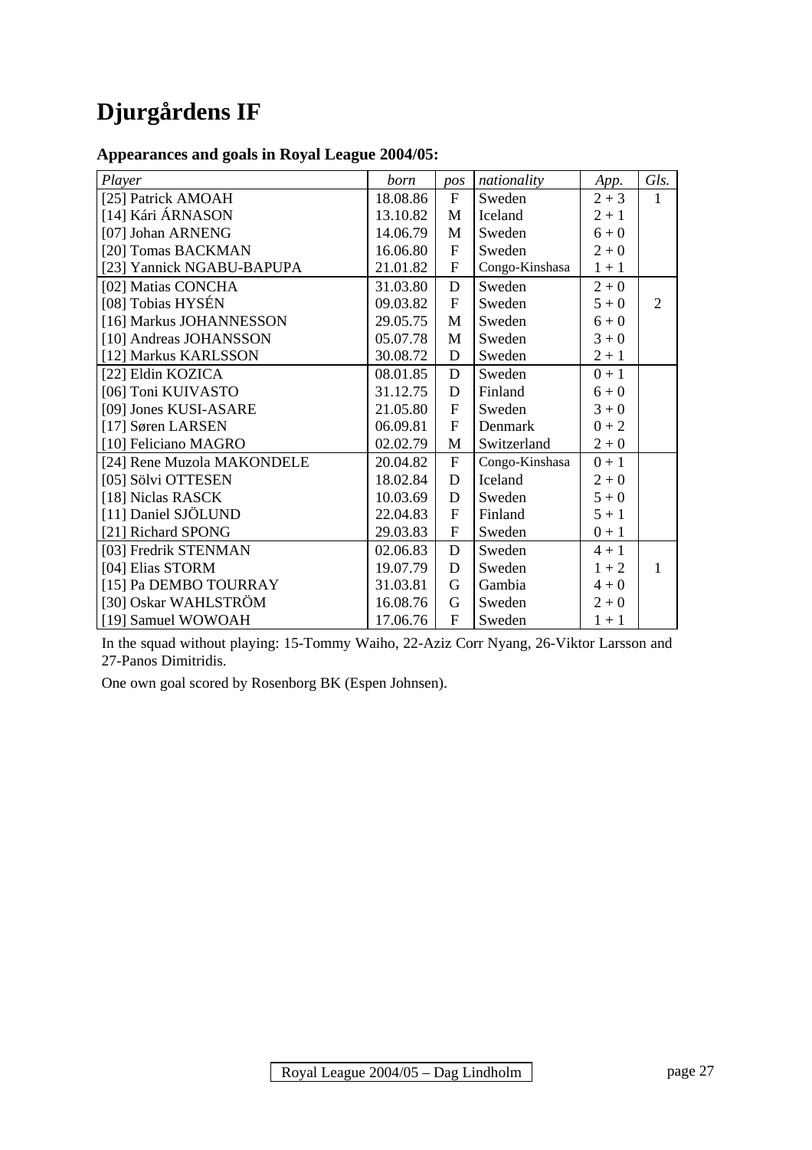# **Djurgårdens IF**

### **Appearances and goals in Royal League 2004/05:**

| Player                     | born     | pos            | nationality    | App.    | Gls.           |
|----------------------------|----------|----------------|----------------|---------|----------------|
| [25] Patrick AMOAH         | 18.08.86 | $\mathbf{F}$   | Sweden         | $2 + 3$ | 1              |
| [14] Kári ÁRNASON          | 13.10.82 | $\mathbf{M}$   | Iceland        | $2 + 1$ |                |
| [07] Johan ARNENG          | 14.06.79 | M              | Sweden         | $6 + 0$ |                |
| [20] Tomas BACKMAN         | 16.06.80 | $\mathbf{F}$   | Sweden         | $2 + 0$ |                |
| [23] Yannick NGABU-BAPUPA  | 21.01.82 | $\mathbf F$    | Congo-Kinshasa | $1 + 1$ |                |
| [02] Matias CONCHA         | 31.03.80 | $\mathbf D$    | Sweden         | $2 + 0$ |                |
| [08] Tobias HYSÉN          | 09.03.82 | $\overline{F}$ | Sweden         | $5 + 0$ | $\overline{2}$ |
| [16] Markus JOHANNESSON    | 29.05.75 | M              | Sweden         | $6 + 0$ |                |
| [10] Andreas JOHANSSON     | 05.07.78 | M              | Sweden         | $3 + 0$ |                |
| [12] Markus KARLSSON       | 30.08.72 | D              | Sweden         | $2 + 1$ |                |
| [22] Eldin KOZICA          | 08.01.85 | D              | Sweden         | $0 + 1$ |                |
| [06] Toni KUIVASTO         | 31.12.75 | D              | Finland        | $6 + 0$ |                |
| [09] Jones KUSI-ASARE      | 21.05.80 | $\mathbf F$    | Sweden         | $3 + 0$ |                |
| [17] Søren LARSEN          | 06.09.81 | $\mathbf{F}$   | Denmark        | $0 + 2$ |                |
| [10] Feliciano MAGRO       | 02.02.79 | M              | Switzerland    | $2 + 0$ |                |
| [24] Rene Muzola MAKONDELE | 20.04.82 | $\overline{F}$ | Congo-Kinshasa | $0 + 1$ |                |
| [05] Sölvi OTTESEN         | 18.02.84 | $\mathbf D$    | Iceland        | $2 + 0$ |                |
| [18] Niclas RASCK          | 10.03.69 | D              | Sweden         | $5 + 0$ |                |
| [11] Daniel SJÖLUND        | 22.04.83 | $\overline{F}$ | Finland        | $5 + 1$ |                |
| [21] Richard SPONG         | 29.03.83 | $\mathbf{F}$   | Sweden         | $0 + 1$ |                |
| [03] Fredrik STENMAN       | 02.06.83 | $\mathbf D$    | Sweden         | $4 + 1$ |                |
| [04] Elias STORM           | 19.07.79 | D              | Sweden         | $1 + 2$ | 1              |
| [15] Pa DEMBO TOURRAY      | 31.03.81 | G              | Gambia         | $4 + 0$ |                |
| [30] Oskar WAHLSTRÖM       | 16.08.76 | G              | Sweden         | $2 + 0$ |                |
| [19] Samuel WOWOAH         | 17.06.76 | $\overline{F}$ | Sweden         | $1 + 1$ |                |

In the squad without playing: 15-Tommy Waiho, 22-Aziz Corr Nyang, 26-Viktor Larsson and 27-Panos Dimitridis.

One own goal scored by Rosenborg BK (Espen Johnsen).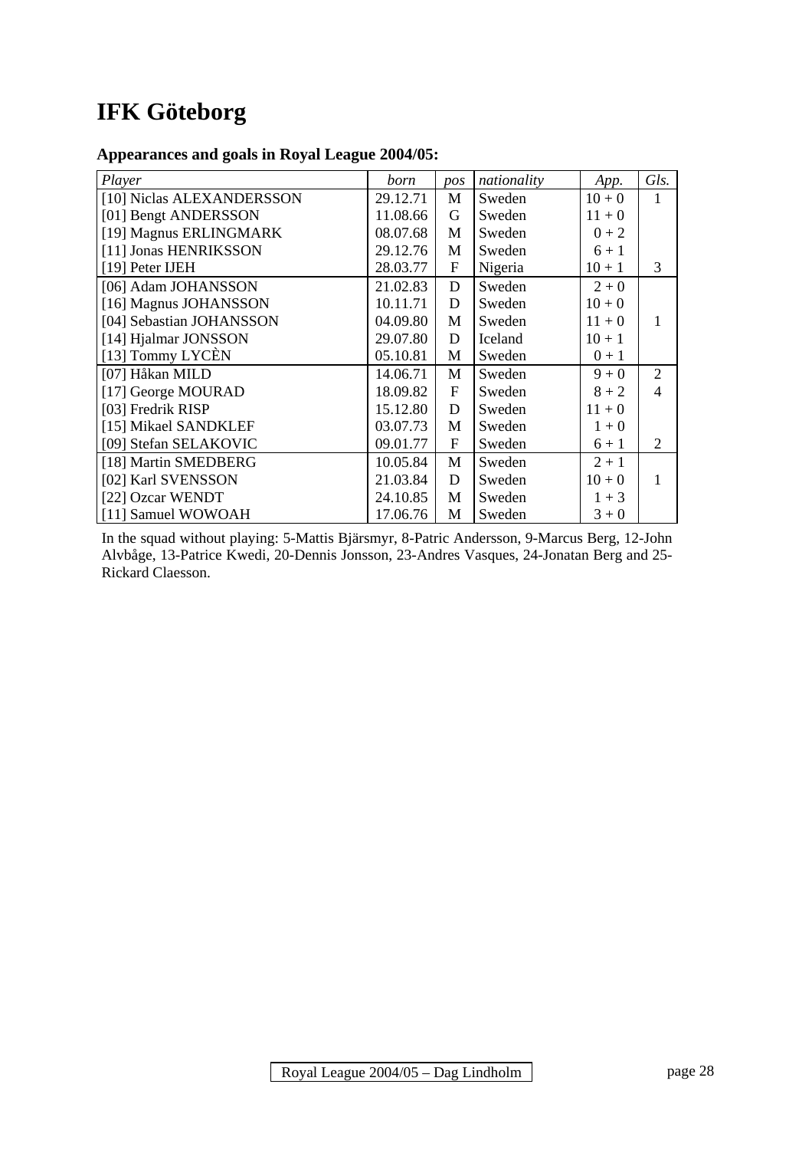# **IFK Göteborg**

# **Appearances and goals in Royal League 2004/05:**

| Player                    | born     | pos            | nationality | App.     | Gls.           |
|---------------------------|----------|----------------|-------------|----------|----------------|
| [10] Niclas ALEXANDERSSON | 29.12.71 | M              | Sweden      | $10 + 0$ | 1              |
| [01] Bengt ANDERSSON      | 11.08.66 | G              | Sweden      | $11 + 0$ |                |
| [19] Magnus ERLINGMARK    | 08.07.68 | M              | Sweden      | $0 + 2$  |                |
| [11] Jonas HENRIKSSON     | 29.12.76 | M              | Sweden      | $6 + 1$  |                |
| [19] Peter IJEH           | 28.03.77 | $\mathbf F$    | Nigeria     | $10 + 1$ | 3              |
| [06] Adam JOHANSSON       | 21.02.83 | D              | Sweden      | $2 + 0$  |                |
| [16] Magnus JOHANSSON     | 10.11.71 | D              | Sweden      | $10 + 0$ |                |
| [04] Sebastian JOHANSSON  | 04.09.80 | M              | Sweden      | $11 + 0$ | 1              |
| [14] Hjalmar JONSSON      | 29.07.80 | D              | Iceland     | $10 + 1$ |                |
| [13] Tommy LYCEN          | 05.10.81 | M              | Sweden      | $0 + 1$  |                |
| [07] Håkan MILD           | 14.06.71 | M              | Sweden      | $9 + 0$  | $\overline{2}$ |
| [17] George MOURAD        | 18.09.82 | $\mathbf{F}$   | Sweden      | $8 + 2$  | $\overline{4}$ |
| [03] Fredrik RISP         | 15.12.80 | D              | Sweden      | $11 + 0$ |                |
| [15] Mikael SANDKLEF      | 03.07.73 | M              | Sweden      | $1 + 0$  |                |
| [09] Stefan SELAKOVIC     | 09.01.77 | $\overline{F}$ | Sweden      | $6 + 1$  | 2              |
| [18] Martin SMEDBERG      | 10.05.84 | M              | Sweden      | $2 + 1$  |                |
| [02] Karl SVENSSON        | 21.03.84 | D              | Sweden      | $10 + 0$ | 1              |
| [22] Ozcar WENDT          | 24.10.85 | M              | Sweden      | $1 + 3$  |                |
| [11] Samuel WOWOAH        | 17.06.76 | M              | Sweden      | $3 + 0$  |                |

In the squad without playing: 5-Mattis Bjärsmyr, 8-Patric Andersson, 9-Marcus Berg, 12-John Alvbåge, 13-Patrice Kwedi, 20-Dennis Jonsson, 23-Andres Vasques, 24-Jonatan Berg and 25- Rickard Claesson.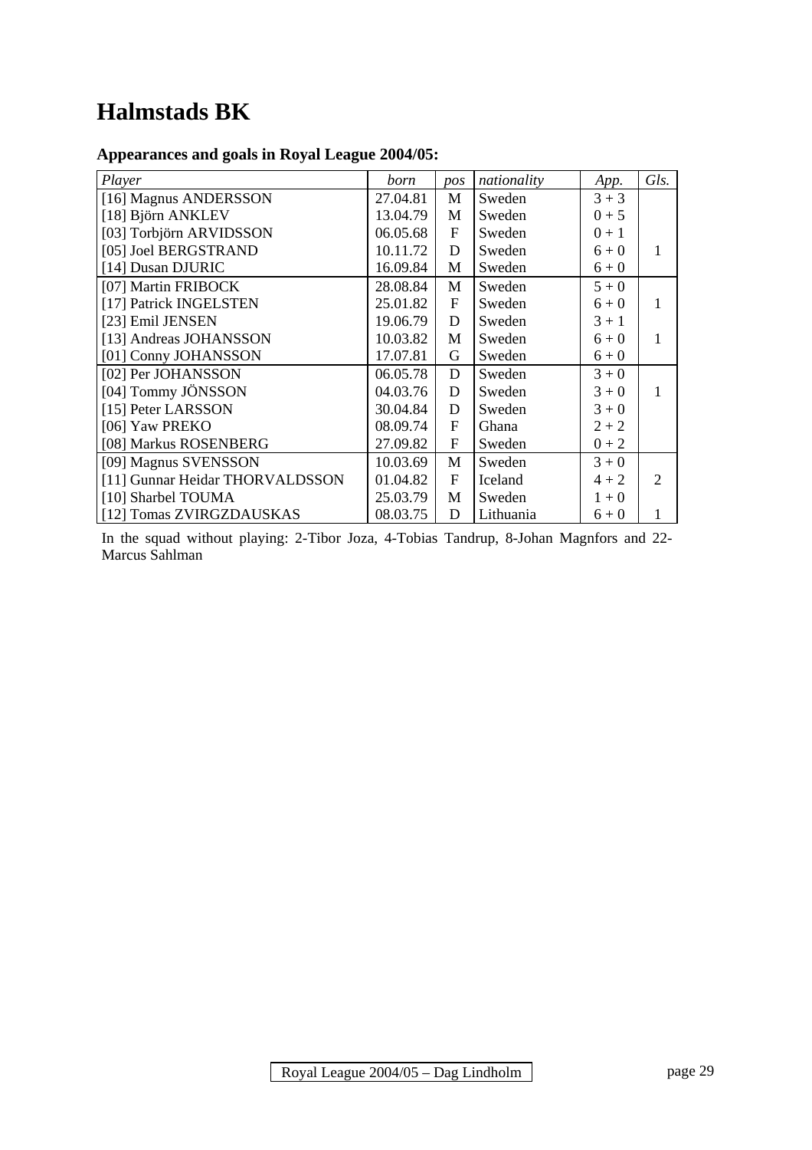# **Halmstads BK**

# **Appearances and goals in Royal League 2004/05:**

| Player                          | born     | pos            | nationality | App.    | Gls.           |
|---------------------------------|----------|----------------|-------------|---------|----------------|
| [16] Magnus ANDERSSON           | 27.04.81 | M              | Sweden      | $3 + 3$ |                |
| [18] Björn ANKLEV               | 13.04.79 | M              | Sweden      | $0 + 5$ |                |
| [03] Torbjörn ARVIDSSON         | 06.05.68 | $\overline{F}$ | Sweden      | $0 + 1$ |                |
| [05] Joel BERGSTRAND            | 10.11.72 | D              | Sweden      | $6 + 0$ | 1              |
| [14] Dusan DJURIC               | 16.09.84 | М              | Sweden      | $6 + 0$ |                |
| [07] Martin FRIBOCK             | 28.08.84 | M              | Sweden      | $5 + 0$ |                |
| [17] Patrick INGELSTEN          | 25.01.82 | $\mathbf F$    | Sweden      | $6 + 0$ |                |
| [23] Emil JENSEN                | 19.06.79 | D              | Sweden      | $3 + 1$ |                |
| [13] Andreas JOHANSSON          | 10.03.82 | M              | Sweden      | $6 + 0$ | 1              |
| [01] Conny JOHANSSON            | 17.07.81 | G              | Sweden      | $6 + 0$ |                |
| [02] Per JOHANSSON              | 06.05.78 | D              | Sweden      | $3 + 0$ |                |
| [04] Tommy JÖNSSON              | 04.03.76 | D              | Sweden      | $3 + 0$ | 1              |
| [15] Peter LARSSON              | 30.04.84 | D              | Sweden      | $3 + 0$ |                |
| [06] Yaw PREKO                  | 08.09.74 | $\mathbf F$    | Ghana       | $2 + 2$ |                |
| [08] Markus ROSENBERG           | 27.09.82 | $\overline{F}$ | Sweden      | $0 + 2$ |                |
| [09] Magnus SVENSSON            | 10.03.69 | M              | Sweden      | $3 + 0$ |                |
| [11] Gunnar Heidar THORVALDSSON | 01.04.82 | $\mathbf{F}$   | Iceland     | $4 + 2$ | $\overline{2}$ |
| [10] Sharbel TOUMA              | 25.03.79 | M              | Sweden      | $1 + 0$ |                |
| [12] Tomas ZVIRGZDAUSKAS        | 08.03.75 | D              | Lithuania   | $6 + 0$ |                |

In the squad without playing: 2-Tibor Joza, 4-Tobias Tandrup, 8-Johan Magnfors and 22- Marcus Sahlman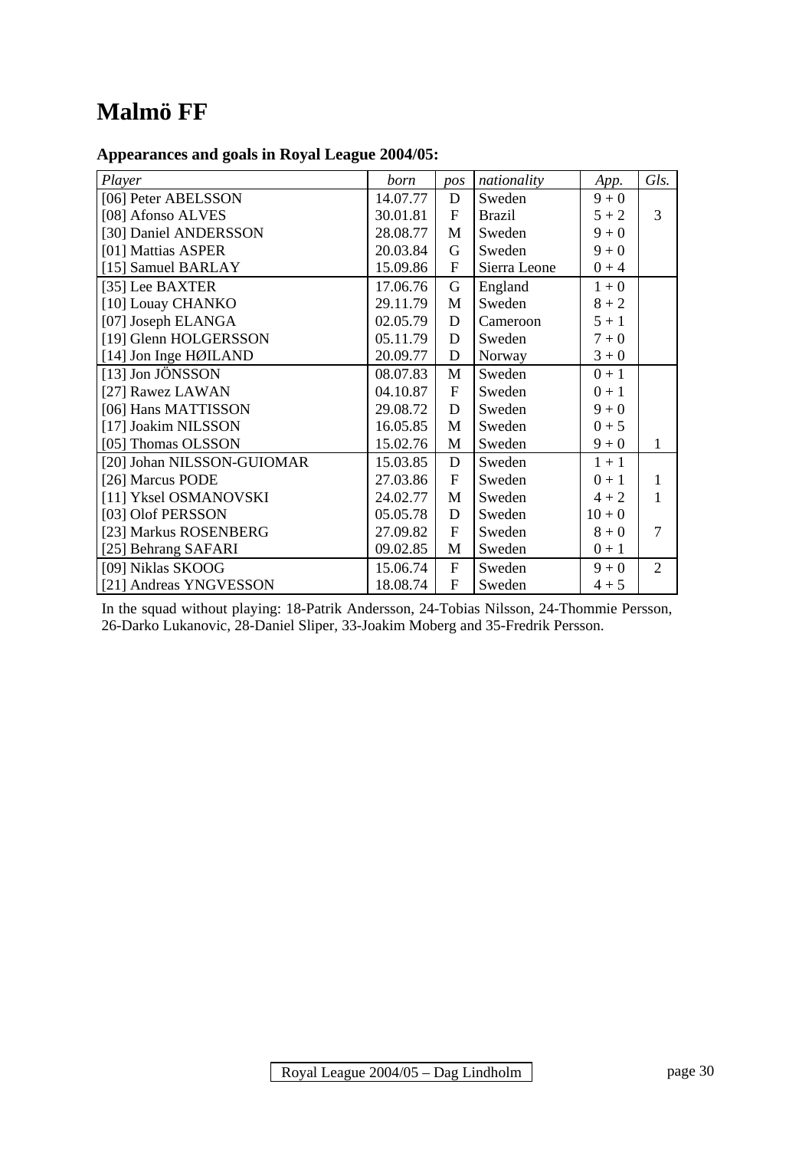# **Malmö FF**

### **Appearances and goals in Royal League 2004/05:**

| Player                     | born     | pos                       | nationality   | App.     | Gls.         |
|----------------------------|----------|---------------------------|---------------|----------|--------------|
| [06] Peter ABELSSON        | 14.07.77 | D                         | Sweden        | $9 + 0$  |              |
| [08] Afonso ALVES          | 30.01.81 | $\mathbf{F}$              | <b>Brazil</b> | $5 + 2$  | 3            |
| [30] Daniel ANDERSSON      | 28.08.77 | M                         | Sweden        | $9 + 0$  |              |
| [01] Mattias ASPER         | 20.03.84 | G                         | Sweden        | $9 + 0$  |              |
| [15] Samuel BARLAY         | 15.09.86 | $\boldsymbol{\mathrm{F}}$ | Sierra Leone  | $0 + 4$  |              |
| [35] Lee BAXTER            | 17.06.76 | $\mathbf G$               | England       | $1 + 0$  |              |
| [10] Louay CHANKO          | 29.11.79 | M                         | Sweden        | $8 + 2$  |              |
| [07] Joseph ELANGA         | 02.05.79 | D                         | Cameroon      | $5 + 1$  |              |
| [19] Glenn HOLGERSSON      | 05.11.79 | D                         | Sweden        | $7 + 0$  |              |
| [14] Jon Inge HØILAND      | 20.09.77 | D                         | Norway        | $3 + 0$  |              |
| [13] Jon JÖNSSON           | 08.07.83 | M                         | Sweden        | $0 + 1$  |              |
| [27] Rawez LAWAN           | 04.10.87 | $\mathbf{F}$              | Sweden        | $0 + 1$  |              |
| [06] Hans MATTISSON        | 29.08.72 | D                         | Sweden        | $9 + 0$  |              |
| [17] Joakim NILSSON        | 16.05.85 | M                         | Sweden        | $0 + 5$  |              |
| [05] Thomas OLSSON         | 15.02.76 | M                         | Sweden        | $9 + 0$  | $\mathbf{1}$ |
| [20] Johan NILSSON-GUIOMAR | 15.03.85 | $\mathbf D$               | Sweden        | $1 + 1$  |              |
| [26] Marcus PODE           | 27.03.86 | $\mathbf{F}$              | Sweden        | $0 + 1$  | 1            |
| [11] Yksel OSMANOVSKI      | 24.02.77 | M                         | Sweden        | $4 + 2$  | 1            |
| [03] Olof PERSSON          | 05.05.78 | D                         | Sweden        | $10 + 0$ |              |
| [23] Markus ROSENBERG      | 27.09.82 | $\mathbf{F}$              | Sweden        | $8 + 0$  | 7            |
| [25] Behrang SAFARI        | 09.02.85 | M                         | Sweden        | $0 + 1$  |              |
| [09] Niklas SKOOG          | 15.06.74 | $\mathbf{F}$              | Sweden        | $9 + 0$  | 2            |
| [21] Andreas YNGVESSON     | 18.08.74 | $\overline{F}$            | Sweden        | $4 + 5$  |              |

In the squad without playing: 18-Patrik Andersson, 24-Tobias Nilsson, 24-Thommie Persson, 26-Darko Lukanovic, 28-Daniel Sliper, 33-Joakim Moberg and 35-Fredrik Persson.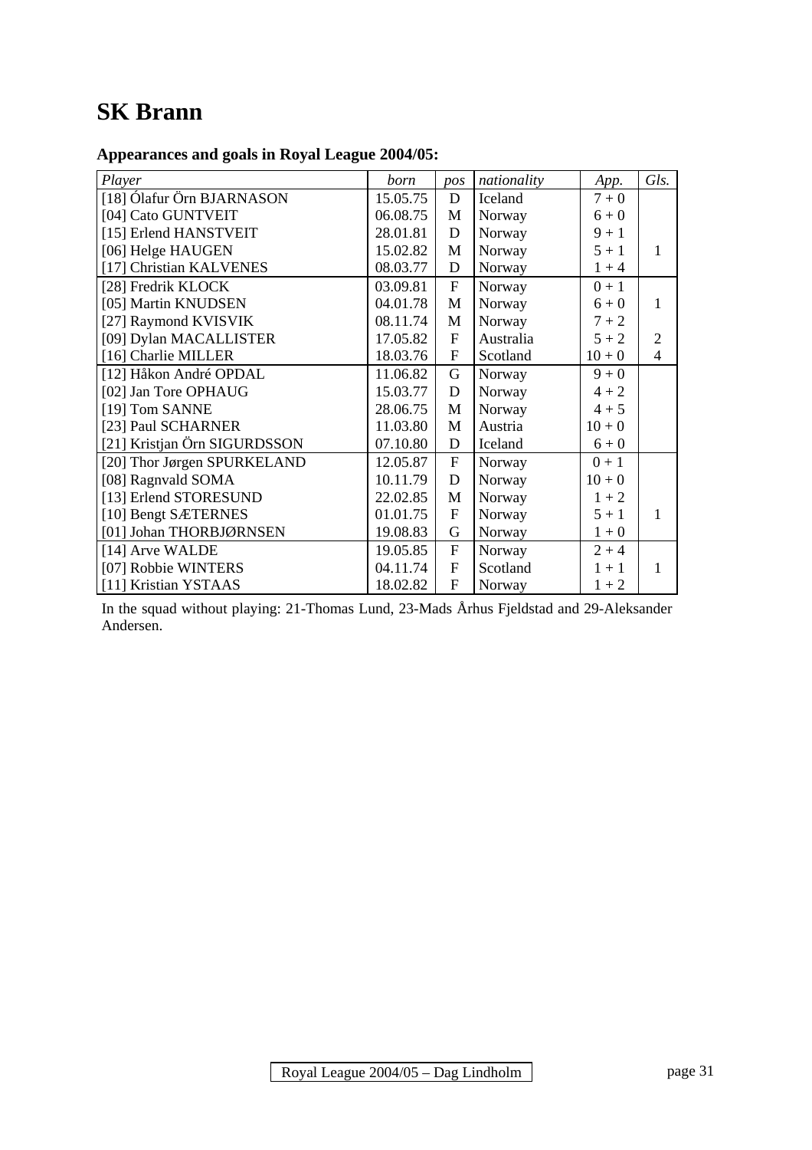# **SK Brann**

# **Appearances and goals in Royal League 2004/05:**

| Player                       | born     | pos            | nationality | App.     | Gls.                     |
|------------------------------|----------|----------------|-------------|----------|--------------------------|
| [18] Ólafur Örn BJARNASON    | 15.05.75 | D              | Iceland     | $7 + 0$  |                          |
| [04] Cato GUNTVEIT           | 06.08.75 | M              | Norway      | $6 + 0$  |                          |
| [15] Erlend HANSTVEIT        | 28.01.81 | D              | Norway      | $9 + 1$  |                          |
| [06] Helge HAUGEN            | 15.02.82 | M              | Norway      | $5 + 1$  | $\mathbf{1}$             |
| [17] Christian KALVENES      | 08.03.77 | D              | Norway      | $1 + 4$  |                          |
| [28] Fredrik KLOCK           | 03.09.81 | $\overline{F}$ | Norway      | $0 + 1$  |                          |
| [05] Martin KNUDSEN          | 04.01.78 | M              | Norway      | $6 + 0$  | 1                        |
| [27] Raymond KVISVIK         | 08.11.74 | M              | Norway      | $7 + 2$  |                          |
| [09] Dylan MACALLISTER       | 17.05.82 | $\overline{F}$ | Australia   | $5 + 2$  | $\overline{2}$           |
| [16] Charlie MILLER          | 18.03.76 | F              | Scotland    | $10 + 0$ | $\overline{\mathcal{L}}$ |
| [12] Håkon André OPDAL       | 11.06.82 | G              | Norway      | $9 + 0$  |                          |
| [02] Jan Tore OPHAUG         | 15.03.77 | D              | Norway      | $4 + 2$  |                          |
| [19] Tom SANNE               | 28.06.75 | M              | Norway      | $4 + 5$  |                          |
| [23] Paul SCHARNER           | 11.03.80 | M              | Austria     | $10 + 0$ |                          |
| [21] Kristjan Örn SIGURDSSON | 07.10.80 | D              | Iceland     | $6 + 0$  |                          |
| [20] Thor Jørgen SPURKELAND  | 12.05.87 | $\overline{F}$ | Norway      | $0 + 1$  |                          |
| [08] Ragnvald SOMA           | 10.11.79 | D              | Norway      | $10 + 0$ |                          |
| [13] Erlend STORESUND        | 22.02.85 | M              | Norway      | $1 + 2$  |                          |
| [10] Bengt SÆTERNES          | 01.01.75 | $\mathbf F$    | Norway      | $5 + 1$  | $\mathbf{1}$             |
| [01] Johan THORBJØRNSEN      | 19.08.83 | G              | Norway      | $1 + 0$  |                          |
| [14] Arve WALDE              | 19.05.85 | F              | Norway      | $2 + 4$  |                          |
| [07] Robbie WINTERS          | 04.11.74 | $\overline{F}$ | Scotland    | $1 + 1$  | 1                        |
| [11] Kristian YSTAAS         | 18.02.82 | $\overline{F}$ | Norway      | $1 + 2$  |                          |

In the squad without playing: 21-Thomas Lund, 23-Mads Århus Fjeldstad and 29-Aleksander Andersen.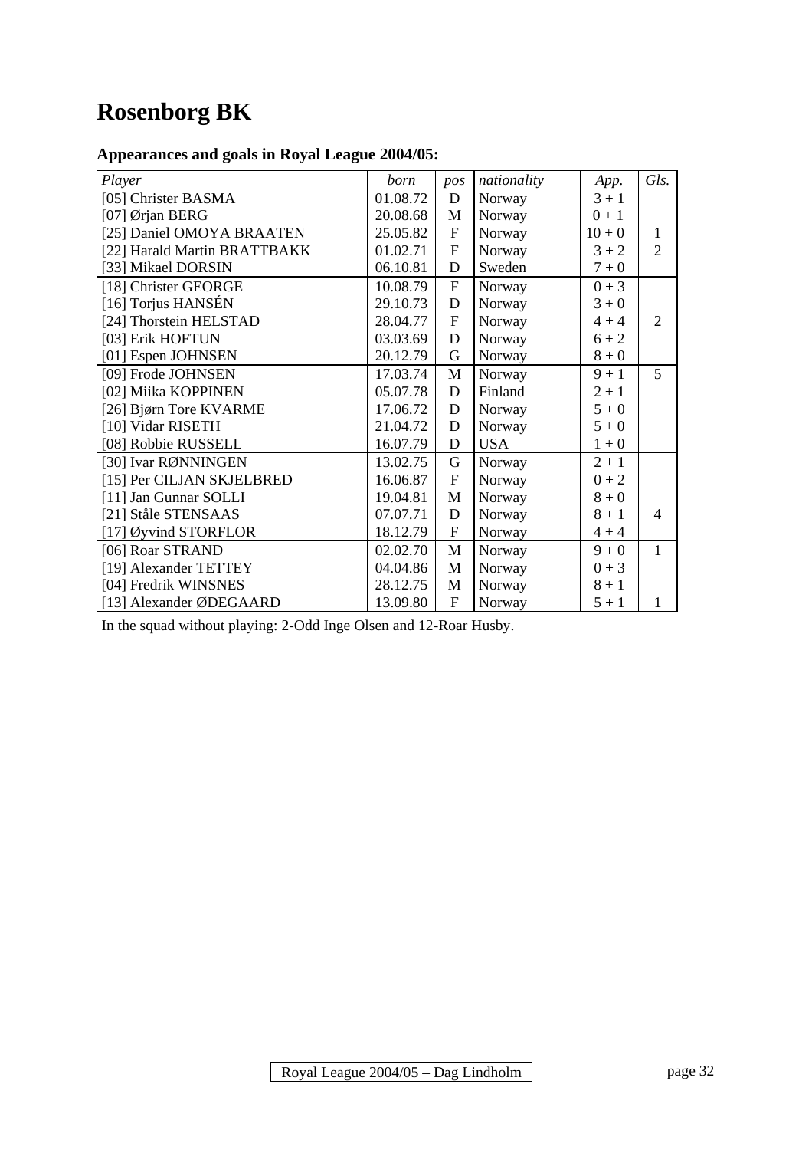# **Rosenborg BK**

# **Appearances and goals in Royal League 2004/05:**

| Player                       | born     | pos            | nationality | App.     | Gls.           |
|------------------------------|----------|----------------|-------------|----------|----------------|
| [05] Christer BASMA          | 01.08.72 | D              | Norway      | $3 + 1$  |                |
| [07] Ørjan BERG              | 20.08.68 | M              | Norway      | $0 + 1$  |                |
| [25] Daniel OMOYA BRAATEN    | 25.05.82 | $\mathbf{F}$   | Norway      | $10 + 0$ | 1              |
| [22] Harald Martin BRATTBAKK | 01.02.71 | $\overline{F}$ | Norway      | $3 + 2$  | $\overline{2}$ |
| [33] Mikael DORSIN           | 06.10.81 | $\mathbf D$    | Sweden      | $7 + 0$  |                |
| [18] Christer GEORGE         | 10.08.79 | $\overline{F}$ | Norway      | $0 + 3$  |                |
| [16] Torjus HANSÉN           | 29.10.73 | D              | Norway      | $3 + 0$  |                |
| [24] Thorstein HELSTAD       | 28.04.77 | $\overline{F}$ | Norway      | $4 + 4$  | $\overline{2}$ |
| [03] Erik HOFTUN             | 03.03.69 | $\mathbf D$    | Norway      | $6 + 2$  |                |
| [01] Espen JOHNSEN           | 20.12.79 | G              | Norway      | $8+0$    |                |
| [09] Frode JOHNSEN           | 17.03.74 | M              | Norway      | $9 + 1$  | 5              |
| [02] Miika KOPPINEN          | 05.07.78 | $\mathbf D$    | Finland     | $2 + 1$  |                |
| [26] Bjørn Tore KVARME       | 17.06.72 | D              | Norway      | $5 + 0$  |                |
| [10] Vidar RISETH            | 21.04.72 | $\mathbf D$    | Norway      | $5 + 0$  |                |
| [08] Robbie RUSSELL          | 16.07.79 | $\mathbf D$    | <b>USA</b>  | $1 + 0$  |                |
| [30] Ivar RØNNINGEN          | 13.02.75 | G              | Norway      | $2 + 1$  |                |
| [15] Per CILJAN SKJELBRED    | 16.06.87 | $\mathbf{F}$   | Norway      | $0 + 2$  |                |
| [11] Jan Gunnar SOLLI        | 19.04.81 | M              | Norway      | $8 + 0$  |                |
| [21] Ståle STENSAAS          | 07.07.71 | D              | Norway      | $8 + 1$  | $\overline{4}$ |
| [17] Øyvind STORFLOR         | 18.12.79 | $\mathbf{F}$   | Norway      | $4 + 4$  |                |
| [06] Roar STRAND             | 02.02.70 | M              | Norway      | $9 + 0$  | 1              |
| [19] Alexander TETTEY        | 04.04.86 | M              | Norway      | $0 + 3$  |                |
| [04] Fredrik WINSNES         | 28.12.75 | M              | Norway      | $8 + 1$  |                |
| [13] Alexander ØDEGAARD      | 13.09.80 | $\overline{F}$ | Norway      | $5 + 1$  | 1              |

In the squad without playing: 2-Odd Inge Olsen and 12-Roar Husby.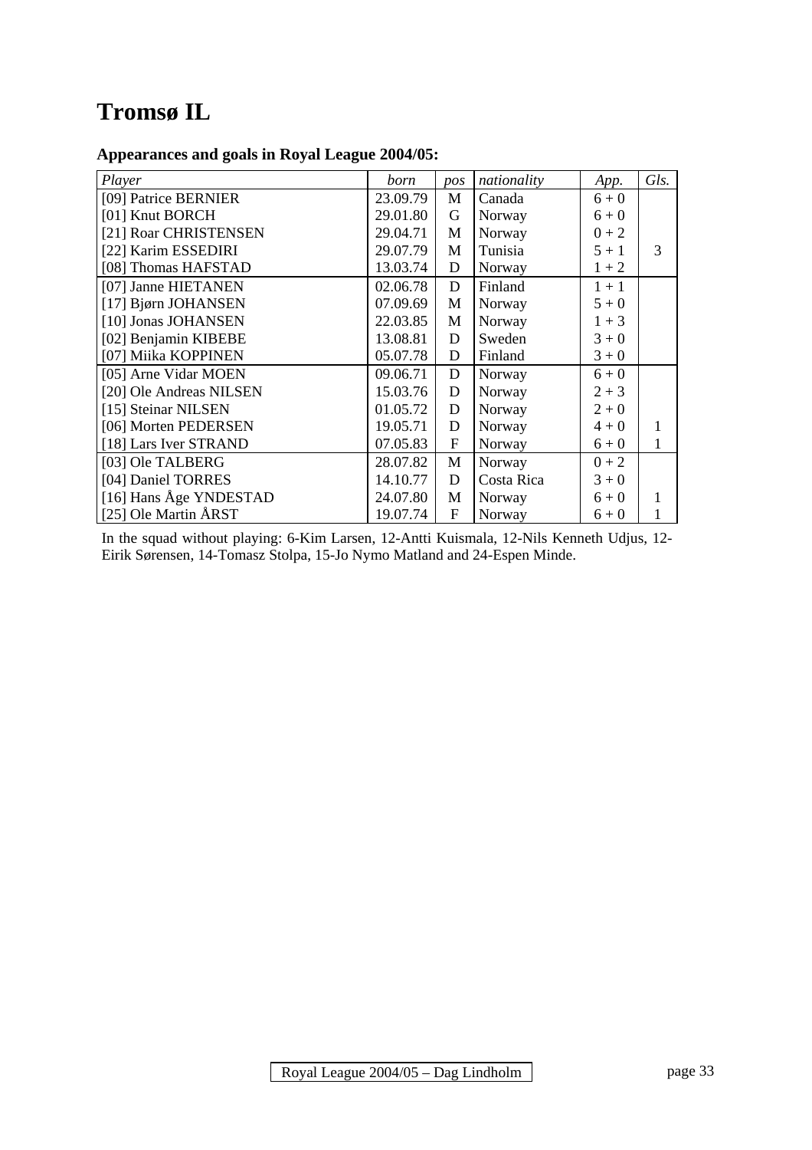# **Tromsø IL**

### **Appearances and goals in Royal League 2004/05:**

| Player                  | born     | pos            | nationality | App.    | Gls. |
|-------------------------|----------|----------------|-------------|---------|------|
| [09] Patrice BERNIER    | 23.09.79 | M              | Canada      | $6 + 0$ |      |
| [01] Knut BORCH         | 29.01.80 | G              | Norway      | $6 + 0$ |      |
| [21] Roar CHRISTENSEN   | 29.04.71 | M              | Norway      | $0 + 2$ |      |
| [22] Karim ESSEDIRI     | 29.07.79 | M              | Tunisia     | $5 + 1$ | 3    |
| [08] Thomas HAFSTAD     | 13.03.74 | D              | Norway      | $1 + 2$ |      |
| [07] Janne HIETANEN     | 02.06.78 | D              | Finland     | $1 + 1$ |      |
| [17] Bjørn JOHANSEN     | 07.09.69 | M              | Norway      | $5 + 0$ |      |
| [10] Jonas JOHANSEN     | 22.03.85 | M              | Norway      | $1 + 3$ |      |
| [02] Benjamin KIBEBE    | 13.08.81 | D              | Sweden      | $3 + 0$ |      |
| [07] Miika KOPPINEN     | 05.07.78 | D              | Finland     | $3 + 0$ |      |
| [05] Arne Vidar MOEN    | 09.06.71 | $\mathbf D$    | Norway      | $6 + 0$ |      |
| [20] Ole Andreas NILSEN | 15.03.76 | D              | Norway      | $2 + 3$ |      |
| [15] Steinar NILSEN     | 01.05.72 | D              | Norway      | $2 + 0$ |      |
| [06] Morten PEDERSEN    | 19.05.71 | D              | Norway      | $4 + 0$ |      |
| [18] Lars Iver STRAND   | 07.05.83 | F              | Norway      | $6 + 0$ | 1    |
| [03] Ole TALBERG        | 28.07.82 | $\mathbf M$    | Norway      | $0 + 2$ |      |
| [04] Daniel TORRES      | 14.10.77 | D              | Costa Rica  | $3 + 0$ |      |
| [16] Hans Åge YNDESTAD  | 24.07.80 | M              | Norway      | $6 + 0$ |      |
| [25] Ole Martin ÅRST    | 19.07.74 | $\overline{F}$ | Norway      | $6 + 0$ |      |

In the squad without playing: 6-Kim Larsen, 12-Antti Kuismala, 12-Nils Kenneth Udjus, 12- Eirik Sørensen, 14-Tomasz Stolpa, 15-Jo Nymo Matland and 24-Espen Minde.